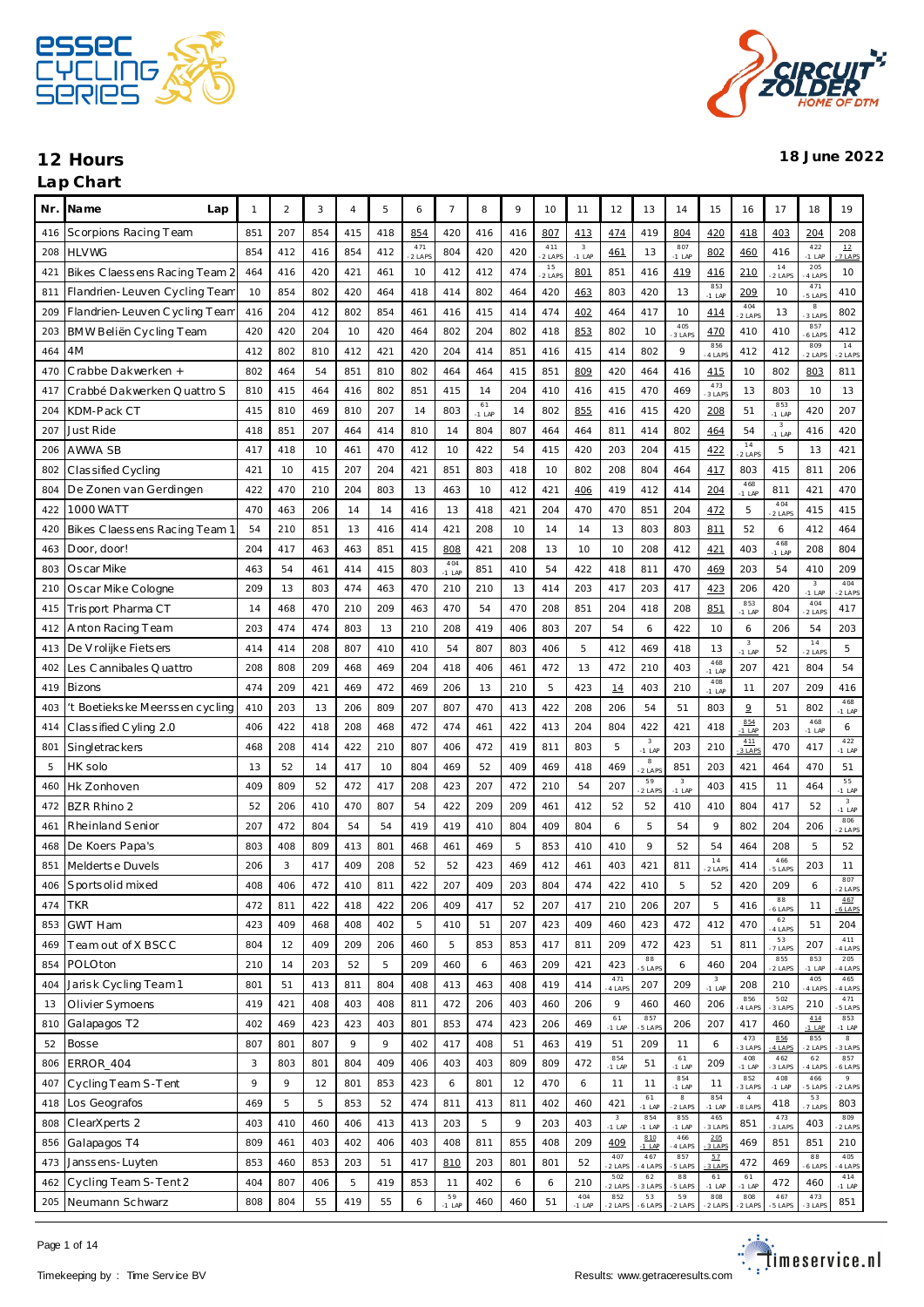

| Nr. | Na me<br>Lap                   | -1  | $\overline{2}$ | 3   | 4   | 5   | 6             | $\overline{7}$  | 8              | 9   | 10            | 11                                  | 12                      | 13                                  | 14                     | 15              | 16                     | 17                     | 18                     | 19                                  |
|-----|--------------------------------|-----|----------------|-----|-----|-----|---------------|-----------------|----------------|-----|---------------|-------------------------------------|-------------------------|-------------------------------------|------------------------|-----------------|------------------------|------------------------|------------------------|-------------------------------------|
| 416 | Scorpions Racing Team          | 851 | 207            | 854 | 415 | 418 | 854           | 420             | 416            | 416 | 807           | 413                                 | 474                     | 419                                 | 804                    | 420             | 418                    | 403                    | 204                    | 208                                 |
| 208 | <b>HLVWG</b>                   | 854 | 412            | 416 | 854 | 412 | 471<br>2 LAPS | 804             | 420            | 420 | 411<br>2 LAPS | $\overline{\mathbf{3}}$<br>$-1$ LAP | 461                     | 13                                  | 807<br>$-1$ LAP        | 802             | 460                    | 416                    | 422<br>$-1$ LAP        | 12<br>7 LAPS                        |
| 421 | Bikes Claessens Racing Team 2  | 464 | 416            | 420 | 421 | 461 | 10            | 412             | 412            | 474 | 15<br>2 LAPS  | 801                                 | 851                     | 416                                 | 419                    | 416             | 210                    | $1\,4$<br>2 LAPS       | 205<br>4 LAP           | 10                                  |
| 811 | Flandrien-Leuven Cycling Team  | 10  | 854            | 802 | 420 | 464 | 418           | 414             | 802            | 464 | 420           | 463                                 | 803                     | 420                                 | 13                     | 853<br>$-1$ LAP | 209                    | 10                     | 471<br>5 LAP           | 410                                 |
| 209 | Flandrien-Leuven Cycling Team  | 416 | 204            | 412 | 802 | 854 | 461           | 416             | 415            | 414 | 474           | 402                                 | 464                     | 417                                 | 10                     | 414             | 404<br>$2$ LAP         | 13                     | $_{\rm 8}$<br>3 LAP    | 802                                 |
| 203 | BMW Beliën Cycling Team        | 420 | 420            | 204 | 10  | 420 | 464           | 802             | 204            | 802 | 418           | 853                                 | 802                     | 10                                  | 405<br>3 LAPS          | 470             | 410                    | 410                    | 857<br>6 LAP           | 412                                 |
| 464 | 4M                             | 412 | 802            | 810 | 412 | 421 | 420           | 204             | 414            | 851 | 416           | 415                                 | 414                     | 802                                 | 9                      | 856<br>4 LAPS   | 412                    | 412                    | 809<br>2 LAP           | 14<br>2 LAPS                        |
| 470 | Crabbe Dakwerken +             | 802 | 464            | 54  | 851 | 810 | 802           | 464             | 464            | 415 | 851           | 809                                 | 420                     | 464                                 | 416                    | 415             | 10                     | 802                    | 803                    | 811                                 |
| 417 | Crabbé Dakwerken Quattro S     | 810 | 415            | 464 | 416 | 802 | 851           | 415             | 14             | 204 | 410           | 416                                 | 415                     | 470                                 | 469                    | 473<br>3 LAPS   | 13                     | 803                    | 10                     | 13                                  |
| 204 | KDM-Pack CT                    | 415 | 810            | 469 | 810 | 207 | 14            | 803             | 61<br>$-1$ LAP | 14  | 802           | 855                                 | 416                     | 415                                 | 420                    | 208             | 51                     | 853<br>$-1$ LAP        | 420                    | 207                                 |
| 207 | Just Ride                      | 418 | 851            | 207 | 464 | 414 | 810           | 14              | 804            | 807 | 464           | 464                                 | 811                     | 414                                 | 802                    | 464             | 54                     | $\sqrt{3}$<br>$-1$ LAP | 416                    | 420                                 |
| 206 | AWWA SB                        | 417 | 418            | 10  | 461 | 470 | 412           | 10              | 422            | 54  | 415           | 420                                 | 203                     | 204                                 | 415                    | 422             | $1\,4$<br>$2$ LAP      | 5                      | 13                     | 421                                 |
| 802 | Classified Cycling             | 421 | 10             | 415 | 207 | 204 | 421           | 851             | 803            | 418 | 10            | 802                                 | 208                     | 804                                 | 464                    | 417             | 803                    | 415                    | 811                    | 206                                 |
| 804 | De Zonen van Gerdingen         | 422 | 470            | 210 | 204 | 803 | 13            | 463             | 10             | 412 | 421           | 406                                 | 419                     | 412                                 | 414                    | 204             | 468<br>$-1$ LAP        | 811                    | 421                    | 470                                 |
| 422 | 1000 WATT                      | 470 | 463            | 206 | 14  | 14  | 416           | 13              | 418            | 421 | 204           | 470                                 | 470                     | 851                                 | 204                    | 472             | 5                      | 404<br>2 LAPS          | 415                    | 415                                 |
| 420 | Bikes Claessens Racing Team    | 54  | 210            | 851 | 13  | 416 | 414           | 421             | 208            | 10  | 14            | 14                                  | 13                      | 803                                 | 803                    | 811             | 52                     | 6                      | 412                    | 464                                 |
| 463 | Door, door!                    | 204 | 417            | 463 | 463 | 851 | 415           | 808             | 421            | 208 | 13            | 10                                  | 10                      | 208                                 | 412                    | 421             | 403                    | 468<br>$-1$ LAP        | 208                    | 804                                 |
| 803 | Oscar Mike                     | 463 | 54             | 461 | 414 | 415 | 803           | 404<br>$-1$ LAP | 851            | 410 | 54            | 422                                 | 418                     | 811                                 | 470                    | 469             | 203                    | 54                     | 410                    | 209                                 |
| 210 | Oscar Mike Cologne             | 209 | 13             | 803 | 474 | 463 | 470           | 210             | 210            | 13  | 414           | 203                                 | 417                     | 203                                 | 417                    | 423             | 206                    | 420                    | $\sqrt{3}$<br>$-1$ LAP | 404<br>2 LAPS                       |
| 415 | Trisport Pharma CT             | 14  | 468            | 470 | 210 | 209 | 463           | 470             | 54             | 470 | 208           | 851                                 | 204                     | 418                                 | 208                    | 851             | 853<br>$-1$ LAP        | 804                    | 404<br>2 LAPS          | 417                                 |
| 412 | Anton Racing Team              | 203 | 474            | 474 | 803 | 13  | 210           | 208             | 419            | 406 | 803           | 207                                 | 54                      | 6                                   | 422                    | 10              | 6                      | 206                    | 54                     | 203                                 |
| 413 | De V rolijke Fietsers          | 414 | 414            | 208 | 807 | 410 | 410           | 54              | 807            | 803 | 406           | 5                                   | 412                     | 469                                 | 418                    | 13              | $\sqrt{3}$<br>$-1$ LAP | 52                     | 14<br>2 LAPS           | 5                                   |
| 402 | Les Cannibales Quattro         | 208 | 808            | 209 | 468 | 469 | 204           | 418             | 406            | 461 | 472           | 13                                  | 472                     | 210                                 | 403                    | 468<br>$-1$ LAP | 207                    | 421                    | 804                    | 54                                  |
| 419 | <b>Bizons</b>                  | 474 | 209            | 421 | 469 | 472 | 469           | 206             | 13             | 210 | 5             | 423                                 | 14                      | 403                                 | 210                    | 408<br>$-1$ LAP | 11                     | 207                    | 209                    | 416                                 |
| 403 | 't Boetiekske Meerssen cycling | 410 | 203            | 13  | 206 | 809 | 207           | 807             | 470            | 413 | 422           | 208                                 | 206                     | 54                                  | 51                     | 803             | $\overline{9}$         | 51                     | 802                    | 468<br>$-1$ LAP                     |
| 414 | Classified Cyling 2.0          | 406 | 422            | 418 | 208 | 468 | 472           | 474             | 461            | 422 | 413           | 204                                 | 804                     | 422                                 | 421                    | 418             | 854<br>$-1$ LAP        | 203                    | 468<br>$-1$ LAP        | 6                                   |
| 801 | Singletrackers                 | 468 | 208            | 414 | 422 | 210 | 807           | 406             | 472            | 419 | 811           | 803                                 | 5                       | $\overline{\mathbf{3}}$<br>$-1$ LAP | 203                    | 210             | 411<br>3 LAP           | 470                    | 417                    | 422<br>$-1$ LAP                     |
| 5   | HK solo                        | 13  | 52             | 14  | 417 | 10  | 804           | 469             | 52             | 409 | 469           | 418                                 | 469                     | $_{\rm 8}$<br>2 LAP                 | 851                    | 203             | 421                    | 464                    | 470                    | 51                                  |
| 460 | Hk Zonhoven                    | 409 | 809            | 52  | 472 | 417 | 208           | 423             | 207            | 472 | 210           | 54                                  | 207                     | 59<br>$2$ LAP                       | $\sqrt{3}$<br>$-1$ LAP | 403             | 415                    | 11                     | 464                    | 55<br>$-1$ LAP                      |
| 472 | <b>BZR Rhino 2</b>             | 52  | 206            | 410 | 470 | 807 | 54            | 422             | 209            | 209 | 461           | 412                                 | 52                      | 52                                  | 410                    | 410             | 804                    | 417                    | 52                     | $\overline{\mathbf{3}}$<br>$-1$ LAP |
| 461 | Rheinland Senior               | 207 | 472            | 804 | 54  | 54  | 419           | 419             | 410            | 804 | 409           | 804                                 | 6                       | 5                                   | 54                     | 9               | 802                    | 204                    | 206                    | 806<br>2 LAPS                       |
| 468 | De Koers Papa's                | 803 | 408            | 809 | 413 | 801 | 468           | 461             | 469            | 5   | 853           | 410                                 | 410                     | 9                                   | 52                     | 54              | 464                    | 208                    | 5                      | 52                                  |
| 851 | Meldertse Duvels               | 206 | 3              | 417 | 409 | 208 | 52            | 52              | 423            | 469 | 412           | 461                                 | 403                     | 421                                 | 811                    | 14<br>$2$ LAP   | 414                    | 466<br>5 LAPS          | 203                    | 11                                  |
| 406 | Sports olid mixed              | 408 | 406            | 472 | 410 | 811 | 422           | 207             | 409            | 203 | 804           | 474                                 | 422                     | 410                                 | 5                      | 52              | 420                    | 209                    |                        | 807                                 |
| 474 | <b>TKR</b>                     | 472 | 811            | 422 | 418 | 422 | 206           | 409             | 417            | 52  | 207           | 417                                 | 210                     | 206                                 | 207                    | 5               | 416                    | $^{\rm 88}$<br>6 LAPS  | 11                     | -2 LAPS<br>467                      |
| 853 | <b>GWT Ham</b>                 | 423 | 409            | 468 | 408 | 402 | 5             | 410             | 51             | 207 | 423           | 409                                 | 460                     | 423                                 | 472                    | 412             | 470                    | 62                     | 51                     | 6 LAPS<br>204                       |
| 469 | Team out of X BSCC             | 804 | 12             | 409 | 209 | 206 | 460           | 5               | 853            | 853 | 417           | 811                                 | 209                     | 472                                 | 423                    | 51              | 811                    | 4 LAPS<br>53           | 207                    | 411                                 |
| 854 | POLOton                        | 210 | 14             | 203 | 52  | 5   | 209           | 460             | 6              | 463 | 209           | 421                                 | 423                     | 88                                  | 6                      | 460             | 204                    | 7 LAPS<br>855          | 853                    | 4 LAPS<br>205                       |
| 404 | Jarisk Cycling Team 1          | 801 | 51             | 413 | 811 | 804 | 408           | 413             | 463            | 408 | 419           | 414                                 | 471                     | 5 LAPS<br>207                       | 209                    | $\sqrt{3}$      | 208                    | 2 LAPS<br>210          | $-1$ LAP<br>405        | 4 LAPS<br>465                       |
| 13  | Olivier Symoens                | 419 | 421            | 408 | 403 | 408 | 811           | 472             | 206            | 403 | 460           | 206                                 | 4 LAPS<br>9             | 460                                 | 460                    | $-1$ LAP<br>206 | 856                    | 502                    | 4 LAPS<br>210          | 4 LAPS<br>471                       |
| 810 | Galapagos T2                   | 402 | 469            | 423 | 423 | 403 | 801           | 853             | 474            | 423 | 206           | 469                                 | $6\sqrt{1}$             | 857                                 | 206                    | 207             | 4 LAP<br>417           | 3 LAPS<br>460          | 4.14                   | 5 LAPS<br>853                       |
| 52  | <b>Bosse</b>                   | 807 | 801            | 807 | 9   | 9   | 402           | 417             | 408            | 51  | 463           | 419                                 | $-1$ LAP<br>51          | 5 LAP<br>209                        | 11                     | 6               | 473                    | 856                    | $-1$ LAP<br>855        | $-1$ LAP<br>8                       |
| 806 | ERROR_404                      | 3   | 803            | 801 | 804 | 409 | 406           | 403             | 403            | 809 | 809           | 472                                 | 854                     | 51                                  | 61                     | 209             | 3 LAPS<br>408          | 4 LAPS<br>462          | 2 LAPS<br>62           | 3 LAPS<br>857                       |
| 407 | Cycling Team S-Tent            | 9   | 9              | 12  | 801 | 853 | 423           | 6               | 801            | 12  | 470           | 6                                   | $-1$ LAP<br>11          | 11                                  | $-1$ LAP<br>854        | 11              | $-1$ LAP<br>852        | 3 LAPS<br>408          | 4 LAPS<br>466          | 6 LAPS<br>$\overline{9}$            |
| 418 | Los Geografos                  | 469 | 5              | 5   | 853 | 52  | 474           | 811             | 413            | 811 | 402           | 460                                 | 421                     | 61                                  | $-1$ LAP<br>$^{\rm 8}$ | 854             | 3 LAP<br>$\sqrt{4}$    | $-1$ LAP<br>418        | 5 LAPS<br>53           | 2 LAPS<br>803                       |
| 808 | ClearXperts 2                  | 403 | 410            | 460 | 406 | 413 | 413           | 203             | 5              | 9   | 203           | 403                                 | $\overline{\mathbf{3}}$ | $-1$ LAP<br>854                     | 2 LAPS<br>855          | $-1$ LAP<br>465 | 8 LAPS<br>851          | 473                    | 7 LAPS<br>403          | 809                                 |
| 856 | Galapagos T4                   | 809 | 461            | 403 | 402 | 406 | 403           | 408             | 811            | 855 | 408           | 209                                 | $-1$ LAP<br>409         | $-1$ LAP<br>810                     | $-1$ LAP<br>466        | 3 LAPS<br>205   | 469                    | 3 LAPS<br>851          | 851                    | 2 LAPS<br>210                       |
| 473 | Janssens-Luyten                | 853 | 460            | 853 | 203 | 51  | 417           | 810             | 203            | 801 | 801           | 52                                  | 407                     | $-1$ LAP<br>467                     | 4 LAPS<br>857          | 3 LAPS<br>57    | 472                    | 469                    | 88                     | 405                                 |
| 462 | Cycling Team S-Tent 2          | 404 | 807            | 406 | 5   | 419 | 853           | 11              | 402            | 6   | 6             | 210                                 | 2 LAPS<br>502           | 4 LAPS<br>62                        | 5 LAPS<br>88           | 3 LAPS<br>61    | 61                     | 472                    | 6 LAPS<br>460          | 4 LAPS<br>414                       |
| 205 | Neumann Schwarz                | 808 | 804            | 55  | 419 | 55  | 6             | 59              | 460            | 460 | 51            | 404                                 | 2 LAPS<br>852           | 3 LAP<br>53                         | 5 LAPS<br>59           | $-1$ LAP<br>808 | $-1$ LAP<br>808        | 467                    | 473                    | $-1$ LAP<br>851                     |
|     |                                |     |                |     |     |     |               | $-1$ LAP        |                |     |               | $-1$ LAP                            | -2 LAPS                 | 6 LAPS                              | 2 LAPS                 | 2 LAPS          | 2 LAPS                 | 5 LAPS                 | 3 LAPS                 |                                     |

Page 1 of 14

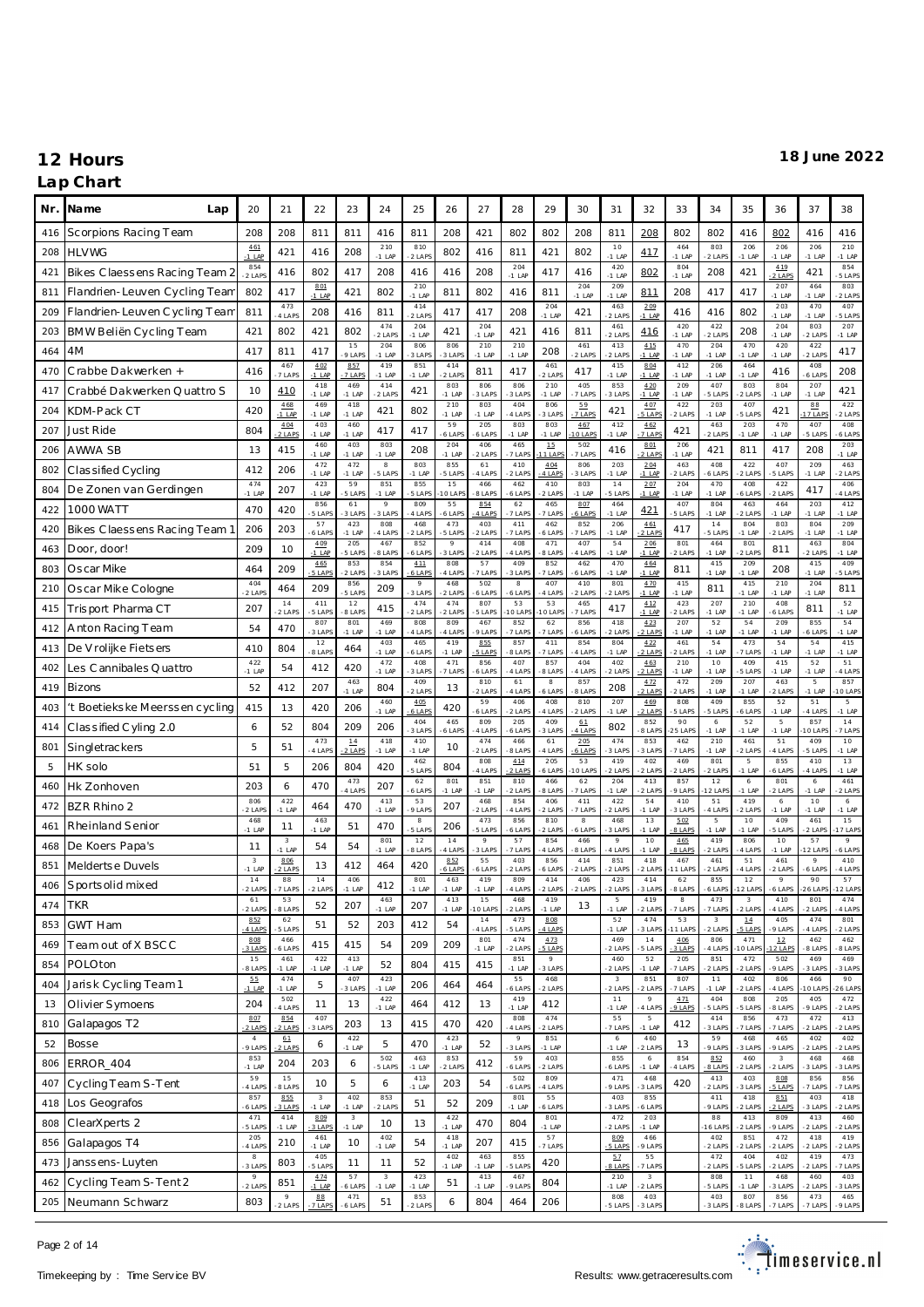### **Lap Chart**

| Nr. | Na me<br>Lap                   | 20                                  | 21                         | 22                                  | 23                                  | 24                   | 25               | 26                      | 27              | 28                   | 29                | 30                  | 31                                | 32                                | 33              | 34                                 | 35                      | 36                                | 37                  | 38                         |
|-----|--------------------------------|-------------------------------------|----------------------------|-------------------------------------|-------------------------------------|----------------------|------------------|-------------------------|-----------------|----------------------|-------------------|---------------------|-----------------------------------|-----------------------------------|-----------------|------------------------------------|-------------------------|-----------------------------------|---------------------|----------------------------|
| 416 | Scorpions Racing Team          | 208                                 | 208                        | 811                                 | 811                                 | 416                  | 811              | 208                     | 421             | 802                  | 802               | 208                 | 811                               | 208                               | 802             | 802                                | 416                     | 802                               | 416                 | 416                        |
| 208 | <b>HLVWG</b>                   | 461<br>$-1$ LAF                     | 421                        | 416                                 | 208                                 | 210<br>$-1$ LAP      | 810<br>$2$ LAP   | 802                     | 416             | 811                  | 421               | 802                 | 10<br>$-1$ LAP                    | 417                               | 464<br>$-1$ LAP | 803<br>2 LAPS                      | 206<br>$-1$ LAP         | 206<br>$-1$ LAP                   | 206<br>$-1$ LAP     | 210<br>$-1$ LAP            |
| 421 | Bikes Claessens Racing Team 2  | 854<br>$-2$ LAPS                    | 416                        | 802                                 | 417                                 | 208                  | 416              | 416                     | 208             | 204<br>$-1$ LAP      | 417               | 416                 | 420<br>$-1$ LAP                   | 802                               | 804<br>$-1$ LAP | 208                                | 421                     | 419<br>2 LAPS                     | 421                 | 854<br>5 LAPS              |
| 811 | Flandrien-Leuven Cycling Tean  | 802                                 | 417                        | 801<br>$-1$ LAP                     | 421                                 | 802                  | 210<br>$-1$ LAP  | 811                     | 802             | 416                  | 811               | 204<br>$-1$ LAP     | 209<br>$-1$ LAP                   | 811                               | 208             | 417                                | 417                     | 207<br>$-1$ LAP                   | 464<br>$-1$ LAP     | 803<br>2 LAPS              |
| 209 | Flandrien-Leuven Cycling Team  | 811                                 | 473<br>4 LAPS              | 208                                 | 416                                 | 811                  | 414<br>$2$ LAPS  | 417                     | 417             | 208                  | 204<br>$-1$ LAP   | 421                 | 463<br>2 LAPS                     | 209<br>$-1$ LAP                   | 416             | 416                                | 802                     | 203<br>$-1$ LAF                   | 470<br>$-1$ LAP     | 407<br>5 LAPS              |
| 203 | BMW Beliën Cycling Team        | 421                                 | 802                        | 421                                 | 802                                 | 474<br>2 LAPS        | 204<br>$-1$ LAP  | 421                     | 204<br>$-1$ LAP | 421                  | 416               | 811                 | 461<br>2 LAPS                     | 416                               | 420<br>$-1$ LAP | 422<br>2 LAP                       | 208                     | 204<br>$-1$ LAP                   | 803<br>$2$ LAP      | 207<br>$-1$ LAP            |
| 464 | 4M                             | 417                                 | 811                        | 417                                 | 15<br>9 LAPS                        | 204<br>$-1$ LAP      | 806<br>3 LAPS    | 806<br>3 LAPS           | 210<br>$-1$ LAP | 210<br>$-1$ LAP      | 208               | 461<br>2 LAPS       | 413<br>$2$ LAPS                   | 415<br>$-1$ LAP                   | 470<br>$-1$ LAP | 204<br>$-1$ LAP                    | 470<br>$-1$ LAP         | 420<br>$-1$ LAP                   | 422<br>$-2$ LAP     | 417                        |
| 470 | Crabbe Dakwerken +             | 416                                 | 467<br>7 LAPS              | 402<br>$-1$ LAP                     | 857<br>7 LAPS                       | 419<br>$-1$ LAP      | 851<br>$-1$ LAP  | 414<br>2 LAPS           | 811             | 417                  | 461<br>$2$ LAPS   | 417                 | 415<br>$-1$ LAP                   | 804<br>$-1$ LAP                   | 412<br>$-1$ LAP | 206<br>$-1$ LAP                    | 464<br>$-1$ LAP         | 416                               | 408<br>6 LAPS       | 208                        |
| 417 | Crabbé Dakwerken Quattro S     | 10                                  | 410                        | 418<br>$-1$ LAP                     | 469<br>$-1$ LAP                     | 414<br>2 LAPS        | 421              | 803<br>$-1$ LAP         | 806<br>3 LAPS   | 806<br>3 LAPS        | 210<br>$-1$ LAP   | 405<br>7 LAPS       | 853<br>3 LAPS                     | 4.20<br>$-1$ LAP                  | 209<br>$-1$ LAP | 407<br>5 LAPS                      | 803<br>2 LAPS           | 804<br>$-1$ LAP                   | 207<br>$-1$ LAP     | 421                        |
| 204 | KDM-Pack CT                    | 420                                 | 468<br>$-1$ LAP            | 469<br>$-1$ LAP                     | 418<br>$-1$ LAP                     | 421                  | 802              | 210<br>$-1$ LAP         | 803<br>$-1$ LAP | 404<br>4 LAPS        | 806<br>3 LAPS     | 59<br>7 LAPS        | 421                               | 407<br>5 LAPS                     | 422<br>2 LAPS   | 203<br>$-1$ LAP                    | 407<br>5 LAPS           | 421                               | 88<br>7 LAP         | 422<br>2 LAPS              |
| 207 | Just Ride                      | 804                                 | 404<br>$2$ LAPS            | 403<br>$-1$ LAP                     | 460<br>$-1$ LAP                     | 417                  | 417              | 59<br>6 LAP             | 205<br>6 LAPS   | 803<br>$-1$ LAP      | 803<br>$-1$ LAP   | 467<br><b>OLAPS</b> | 412<br>$-1$ LAP                   | 462<br>7 LAPS                     | 421             | 463<br>2 LAPS                      | 203<br>$-1$ LAP         | 470<br>$-1$ LAP                   | 407<br>5 LAPS       | 408<br>6 LAPS              |
| 206 | AWWA SB                        | 13                                  | 415                        | 460<br>$-1$ LAP                     | 403<br>$-1$ LAP                     | 803<br>$-1$ LAP      | 208              | 204<br>$-1$ LAP         | 406<br>2 LAPS   | 465<br>7 LAPS        | 15<br>1 LAP       | 502<br>7 LAPS       | 416                               | 801<br>2 LAPS                     | 206<br>$-1$ LAP | 421                                | 811                     | 417                               | 208                 | 203<br>$-1$ LAP            |
| 802 | Classified Cycling             | 412                                 | 206                        | 472<br>$-1$ LAP                     | 472<br>$-1$ LAP                     | $_{\rm 8}$<br>5 LAPS | 803<br>$-1$ LAP  | 855<br>5 LAPS           | 61<br>4 LAPS    | 410<br>2 LAPS        | 4.04<br>$4$ LAP   | 806<br>3 LAPS       | 203<br>$-1$ LAP                   | 204<br>$-1$ LAP                   | 463<br>2 LAPS   | 408<br>6 LAPS                      | 422<br>2 LAPS           | 407<br>5 LAPS                     | 209<br>$-1$ LAP     | 463<br>2 LAPS              |
| 804 | De Zonen van Gerdingen         | 474<br>$-1$ LAF                     | 207                        | 423<br>$-1$ LAP                     | 59<br>5 LAPS                        | 851<br>$-1$ LAP      | 855<br>5 LAPS    | 15<br>0 LAP             | 466<br>8 LAPS   | 462<br>6 LAPS        | 410<br>$-2$ LAPS  | 803<br>$-1$ LAP     | 14<br>5 LAPS                      | 207<br>$-1$ LAP                   | 204<br>$-1$ LAP | 470<br>$-1$ LAP                    | 408<br>6 LAPS           | 422<br>2 LAPS                     | 417                 | 406<br>4 LAPS              |
| 422 | <b>1000 WATT</b>               | 470                                 | 420                        | 856<br>5 LAPS                       | 61<br>3 LAPS                        | $\circ$<br>3 LAPS    | 809<br>4 LAPS    | 55<br>6 LAPS            | 854<br>4 LAPS   | 62<br>7 LAPS         | 465<br>7 LAPS     | 807<br>6 LAPS       | 464<br>$-1$ LAP                   | 421                               | 407<br>5 LAPS   | 804<br>$-1$ LAP                    | 463<br>2 LAPS           | 464<br>$-1$ LAP                   | 203<br>$-1$ LAP     | 412<br>$-1$ LAP            |
| 420 | Bikes Claessens Racing Team    | 206                                 | 203                        | 57<br>6 LAPS                        | 423<br>$-1$ LAP                     | 808<br>4 LAPS        | 468<br>$2$ LAPS  | 473<br>5 LAPS           | 403<br>2 LAPS   | 411<br>7 LAPS        | 462<br>6 LAP      | 852<br>7 LAPS       | 206<br>$-1$ LAP                   | 461<br>$2$ LAPS                   | 417             | 14<br>5 LAPS                       | 804<br>$-1$ LAP         | 803<br>2 LAPS                     | 804<br>$-1$ LAP     | 209<br>$-1$ LAP            |
| 463 | Door, door!                    | 209                                 | 10                         | 4.09<br>$-1$ LAP                    | 205<br>5 LAPS                       | 467<br>8 LAPS        | 852<br>6 LAPS    | $\mathcal{Q}$<br>3 LAPS | 414<br>2 LAPS   | 408<br>4 LAPS        | 471<br>8 LAP      | 407<br>4 LAPS       | 54<br>$-1$ LAP                    | 206<br>$-1$ LAP                   | 801<br>2 LAPS   | 464<br>$-1$ LAP                    | 801<br>2 LAPS           | 811                               | 463<br>$2$ LAPS     | 804<br>$-1$ LAP            |
| 803 | Oscar Mike                     | 464                                 | 209                        | 465<br>5 LAPS                       | 853<br>2 LAPS                       | 854<br>3 LAPS        | 4.11<br>$6$ LAPS | 808<br>4 LAPS           | 57<br>7 LAPS    | 409<br>3 LAPS        | 852<br>7 LAPS     | 462<br>6 LAPS       | 470<br>$-1$ LAP                   | 464<br>$-1$ LAP                   | 811             | 415<br>$-1$ LAP                    | 209<br>$-1$ LAP         | 208                               | 415<br>$-1$ LAP     | 409<br>5 LAPS              |
| 210 | Oscar Mike Cologne             | 404<br>$2$ LAP                      | 464                        | 209                                 | 856<br>5 LAPS                       | 209                  | $\circ$<br>3 LAP | 468<br>2 LAPS           | 502<br>6 LAPS   | $_{\rm 8}$<br>6 LAPS | 407<br>4 LAP      | 410<br>2 LAPS       | 801<br>2 LAPS                     | 470<br>$-1$ LAP                   | 415<br>$-1$ LAP | 811                                | 415<br>$-1$ LAP         | 210<br>$-1$ LAP                   | 204<br>$-1$ LAP     | 811                        |
| 415 | Trisport Pharma CT             | 207                                 | 14<br>2 LAPS               | 411<br>5 LAPS                       | 12<br>8 LAPS                        | 415                  | 474<br>$2$ LAP   | 474<br>2 LAPS           | 807<br>5 LAPS   | 53<br>0 LAP          | 53<br><b>OLAP</b> | 465<br>7 LAPS       | 417                               | 412<br>$-1$ LAP                   | 423<br>2 LAPS   | 207<br>$-1$ LAP                    | 210<br>$-1$ LAP         | 408<br>6 LAPS                     | 811                 | 52<br>$-1$ LAP             |
| 412 | Anton Racing Team              | 54                                  | 470                        | 807<br>3 LAPS                       | 801<br>$-1$ LAP                     | 469<br>$-1$ LAP      | 808<br>4 LAPS    | 809<br>-4 LAPS          | 467<br>9 LAPS   | 852<br>7 LAPS        | 62<br>7 LAP       | 856<br>6 LAPS       | 418<br>2 LAPS                     | 4.23<br>2 LAPS                    | 207<br>$-1$ LAP | 52<br>$-1$ LAP                     | 54<br>$-1$ LAP          | 209<br>$-1$ LAP                   | 855<br>6 LAPS       | 54<br>$-1$ LAP             |
| 413 | De V rolijke Fietsers          | 410                                 | 804                        | 12<br>-8 LAPS                       | 464                                 | 403<br>$-1$ LAP      | 465<br>6 LAPS    | 419<br>$-1$ LAP         | 855<br>5 LAPS   | 857<br>8 LAPS        | 411<br>7 LAPS     | 854<br>4 LAPS       | 804<br>$-1$ LAP                   | 4.22<br>2 LAPS                    | 461<br>2 LAPS   | 54<br>$-1$ LAP                     | 473<br>7 LAPS           | 54<br>$-1$ LAP                    | 54<br>$-1$ LAP      | 415<br>$-1$ LAP            |
| 402 | Les Cannibales Quattro         | 422<br>$-1$ LAF                     | 54                         | 412                                 | 420                                 | 472<br>$-1$ LAP      | 408<br>3 LAPS    | 471<br>7 LAPS           | 856<br>6 LAPS   | 407<br>4 LAPS        | 857<br>8 LAP      | 404<br>4 LAPS       | 402<br>2 LAPS                     | 463<br>2 LAPS                     | 210<br>$-1$ LAP | 10<br>$-1$ LAP                     | 409<br>5 LAPS           | 415<br>$-1$ LAP                   | 52<br>$-1$ LAP      | 51<br>4 LAPS               |
| 419 | Bizons                         | 52                                  | 412                        | 207                                 | 463<br>$-1$ LAP                     | 804                  | 409<br>2 LAPS    | 13                      | 810<br>2 LAPS   | 61<br>4 LAPS         | 8<br>6 LAPS       | 857<br>8 LAPS       | 208                               | 4.72<br>2 LAPS                    | 472<br>2 LAPS   | 209<br>$-1$ LAP                    | 207<br>$-1$ LAP         | 463<br>2 LAPS                     | 5<br>$-1$ LAP       | 857<br>0 LAP               |
| 403 | 't Boetiekske Meerssen cycling | 415                                 | 13                         | 420                                 | 206                                 | 460<br>$-1$ LAP      | 4.05<br>$6$ LAPS | 420                     | 59<br>6 LAPS    | 406<br>2 LAPS        | 408<br>-4 LAPS    | 810<br>2 LAPS       | 207<br>$-1$ LAP                   | 469<br>2 LAPS                     | 808<br>5 LAPS   | 409<br>-5 LAPS                     | 855<br>6 LAPS           | 52<br>$-1$ LAP                    | 51<br>4 LAPS        | $\overline{5}$<br>$-1$ LAP |
| 414 | Classified Cyling 2.0          | 6                                   | 52                         | 804                                 | 209                                 | 206                  | 404<br>3 LAP     | 465<br>6 LAPS           | 809<br>4 LAPS   | 205<br>6 LAPS        | 409<br>3 LAPS     | 61<br>4 LAPS        | 802                               | 852<br>8 LAPS                     | 90<br>25 LAP    | 6<br>$-1$ LAP                      | 52<br>$-1$ LAP          | 5<br>$-1$ LAP                     | 857<br>O LAP        | 14<br>7 LAPS               |
| 801 | Singletrackers                 | 5                                   | 51                         | 473<br>4 LAPS                       | 14<br>2 LAPS                        | 418<br>$-1$ LAP      | 410<br>$-1$ LAP  | 10                      | 474<br>2 LAPS   | 466<br>8 LAPS        | 61<br>4 LAP       | 205<br>6 LAPS       | 474<br>3 LAPS                     | 853<br>3 LAPS                     | 462<br>7 LAPS   | 210<br>$-1$ LAP                    | 461<br>2 LAPS           | 51<br>4 LAPS                      | 409<br>5 LAPS       | 10<br>$-1$ LAP             |
| 5   | HK solo                        | 51                                  | 5                          | 206                                 | 804                                 | 420                  | 462<br>5 LAPS    | 804                     | 808<br>4 LAPS   | 4.14<br>2 LAPS       | 205<br>6 LAP      | 53<br>O LAPS        | 419<br>$2$ LAP                    | 402<br>2 LAPS                     | 469<br>2 LAPS   | 801<br>2 LAPS                      | 5<br>$-1$ LAP           | 855<br>6 LAPS                     | 410<br>4 LAPS       | 13<br>$-1$ LAP             |
| 460 | Hk Zonhoven                    | 203                                 | 6                          | 470                                 | 473<br>4 LAPS                       | 207                  | 62<br>6 LAPS     | 801<br>$-1$ LAP         | 851<br>$-1$ LAP | 810<br>2 LAPS        | 466<br>8 LAP      | 62<br>7 LAPS        | 204<br>$-1$ LAP                   | 413<br>2 LAPS                     | 857<br>9 LAPS   | 12<br>12 LAP                       | $\,$ 6 $\,$<br>$-1$ LAP | 801<br>2 LAPS                     | 6<br>$-1$ LAP       | 461<br>2 LAPS              |
| 472 | BZR Rhino 2                    | 806<br>$-2$ LAP                     | 422<br>$-1$ LAP            | 464                                 | 470                                 | 413<br>$-1$ LAP      | 53<br>$9$ LAP    | 207                     | 468<br>2 LAPS   | 854<br>4 LAPS        | 406<br>2 LAPS     | 411<br>7 LAPS       | 422<br>$2$ LAPS                   | 54<br>$-1$ LAP                    | 410<br>3 LAPS   | 51<br>-4 LAPS                      | 419<br>2 LAPS           | 6<br>$-1$ LAP                     | 10<br>$-1$ LAP      | 6<br>$-1$ LAP              |
| 461 | Rheinland Senior               | 468<br>$-1$ LAF                     | 11                         | 463<br>$-1$ LAP                     | 51                                  | 470                  | 8<br>5 LAPS      | 206                     | 473<br>5 LAPS   | 856<br>6 LAPS        | 810<br>$2$ LAP    | 8<br>6 LAPS         | 468<br>3 LAPS                     | 13<br>$-1$ LAP                    | 5.02<br>8 LAPS  | 5<br>$-1$ LAP                      | 10<br>$-1$ LAP          | 409<br>5 LAPS                     | 461<br>$-2$ LAPS    | 15<br>17 LAPS              |
| 468 | De Koers Papa's                | 11                                  | $\overline{3}$<br>$-1$ LAP | 54                                  | 54                                  | 801<br>$-1$ LAP      | 12<br>8 LAPS     | 14<br>4 LAPS            | 9<br>3 LAPS     | 57<br>7 LAPS         | 854<br>4 LAP      | 466<br>8 LAPS       | 9<br>4 LAPS                       | 10<br>$-1$ LAP                    | 465<br>8 LAPS   | 419<br>2 LAPS                      | 806<br>4 LAPS           | 10<br>$-1$ LAP                    | 57<br>2 LAP         | 9<br>6 LAPS                |
| 851 | Melderts e Duvels              | $\overline{\mathbf{3}}$<br>$-1$ LAF | 806<br>2 LAPS              | 13                                  | 412                                 | 464                  | 420              | 852<br>6 LAPS           | 55<br>6 LAPS    | 403<br>2 LAPS        | 856<br>6 LAP      | 414<br>2 LAPS       | 851<br>2 LAPS                     | 418<br>2 LAPS                     | 467<br>1 LAP    | 461<br>2 LAPS                      | 51<br>4 LAPS            | 461<br>2 LAPS                     | $\,$ $\,$<br>6 LAPS | 410<br>4 LAPS              |
| 406 | Sports olid mixed              | 14<br>-2 LAPS                       | 88<br>7 LAPS               | $1\,4$<br>-2 LAPS                   | 406<br>$-1$<br>LAP                  | 412                  | 801<br>$-1$ LAP  | 463<br>$-1$ LAP         | 419<br>$-1$ LAP | 809<br>4 LAPS        | 414<br>2 LAPS     | 406<br>2 LAPS       | 423<br>2 LAPS                     | 414<br>3 LAPS                     | 62<br>8 LAPS    | 855<br>6 LAPS                      | 12<br>2 LAPS            | $\circ$<br>6 LAPS                 | 90<br>26 LAPS       | 57<br>12 LAPS              |
| 474 | <b>TKR</b>                     | 61<br>2 LAPS                        | 53<br>8 LAPS               | 52                                  | 207                                 | 463<br>$-1$ LAP      | 207              | 413<br>$-1$ LAP         | 15<br>O LAPS    | 468<br>2 LAPS        | 419<br>$-1$ LAP   | 13                  | 5<br>$-1$ LAP                     | 419<br>2 LAPS                     | 8<br>7 LAPS     | 473<br>-7 LAPS                     | 3<br>-2 LAPS            | 410<br>4 LAPS                     | 801<br>2 LAPS       | 474<br>4 LAPS              |
| 853 | <b>GWT Ham</b>                 | 852<br>4 LAPS                       | 62<br>5 LAPS               | 51                                  | 52                                  | 203                  | 412              | 54                      | 14<br>4 LAPS    | 473<br>5 LAPS        | 808<br>4 LAPS     |                     | 52<br>$-1$ LAP                    | 474<br>3 LAPS                     | 53<br>1 LAPS    | $\overline{\mathbf{3}}$<br>-2 LAPS | $14\,$<br>5 LAPS        | 405<br>9 LAPS                     | 474<br>4 LAPS       | 801<br>2 LAPS              |
| 469 | Team out of X BSCC             | 808<br>3 LAPS                       | 466<br>6 LAPS              | 415                                 | 415                                 | 54                   | 209              | 209                     | 801<br>$-1$ LAP | 474<br>2 LAPS        | 473<br>5 LAPS     |                     | 469<br>2 LAPS                     | 14<br>-5 LAPS                     | 406<br>3 LAPS   | 806<br>4 LAPS                      | 471<br>O LAPS           | 12<br>2 LAPS                      | 462<br>8 LAPS       | 462<br>8 LAPS              |
| 854 | POLOton                        | 15<br>8 LAPS                        | 461<br>$-1$ LAP            | 422<br>$-1$ LAP                     | 413<br>$-1$ LAP                     | 52                   | 804              | 415                     | 415             | 851<br>$-1$ LAP      | 9<br>3 LAPS       |                     | 460<br>2 LAPS                     | 52<br>$-1$ LAP                    | 205<br>7 LAPS   | 851<br>-2 LAPS                     | 472<br>2 LAPS           | 502<br>9 LAPS                     | 469<br>3 LAPS       | 469<br>3 LAPS              |
| 404 | Jarisk Cycling Team1           | 55<br>$-1$ LAP                      | 474<br>$-1$ LAP            | 5                                   | 407<br>3 LAPS                       | 423<br>$-1$ LAP      | 206              | 464                     | 464             | 55<br>6 LAPS         | 468<br>2 LAPS     |                     | $\overline{\mathbf{3}}$<br>2 LAPS | 851<br>$2$ LAPS                   | 807<br>7 LAPS   | 11<br>$-1$ LAP                     | 402<br>2 LAPS           | 806<br>4 LAPS                     | 466<br>0 LAPS       | 90<br>26 LAPS              |
| 13  | Olivier Symoens                | 204                                 | 502<br>4 LAPS              | 11                                  | 13                                  | 422<br>$-1$ LAP      | 464              | 412                     | 13              | 419<br>$-1$ LAP      | 412               |                     | 11<br>$-1$ LAP                    | $\overline{9}$<br>4 LAP           | 471<br>9 LAPS   | 404<br>5 LAPS                      | 808<br>5 LAPS           | 205<br>8 LAPS                     | 405<br>9 LAPS       | 472<br>2 LAPS              |
| 810 | Galapagos T2                   | 807<br>2 LAPS                       | 854<br>2 LAPS              | 407<br>3 LAPS                       | 203                                 | 13                   | 415              | 470                     | 420             | 808<br>4 LAPS        | 474<br>2 LAPS     |                     | 55<br>7 LAPS                      | 5<br>$-1$ LAP                     | 412             | 414<br>3 LAPS                      | 856<br>7 LAPS           | 473<br>7 LAPS                     | 472<br>2 LAPS       | 413<br>2 LAPS              |
| 52  | <b>Bosse</b>                   | $\overline{4}$<br>9 LAPS            | 61<br>2 LAPS               | 6                                   | 422<br>$-1$ LAP                     | 5                    | 470              | 423<br>$-1$ LAP         | 52              | 9<br>3 LAPS          | 851<br>$-1$ LAP   |                     | 6<br>$-1$ LAP                     | 460<br>2 LAPS                     | 13              | 59<br>-9 LAPS                      | 468<br>3 LAPS           | 465<br>9 LAPS                     | 402<br>2 LAPS       | 402<br>2 LAPS              |
| 806 | ERROR_404                      | 853<br>$-1$ LAP                     | 204                        | 203                                 | 6                                   | 502<br>5 LAPS        | 463<br>$-1$ LAP  | 853<br>2 LAPS           | 412             | 59<br>6 LAPS         | 403<br>2 LAPS     |                     | 855<br>6 LAPS                     | 6<br>$-1$ LAP                     | 854<br>4 LAPS   | 852<br>8 LAPS                      | 460<br>2 LAPS           | $\overline{\mathbf{3}}$<br>2 LAPS | 468<br>3 LAPS       | 468<br>3 LAPS              |
| 407 | Cycling Team S-Tent            | 59<br>4 LAPS                        | 15<br>8 LAPS               | 10                                  | 5                                   | 6                    | 413<br>$-1$ LAP  | 203                     | 54              | 502<br>6 LAPS        | 809<br>4 LAPS     |                     | 471<br>9 LAPS                     | 468<br>3 LAPS                     | 420             | 413<br>2 LAPS                      | 403<br>3 LAPS           | 808<br>5 LAPS                     | 856<br>7 LAPS       | 856<br>7 LAPS              |
| 418 | Los Geografos                  | 857<br>6 LAPS                       | 855<br>3 LAPS              | $\overline{\mathbf{3}}$<br>$-1$ LAP | 402<br>$-1$ LAP                     | 853<br>$-2$ LAPS     | 51               | 52                      | 209             | 801<br>$-1$ LAP      | 55<br>6 LAPS      |                     | 403<br>3 LAPS                     | 855<br>6 LAPS                     |                 | 411<br>-9 LAPS                     | 418<br>2 LAPS           | 851<br>2 LAPS                     | 403<br>3 LAPS       | 418<br>2 LAPS              |
| 808 | ClearXperts 2                  | 471<br>5 LAPS                       | 414<br>$-1$ LAP            | 809<br>3 LAPS                       | $\overline{\mathbf{3}}$<br>$-1$ LAP | 10                   | 13               | 422<br>$-1$ LAP         | 470             | 804                  | 801<br>$-1$ LAP   |                     | 472<br>2 LAPS                     | 203<br>$-1$ LAP                   |                 | 88<br>16 LAP                       | 413<br>2 LAPS           | 809<br>9 LAPS                     | 413<br>2 LAPS       | 460<br>2 LAPS              |
| 856 | Galapagos T4                   | 205<br>4 LAPS                       | 210                        | 461<br>$-1$ LAP                     | 10                                  | 402<br>$-1$ LAP      | 54               | 418<br>$-1$ LAP         | 207             | 415                  | 57<br>7 LAPS      |                     | 809<br>5 LAPS                     | 466<br>9 LAPS                     |                 | 402<br>2 LAPS                      | 851<br>2 LAPS           | 472<br>2 LAPS                     | 418<br>2 LAPS       | 419<br>2 LAPS              |
| 473 | Janssens-Luyten                | 8<br>3 LAPS                         | 803                        | 405<br>-5 LAPS                      | 11                                  | 11                   | 52               | 402<br>$-1$ LAP         | 463<br>$-1$ LAP | 855<br>5 LAPS        | 420               |                     | 57<br>8 LAPS                      | 55<br>7 LAPS                      |                 | 472<br>2 LAPS                      | 404<br>5 LAPS           | 402<br>2 LAPS                     | 419<br>2 LAPS       | 473<br>7 LAPS              |
| 462 | Cycling Team S-Tent 2          | $\mathcal{Q}$<br>2 LAPS             | 851                        | 4.74<br>$-1$ LAP                    | 57<br>6 LAPS                        | $\,$ 3<br>$-1$ LAP   | 423<br>$-1$ LAP  | 51                      | 413<br>$-1$ LAP | 467<br>9 LAPS        | 804               |                     | 210<br>$-1$ LAP                   | $\overline{\mathbf{3}}$<br>2 LAPS |                 | 808<br>5 LAPS                      | 11<br>-1 LAP            | 468<br>3 LAPS                     | 460<br>2 LAPS       | 403<br>3 LAPS              |
| 205 | Neumann Schwarz                | 803                                 | 9                          | 88<br>7 LAPS                        | 471<br>$6$ LAPS                     | 51                   | 853              | 6                       | 804             | 464                  | 206               |                     | 808<br>5 LAPS                     | 403<br>3 LAPS                     |                 | 403<br>3 LAPS                      | 807<br>8 LAPS           | 856<br>7 LAPS                     | 473<br>7 LAPS       | 465<br>9 LAPS              |

Page 2 of 14

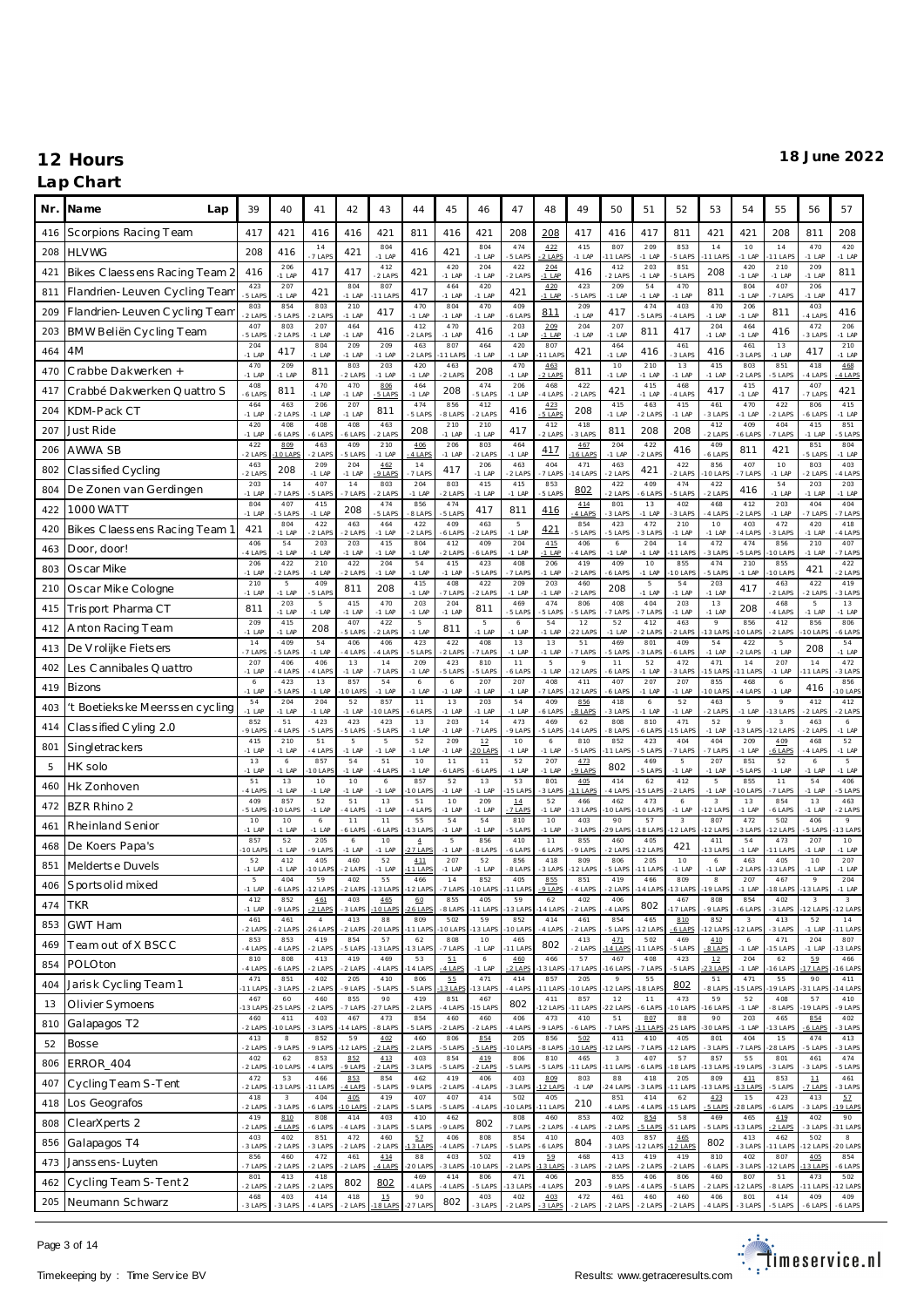### **Lap Chart**

| Nr. | Name<br>Lap                    | 39               | 40                          | 41                        | 42                         | 43                              | 44                                   | 45              | 46               | 47                     | 48                         | 49                 | 50                               | 51                      | 52                    | 53                      | 54                                   | 55                                | 56                               | 57                         |
|-----|--------------------------------|------------------|-----------------------------|---------------------------|----------------------------|---------------------------------|--------------------------------------|-----------------|------------------|------------------------|----------------------------|--------------------|----------------------------------|-------------------------|-----------------------|-------------------------|--------------------------------------|-----------------------------------|----------------------------------|----------------------------|
| 416 | Scorpions Racing Team          | 417              | 421                         | 416                       | 416                        | 421                             | 811                                  | 416             | 421              | 208                    | 208                        | 417                | 416                              | 417                     | 811                   | 421                     | 421                                  | 208                               | 811                              | 208                        |
| 208 | <b>HLVWG</b>                   | 208              | 416                         | 14<br>7 LAPS              | 421                        | 804<br>$-1$ LAP                 | 416                                  | 421             | 804<br>$-1$ LAP  | 474<br>5 LAPS          | 422<br>2 LAPS              | 415<br>$-1$ LAP    | 807<br>1 LAF                     | 209<br>$-1$ LAP         | 853<br>5 LAPS         | $1\,4$<br>1 LAP         | 10<br>$-1$ LAP                       | 14<br>1 LAPS                      | 470<br>$-1$ LAP                  | 420<br>$-1$ LAP            |
| 421 | Bikes C laessens Racing Team 2 | 416              | 206<br>$-1$ LAP             | 417                       | 417                        | 412<br>2 LAPS                   | 421                                  | 420<br>$-1$ LAP | 204<br>$-1$ LAP  | 422<br>2 LAPS          | 204<br>$-1$ LAP            | 416                | 412<br>2 LAP                     | 203<br>$-1$ LAP         | 851<br>5 LAPS         | 208                     | 420<br>$-1$ LAP                      | 210<br>$-1$ LAP                   | 209<br>$-1$ LAP                  | 811                        |
| 811 | Flandrien-Leuven Cycling Team  | 423<br>5 LAPS    | 207<br>$-1$ LAP             | 421                       | 804<br>$-1$ LAP            | 807<br>1 LAPS                   | 417                                  | 464<br>$-1$ LAP | 420<br>$-1$ LAP  | 421                    | 420<br>$-1$ LAP            | 423<br>5 LAPS      | 209<br>$-1$ LAP                  | 54<br>$-1$ LAP          | 470<br>$-1$ LAF       | 811                     | 804<br>$-1$ LAP                      | 407<br>7 LAPS                     | 206<br>$-1$ LAP                  | 417                        |
| 209 | Flandrien-Leuven Cycling Team  | 803<br>$-2$ LAPS | 854<br>5 LAPS               | 803<br>2 LAPS             | 210<br>$-1$ LAP            | 417                             | 470<br>$-1$ LAP                      | 804<br>$-1$ LAP | 470<br>$-1$ LAP  | 409<br>6 LAPS          | 811                        | 209<br>$-1$ LAP    | 417                              | 474<br>5 LAPS           | 403<br>4 LAPS         | 470<br>$-1$ LAP         | 206<br>$-1$ LAP                      | 811                               | 403<br>4 LAPS                    | 416                        |
| 203 | BMW Beliën Cycling Team        | 407<br>5 LAPS    | 803<br>2 LAPS               | 207<br>$-1$ LAP           | 464<br>$-1$ LAP            | 416                             | 412<br>2 LAPS                        | 470<br>$-1$ LAP | 416              | 203<br>$-1$ LAP        | 209<br>$-1$ LAP            | 204<br>$-1$ LAP    | 207<br>$-1$ LAP                  | 811                     | 417                   | 204<br>$-1$ LAP         | 464<br>$-1$ LAP                      | 416                               | 472<br>3 LAPS                    | 206<br>$-1$ LAP            |
| 464 | 4M                             | 204<br>$-1$ LAP  | 417                         | 804<br>$-1$ LAP           | 209<br>$-1$ LAP            | 209<br>$-1$ LAP                 | 463<br>2 LAPS                        | 807<br>1 LAP    | 464<br>$-1$ LAP  | 420<br>$-1$ LAP        | 807<br>1 LAP               | 421                | 464<br>$-1$ LAP                  | 416                     | 461<br>3 LAPS         | 416                     | 461<br>3 LAPS                        | 13<br>$-1$ LAP                    | 417                              | 210<br>$-1$ LAP            |
| 470 | Crabbe Dakwerken +             | 470<br>$-1$ LAP  | 209<br>$-1$ LAP             | 811                       | 803<br>2 LAPS              | 203<br>$-1$ LAP                 | 420<br>$-1$ LAP                      | 463<br>2 LAPS   | 208              | 470<br>$-1$ LAP        | 463<br>$2$ LAPS            | 811                | 10<br>$-1$ LAP                   | 210<br>$-1$ LAP         | 13<br>$-1$ LAP        | 415<br>$-1$ LAP         | 803<br>2 LAPS                        | 851<br>5 LAPS                     | 418<br>4 LAPS                    | 468<br>$4$ LAPS            |
| 417 | Crabbé Dakwerken Quattro S     | 408<br>6 LAPS    | 811                         | 470<br>$-1$ LAP           | 470<br>$-1$ LAP            | 806<br>5 LAPS                   | 464<br>$-1$ LAP                      | 208             | 474<br>5 LAPS    | 206<br>$-1$ LAP        | 468<br>4 LAPS              | 422<br>2 LAPS      | 421                              | 415<br>$-1$ LAP         | 468<br>4 LAPS         | 417                     | 415<br>$-1$ LAP                      | 417                               | 407<br>7 LAPS                    | 421                        |
| 204 | KDM-Pack CT                    | 464<br>$-1$ LAP  | 463<br>2 LAPS               | 206<br>$-1$ LAP           | 207<br>$-1$ LAP            | 811                             | 474<br>5 LAPS                        | 856<br>8 LAPS   | 412<br>2 LAPS    | 416                    | 423<br>5 LAPS              | 208                | 415<br>$-1$ LAP                  | 463<br>2 LAPS           | 415<br>$-1$ LAP       | 461<br>3 LAPS           | 470<br>$-1$ LAP                      | 422<br>2 LAPS                     | 806<br>6 LAPS                    | 415<br>$-1$ LAP            |
| 207 | <b>Just Ride</b>               | 420<br>$-1$ LAP  | 408<br>6 LAPS               | 408<br>6 LAPS             | 408<br>6 LAPS              | 463<br>2 LAPS                   | 208                                  | 210<br>$-1$ LAP | 210<br>$-1$ LAP  | 417                    | 412<br>$2$ LAPS            | 418<br>3 LAPS      | 811                              | 208                     | 208                   | 412<br>$2$ LAPS         | 409<br>6 LAPS                        | 404<br>7 LAPS                     | 415<br>$-1$ LAP                  | 851<br>5 LAPS              |
| 206 | AWWA SB                        | 422<br>$-2$ LAPS | 809<br>$-10$ LAPS           | 463<br>2 LAPS             | 409<br>5 LAPS              | 210<br>$-1$ LAP                 | 4.06<br>4 LAPS                       | 206<br>$-1$ LAP | 803<br>2 LAPS    | 464<br>$-1$ LAP        | 417                        | 467<br>16 LAPS     | 204<br>$-1$ LAP                  | 422<br>$2$ LAPS         | 416                   | 409<br>6 LAPS           | 811                                  | 421                               | 851<br>5 LAPS                    | 804<br>$-1$ LAP            |
| 802 | Classified Cycling             | 463<br>$-2$ LAPS | 208                         | 209<br>$-1$ LAP           | 204<br>$-1$ LAP            | 462<br>9 LAPS                   | 14<br>7 LAPS                         | 417             | 206<br>$-1$ LAP  | 463<br>2 LAPS          | 404<br>7 LAPS              | 471<br>14 LAPS     | 463<br>$-2$ LAP                  | 421                     | 422<br>2 LAPS         | 856<br>10 LAP           | 407<br>7 LAPS                        | 10<br>$-1$ LAP                    | 803<br>2 LAPS                    | 403<br>4 LAPS              |
| 804 | De Zonen van Gerdingen         | 203<br>$-1$ LAP  | 14<br>7 LAPS                | 407<br>5 LAPS             | 14<br>7 LAPS               | 803<br>2 LAPS                   | 204<br>$-1$ LAP                      | 803<br>2 LAPS   | 415<br>$-1$ LAP  | 415<br>$-1$ LAP        | 853<br>5 LAPS              | 802                | 422<br>2 LAPS                    | 409<br>6 LAPS           | 474<br>5 LAPS         | 422<br>$-2$ LAPS        | 416                                  | 54<br>$-1$ LAP                    | 203<br>$-1$ LAP                  | 203<br>$-1$ LAP            |
| 422 | 1000 WATT                      | 804<br>$-1$ LAP  | 407<br>5 LAPS               | 415<br>$-1$ LAP           | 208                        | 474<br>5 LAPS                   | 856<br>8 LAPS                        | 474<br>5 LAPS   | 417              | 811                    | 416                        | 4.14<br>4 LAPS     | 801<br>3 LAP                     | 13<br>$-1$ LAP          | 402<br>3 LAPS         | 468<br>4 LAPS           | 412<br>2 LAPS                        | 203<br>$-1$ LAP                   | 404<br>7 LAPS                    | 404<br>7 LAPS              |
| 420 | Bikes Claessens Racing Team 1  | 421              | 804<br>$-1$ LAP             | 422<br>2 LAPS             | 463<br>2 LAPS              | 464<br>$-1$ LAP                 | 422<br>2 LAPS                        | 409<br>6 LAPS   | 463<br>2 LAPS    | 5<br>$-1$ LAP          | 421                        | 854<br>5 LAPS      | 423<br>5 LAPS                    | 472<br>3 LAPS           | 210<br>$-1$ LAP       | 10<br>$-1$ LAP          | 403<br>4 LAPS                        | 472<br>3 LAPS                     | 420<br>$-1$ LAP                  | 418<br>4 LAPS              |
| 463 | Door, door!                    | 406<br>$-4$ LAPS | 54<br>$-1$ LAP              | 203<br>$-1$ LAP           | 203<br>$-1$ LAP            | 415<br>$-1$ LAP                 | 804<br>$-1$ LAP                      | 412<br>2 LAPS   | 409<br>6 LAPS    | 204<br>$-1$ LAP        | 415<br>$-1$ LAP            | 406<br>4 LAPS      | $\,$ 6 $\,$<br>$-1$ LAP          | 204<br>$-1$ LAP         | 14<br>1 LAP           | 472<br>3 LAPS           | 474<br>5 LAPS                        | 856<br>O LAPS                     | 210<br>$-1$ LAP                  | 407<br>7 LAPS              |
| 803 | Oscar Mike                     | 206<br>$-1$ LAF  | 422<br>2 LAPS               | 210<br>$-1$ LAP           | 422<br>2 LAPS              | 204<br>$-1$ LAP                 | 54<br>$-1$ LAP                       | 415<br>$-1$ LAP | 423<br>5 LAPS    | 408<br>7 LAPS          | 206<br>$-1$ LAP            | 419<br>2 LAPS      | 409<br>6 LAPS                    | 10<br>$-1$ LAP          | 855<br>O LAP          | 474<br>5 LAPS           | 210<br>$-1$ LAP                      | 855<br>O LAPS                     | 421                              | 422<br>$2$ LAP             |
| 210 | Oscar Mike Cologne             | 210<br>$-1$ LAP  | $5\phantom{.0}$<br>$-1$ LAP | 409<br>5 LAPS             | 811                        | 208                             | 415<br>$-1$ LAP                      | 408<br>7 LAPS   | 422<br>2 LAPS    | 209<br>$-1$ LAP        | 203<br>$-1$ LAP            | 460<br>2 LAPS      | 208                              | 5<br>$-1$ LAP           | 54<br>$-1$ LAP        | 203<br>$-1$ LAP         | 417                                  | 463<br>2 LAPS                     | 422<br>$2$ LAPS                  | 419<br>3 LAPS              |
| 415 | Trisport Pharma CT             | 811              | 203<br>$-1$ LAP             | 5<br>$-1$ LAP             | 415<br>$-1$ LAP            | 470<br>$-1$ LAP                 | 203<br>$-1$ LAP                      | 204<br>$-1$ LAP | 811              | 469<br>5 LAPS          | 474<br>5 LAPS              | 806<br>5 LAPS      | 408<br>7 LAPS                    | 404<br>7 LAPS           | 203<br>$-1$ LAP       | 13<br>$-1$ LAP          | 208                                  | 468<br>4 LAPS                     | 5<br>$-1$ LAP                    | 13<br>$-1$ LAP             |
| 412 | Anton Racing Team              | 209<br>$-1$ LAP  | 415<br>$-1$ LAP             | 208                       | 407<br>5 LAPS              | 422<br>2 LAPS                   | $\overline{5}$<br>$-1$ LAP           | 811             | 5<br>$-1$ LAP    | $\epsilon$<br>$-1$ LAP | 54<br>$-1$ LAP             | 12<br>22 LAP       | 52<br>$-1$ LAP                   | 412<br>2 LAPS           | 463<br>2 LAPS         | $\circ$<br>13 LAP       | 856<br>O LAPS                        | 412<br>2 LAPS                     | 856<br>IOLAP                     | 806<br>6 LAPS              |
| 413 | De V rolijke Fietsers          | 14<br>7 LAPS     | 409<br>5 LAPS               | 54<br>$-1$ LAP            | 406<br>4 LAPS              | 406<br>4 LAPS                   | 423<br>5 LAPS                        | 422<br>2 LAPS   | 408<br>7 LAPS    | 13<br>$-1$ LAP         | 13<br>$-1$ LAF             | 51<br>7 LAPS       | 469<br>5 LAP                     | 801<br>3 LAPS           | 409<br>6 LAPS         | 54<br>$-1$ LAP          | 422<br>2 LAPS                        | 5<br>$-1$ LAP                     | 208                              | 54<br>$-1$ LAP             |
| 402 | Les Cannibales Quattro         | 207<br>$-1$ LAP  | 406<br>4 LAPS               | 406<br>4 LAPS             | 13<br>$-1$ LAP             | 14<br>7 LAPS                    | 209<br>$-1$ LAP                      | 423<br>5 LAPS   | 810<br>5 LAPS    | 11<br>6 LAPS           | $\overline{5}$<br>$-1$ LAP | $\circ$<br>12 LAPS | 11<br>6 LAP                      | 52<br>$-1$ LAP          | 472<br>3 LAPS         | 471<br>15 LAP           | 14<br>1 LAP                          | 207<br>$-1$ LAP                   | 14<br>1 LAPS                     | 472<br>3 LAPS              |
| 419 | Bizons                         | 6<br>$-1$ LAP    | 423<br>5 LAPS               | 13<br>$-1$ LAP            | 857<br>10 LAP              | 54<br>$-1$ LAP                  | 6<br>$-1$ LAP                        | 6<br>$-1$ LAP   | 207<br>$-1$ LAP  | 207<br>$-1$ LAP        | 408<br>7 LAPS              | 411<br>2 LAPS      | 407<br>6 LAPS                    | 207<br>$-1$ LAP         | 207<br>$-1$ LAP       | 855<br>O LAP            | 468<br>4 LAPS                        | 6<br>$-1$ LAP                     | 416                              | 856<br>0 LAP               |
| 403 | 't Boetiekske Meerssen cycling | 54<br>$-1$ LAP   | 204<br>$-1$ LAP             | 204<br>$-1$ LAP           | 52<br>$-1$ LAP             | 857<br>10 LAPS                  | 11<br>6 LAPS                         | 13<br>$-1$ LAP  | 203<br>$-1$ LAP  | 54<br>$-1$ LAP         | 409<br>6 LAPS              | 856<br>8 LAPS      | 418<br>3 LAP                     | $\,$ 6 $\,$<br>$-1$ LAP | 52<br>$-1$ LAP        | 463<br>2 LAPS           | $\overline{5}$<br>$-1$ LAP           | $\overline{9}$<br>3 LAPS          | 412<br>$2$ LAPS                  | 412<br>$2$ LAPS            |
| 414 | Classified Cyling 2.0          | 852<br>-9 LAPS   | 51<br>4 LAPS                | 423<br>5 LAPS             | 423<br>5 LAPS              | 423<br>5 LAPS                   | 13<br>$-1$ LAP                       | 203<br>$-1$ LAP | 14<br>7 LAPS     | 473<br>9 LAP           | 469<br>5 LAPS              | 62<br>4 LAPS       | 808<br>8 LAPS                    | 810<br>6 LAPS           | 471<br>5 LAP          | 52<br>$-1$ LAP          | $\circ$<br>3 LAP                     | $\overline{\mathbf{3}}$<br>2 LAPS | 463<br>2 LAPS                    | 6<br>$-1$ LAP              |
| 801 | Singletrackers                 | 415<br>$-1$ LAP  | 210<br>$-1$ LAP             | 51<br>4 LAPS              | $\overline{5}$<br>$-1$ LAP | $\overline{5}$<br>$-1$ LAP      | 52<br>$-1$ LAP                       | 209<br>$-1$ LAP | $12\,$<br>O LAPS | 10<br>$-1$ LAP         | $\epsilon$<br>$-1$ LAP     | 810<br>5 LAPS      | 852<br>1 LAP                     | 423<br>5 LAPS           | 404<br>7 LAPS         | 404<br>7 LAPS           | 209<br>$-1$ LAP                      | 409<br>6 LAPS                     | 468<br>4 LAPS                    | 52<br>$-1$ LAP             |
| 5   | HK solo                        | 13<br>$-1$ LAP   | $\epsilon$<br>$-1$ LAP      | 857<br>10 LAP             | 54<br>$-1$ LAP             | 51<br>4 LAPS                    | 10<br>$-1$ LAP                       | 11<br>6 LAPS    | 11<br>6 LAPS     | 52<br>$-1$ LAP         | 207<br>$-1$ LAP            | 473<br>9 LAPS      | 802                              | 469<br>5 LAPS           | 5<br>$-1$ LAP         | 207<br>$-1$ LAP         | 851<br>5 LAPS                        | 52<br>$-1$ LAP                    | $\epsilon$<br>$-1$ LAP           | 5<br>$-1$ LAP              |
| 460 | Hk Zonhoven                    | 51<br>$-4$ LAP   | 13<br>$-1$ LAP              | 10<br>$-1$ LAP            | 10<br>$-1$ LAP             | $\ddot{\mathbf{6}}$<br>$-1$ LAP | 857<br>$10$ LAP                      | 52<br>$-1$ LAP  | 13<br>$-1$ LAP   | 53<br>5 LAP            | 801<br>3 LAPS              | 4.05<br>11 LAPS    | 414<br>4 LAP                     | 62<br>15 LAP            | 412<br>2 LAPS         | 5<br>$-1$ LAP           | 855<br>O LAPS                        | 11<br>7 LAPS                      | 54<br>$-1$ LAP                   | 406<br>5 LAPS              |
| 472 | BZR Rhino 2                    | 409<br>5 LAPS    | 857<br>O LAPS               | 52<br>$-1$ LAP            | 51<br>4 LAPS               | 13<br>$-1$ LAP                  | 51<br>4 LAP                          | 10<br>$-1$ LAP  | 209<br>$-1$ LAP  | 14<br>7 LAPS           | 52<br>$-1$ LAP             | 466<br>13 LAPS     | 462<br>10 LAP                    | 473<br>10 LAP           | 6<br>$-1$ LAP         | 3<br>12 LAP             | 13<br>$-1$ LAP                       | 854<br>6 LAPS                     | 13<br>$-1$ LAP                   | 463<br>$2$ LAP             |
| 461 | Rheinland Senior               | 10<br>$-1$ LAF   | 10<br>$-1$ LAP              | $\epsilon$<br>$-1$ LAP    | 11<br>6 LAPS               | 11<br>6 LAPS                    | 55<br>13 LAP                         | 54<br>$-1$ LAP  | 54<br>$-1$ LAP   | 810<br>5 LAPS          | 10<br>$-1$ LAF             | 403<br>3 LAPS      | 90<br>29 LAF                     | 57<br>18 LAP            | $\sqrt{3}$<br>12 LAPS | 807<br>12 LAP           | 472<br>3 LAPS                        | 502<br>2 LAPS                     | 406<br>5 LAPS                    | $\mathcal{Q}$<br>13 LAP    |
| 468 | De Koers Papa's                | 857<br>10 LAP    | 52<br>$-1$ LAP              | 205<br>9 LAPS             | $\epsilon$<br>$-1$ LAP     | 10<br>$-1$ LAP                  | $\ensuremath{\mathbf{4}}$<br>27 LAPS | 5<br>$-1$ LAP   | 856<br>8 LAPS    | 410<br>6 LAPS          | 11<br>6 LAPS               | 855<br>9 LAPS      | 460<br>2 LAPS                    | 405<br>2 LAPS           | 421                   | 411<br>3 LAP            | 54<br>$-1$ LAP                       | 473<br>1 LAPS                     | 207<br>$-1$ LAP                  | 10<br>$-1$ LAP             |
| 851 | Meldertse Duvels               | 52<br>$-1$ LAP   | 412<br>$-1$ LAP             | 405<br>10 LAPS            | 460<br>-2 LAPS             | 52<br>$-1$ LAP                  | 4.11<br>11 LAPS                      | 207<br>$-1$ LAP | 52<br>$-1$ LAP   | 856<br>8 LAPS          | 418<br>3 LAPS              | 809<br>2 LAPS      | 806<br>5 LAPS                    | 205<br>1 LAP            | 10<br>$-1$ LAP        | $\,$ 6 $\,$<br>$-1$ LAP | 463<br>2 LAPS                        | 405<br>3 LAPS                     | 10<br>$-1$ LAP                   | 207<br>$-1$ LAP            |
| 406 | Sports olid mixed              | 5<br>$-1$ LAP    | 404<br>-6 LAPS              | 59<br>12 LAPS             | 402<br>2 LAPS              | 55<br>13 LAPS                   | 466<br>12 LAPS                       | 14<br>-7 LAPS   | 852<br>O LAPS    | 405<br>11 LAPS         | 855<br>9 LAPS              | 851<br>4 LAPS      | 419<br>2 LAPS                    | 466<br>14 LAPS          | 809<br>3 LAPS         | 8<br>19 LAPS            | 207<br>$-1$ LAP                      | 467<br>8 LAPS                     | 9<br>3 LAPS                      | 204<br>$-1$ LAP            |
| 474 | <b>TKR</b>                     | 412<br>$-1$ LAP  | 852<br>9 LAPS               | 461<br>2 LAPS             | 403<br>3 LAPS              | 465<br>10 LAPS                  | 60<br><b>26 LAPS</b>                 | 855<br>-8 LAPS  | 405<br>1 LAPS    | 59<br>13 LAPS          | 62<br>4 LAP                | 402<br>2 LAPS      | 406<br>4 LAPS                    | 802                     | 467<br>7 LAPS         | 808<br>9 LAPS           | 854<br>6 LAPS                        | 402<br>3 LAPS                     | 3<br>2 LAPS                      | $\mathbf{3}$<br>$-12$ LAPS |
| 853 | GWT Ham                        | 461<br>$-2$ LAPS | 461<br>2 LAPS               | $\overline{4}$<br>26 LAPS | 413<br>2 LAPS              | 88<br>20 LAPS                   | 809<br>11 LAPS                       | 502<br>10 LAP   | 59<br>3 LAPS     | 852<br>O LAP           | 414<br>4 LAPS              | 461<br>2 LAPS      | 854<br>5 LAPS                    | 465<br>$12$ LAP         | 810<br>6 LAPS         | 852<br>2 LAP            | $\overline{\mathbf{3}}$<br>$12$ LAPS | 413<br>3 LAPS                     | 52<br>$-1$ LAP                   | 14<br>11 LAPS              |
| 469 | Team out of X BSCC             | 853<br>-4 LAPS   | 853<br>4 LAPS               | 419<br>2 LAPS             | 854<br>5 LAPS              | 57<br>13 LAPS                   | 62<br>13 LAP                         | 808<br>7 LAPS   | 10<br>$-1$ LAP   | 465<br>11 LAPS         | 802                        | 413<br>2 LAPS      | 471<br>4 LAP                     | 502<br>11 LAP           | 469<br>5 LAPS         | 410<br>8 LAPS           | $\,$ 6 $\,$<br>$-1$ LAP              | 471<br>5 LAPS                     | 204<br>$-1$ LAP                  | 807<br>3 LAP               |
| 854 | POLOton                        | 810<br>-4 LAPS   | 808<br>6 LAPS               | 413<br>2 LAPS             | 419<br>2 LAPS              | 469<br>4 LAPS                   | 53<br>14 LAP                         | 51<br>4 LAPS    | 6<br>$-1$ LAP    | 460<br>2 LAPS          | 466<br>3 LAPS              | 57<br>17 LAPS      | 467<br>16 LAP                    | 408<br>7 LAPS           | 423<br>5 LAPS         | 12<br>23 LAP            | 204<br>$-1$ LAP                      | 62<br>6 LAPS                      | 59<br>7 LAP                      | 466<br>16 LAP              |
| 404 | Jarisk Cycling Team1           | 471<br>11 LAP    | 851<br>3 LAPS               | 402<br>2 LAPS             | 205<br>9 LAPS              | 410<br>5 LAPS                   | 806<br>5 LAPS                        | 55<br>13 LAPS   | 471<br>3 LAPS    | 414<br>4 LAPS          | 857<br>1 LAP               | 205<br>10 LAPS     | $\overline{9}$<br>12 LAP         | 55<br>18 LAP            | 802                   | 51<br>8 LAPS            | 471<br>5 LAPS                        | 55<br>19 LAPS                     | 90<br>31 LAP                     | 411<br>4 LAP               |
| 13  | Olivier Symoens                | 467<br>13 LAPS   | 60<br>25 LAPS               | 460<br>2 LAPS             | 855<br>7 LAPS              | 90<br>27 LAPS                   | 419<br>2 LAPS                        | 851<br>4 LAPS   | 467<br>5 LAPS    | 802                    | 411<br>2 LAP               | 857<br>11 LAPS     | 12<br>22 LAP                     | 11<br>6 LAPS            | 473<br>0 LAPS         | 59<br>16 LAP            | 52<br>$-1$ LAP                       | 408<br>8 LAPS                     | 57<br>9 LAP                      | 410<br>9 LAPS              |
| 810 | Galapagos T2                   | 460<br>-2 LAPS   | 411<br>10 LAPS              | 403<br>3 LAPS             | 467<br>4 LAPS              | 473<br>8 LAPS                   | 854<br>5 LAPS                        | 460<br>2 LAPS   | 460<br>2 LAPS    | 406<br>4 LAPS          | 473<br>9 LAPS              | 410<br>6 LAPS      | 51<br>7 LAPS                     | 807<br>11 LAPS          | 88<br>25 LAPS         | 90<br>30 LAP            | 203<br>-1 LAP                        | 465<br>3 LAPS                     | 854<br>6 LAPS                    | 402<br>3 LAPS              |
| 52  | Bosse                          | 413<br>-2 LAPS   | 8<br>-9 LAPS                | 852<br>9 LAPS             | 59<br>12 LAP               | 402<br>2 LAPS                   | 460<br>2 LAPS                        | 806<br>5 LAPS   | 854<br>5 LAPS    | 205<br>O LAP           | 856<br>8 LAPS              | 5.02<br>10 LAPS    | 411<br>12 LAP                    | 410<br>7 LAPS           | 405<br>2 LAPS         | 801<br>3 LAPS           | 404<br>7 LAPS                        | 15<br>8 LAPS                      | 474<br>5 LAPS                    | 413<br>3 LAPS              |
| 806 | ERROR_404                      | 402<br>2 LAPS    | 62<br>0 LAPS                | 853<br>4 LAPS             | 852<br>9 LAPS              | 413<br>2 LAPS                   | 403<br>3 LAPS                        | 854<br>5 LAPS   | 419<br>2 LAPS    | 806<br>5 LAPS          | 810<br>5 LAPS              | 465<br>11 LAP      | $\overline{\mathbf{3}}$<br>1 LAP | 407<br>6 LAPS           | 57<br>8 LAP           | 857<br>13 LAP           | 55<br>9 LAP                          | 801<br>3 LAPS                     | 461<br>3 LAPS                    | 474<br>5 LAPS              |
| 407 | Cycling Team S-Tent            | 472<br>$-2$ LAPS | 53<br>13 LAPS               | 466<br>$11$ LAPS          | 853<br>4 LAPS              | 854<br>5 LAPS                   | 462<br>9 LAPS                        | 419<br>-2 LAPS  | 406<br>4 LAPS    | 403<br>3 LAPS          | 809<br>2 LAPS              | 803<br>$-1$ LAP    | 88<br>4 LAP                      | 418<br>3 LAPS           | 205<br>11 LAPS        | 809<br>3 LAP            | 4.11<br>13 LAPS                      | 853<br>5 LAPS                     | $\mathbf{1}\mathbf{1}$<br>7 LAPS | 461<br>3 LAPS              |
| 418 | Los Geografos                  | 418<br>-2 LAPS   | $\mathbf{3}$<br>3 LAPS      | 404<br>6 LAPS             | 405<br>0 LAPS              | 419<br>2 LAPS                   | 407<br>5 LAPS                        | 407<br>-5 LAPS  | 414<br>4 LAPS    | 502<br>10 LAPS         | 405<br>1 LAP               | 210                | 851<br>4 LAPS                    | 414<br>4 LAPS           | 62<br>5 LAPS          | 423<br>5 LAPS           | 15<br>$-28$ LAPS                     | 423<br>6 LAPS                     | 413<br>3 LAPS                    | 52<br>9 LAP                |
| 808 | ClearXperts 2                  | 419<br>2 LAPS    | 810<br>4 LAPS               | 808<br>6 LAPS             | 414<br>4 LAPS              | 403<br>3 LAPS                   | 410<br>5 LAPS                        | 462<br>9 LAPS   | 802              | 808<br>7 LAPS          | 460<br>2 LAPS              | 853<br>4 LAPS      | 402<br>2 LAPS                    | 854<br>-5 LAPS          | 58<br>51 LAPS         | 469<br>5 LAPS           | 465<br>13 LAPS                       | 419<br>2 LAPS                     | 402<br>3 LAPS                    | 90<br>31 LAPS              |
| 856 | Galapagos T4                   | 403<br>3 LAPS    | 402<br>2 LAPS               | 851<br>3 LAPS             | 472<br>2 LAPS              | 460<br>2 LAPS                   | 57<br>3 LAPS                         | 406<br>4 LAPS   | 808<br>7 LAPS    | 854<br>5 LAPS          | 410<br>6 LAPS              | 804                | 403<br>3 LAPS                    | 857<br>12 LAP           | 465<br>2 LAPS         | 802                     | 413<br>3 LAPS                        | 462<br>1 LAPS                     | 502<br>2 LAP                     | 8<br>20 LAPS               |
| 473 | Janssens-Luyten                | 856<br>-7 LAPS   | 460<br>2 LAPS               | 472<br>2 LAPS             | 461<br>2 LAPS              | 414<br>-4 LAPS                  | 88<br>20 LAPS                        | 403<br>3 LAPS   | 502<br>0 LAPS    | 419<br>2 LAPS          | 59<br>3 LAP                | 468<br>3 LAPS      | 413<br>2 LAPS                    | 419<br>2 LAPS           | 419<br>2 LAPS         | 810<br>6 LAPS           | 402<br>3 LAPS                        | 807<br>2 LAPS                     | 4.05<br>3 LAP                    | 854<br>6 LAPS              |
| 462 | Cycling Team S-Tent 2          | 801<br>-2 LAPS   | 413<br>2 LAPS               | 418<br>2 LAPS             | 802                        | 802                             | 469<br>4 LAPS                        | 414<br>4 LAPS   | 806<br>5 LAPS    | 471<br>3 LAP           | 406<br>4 LAPS              | 203                | 855<br>9 LAPS                    | 406<br>4 LAPS           | 806<br>5 LAPS         | 460<br>2 LAPS           | 807<br>2 LAPS                        | 51<br>8 LAPS                      | 473<br>1 LAPS                    | 502<br>2 LAPS              |
| 205 | Neumann Schwarz                | 468<br>-3 LAPS   | 403<br>-3 LAPS              | 414<br>-4 LAPS            | 418                        | 15<br>8 LAPS                    | 90<br>271AP                          | 802             | 403<br>3 LAPS    | $4\,02$<br>2 LAPS      | 403<br>3 LAF               | 472<br>2 LAPS      | 461<br>2 LAP                     | 460<br>2 LAP            | 460<br>2 LAPS         | 406<br>4 LAP            | 801<br>3 LAPS                        | 414<br>5 LAPS                     | 409<br>6 LAPS                    | 409<br>6 LAPS              |

Page 3 of 14

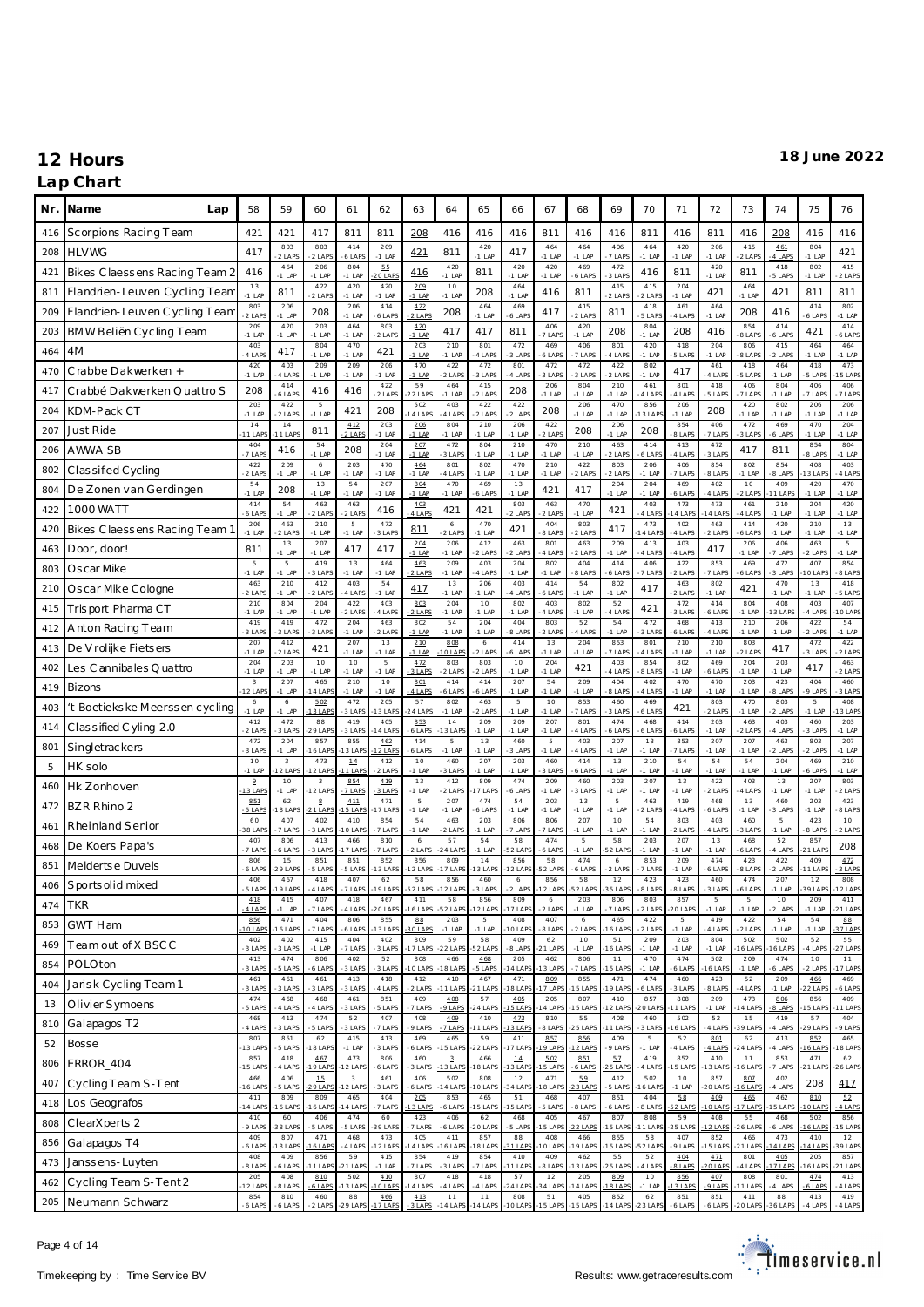### **Lap Chart**

| Nr. | Na me<br>Lap                   | 58                       | 59                     | 60                         | 61                     | 62                   | 63               | 64                    | 65                   | 66               | 67               | 68                   | 69                   | 70              | 71               | 72              | 73              | 74              | 75                         | 76                          |
|-----|--------------------------------|--------------------------|------------------------|----------------------------|------------------------|----------------------|------------------|-----------------------|----------------------|------------------|------------------|----------------------|----------------------|-----------------|------------------|-----------------|-----------------|-----------------|----------------------------|-----------------------------|
| 416 | Scorpions Racing Team          | 421                      | 421                    | 417                        | 811                    | 811                  | 208              | 416                   | 416                  | 416              | 811              | 416                  | 416                  | 811             | 416              | 811             | 416             | 208             | 416                        | 416                         |
| 208 | <b>HLVWG</b>                   | 417                      | 803<br>2 LAPS          | 803<br>2 LAPS              | 414<br>6 LAPS          | 209<br>$-1$ LAP      | 421              | 811                   | 420<br>$-1$ LAP      | 417              | 464<br>$-1$ LAP  | 464<br>$-1$ LAP      | 406<br>7 LAP         | 464<br>$-1$ LAF | 420<br>$-1$ LAP  | 206<br>$-1$ LAP | 415<br>2 LAPS   | 461<br>4 LAPS   | 804<br>$-1$ LAP            | 421                         |
| 421 | Bikes Claessens Racing Team 2  | 416                      | 464<br>$-1$ LAP        | 206<br>$-1$ LAP            | 804<br>$-1$ LAP        | 55<br><b>20 LAPS</b> | 416              | 420<br>$-1$ LAP       | 811                  | 420<br>$-1$ LAP  | 420<br>$-1$ LAP  | 469<br>6 LAPS        | 472<br>3 LAP         | 416             | 811              | 420<br>$-1$ LAP | 811             | 418<br>5 LAPS   | 802<br>$-1$ LAP            | 415<br>2 LAPS               |
| 811 | Flandrien-Leuven Cycling Team  | 13<br>$-1$ LAP           | 811                    | 422<br>2 LAPS              | 420<br>$-1$ LAP        | 420<br>$-1$ LAP      | 209<br>$-1$ LAP  | 10<br>$-1$ LAP        | 208                  | 464<br>$-1$ LAP  | 416              | 811                  | 415<br>$2$ LAP       | 415<br>2 LAPS   | 204<br>$-1$ LAP  | 421             | 464<br>$-1$ LAP | 421             | 811                        | 811                         |
| 209 | Flandrien-Leuven Cycling Team  | 803<br>2 LAPS            | 206<br>$-1$ LAP        | 208                        | 206<br>$-1$ LAF        | 414<br>6 LAPS        | 4.22<br>2 LAPS   | 208                   | 464<br>$-1$ LAP      | 469<br>6 LAPS    | 417              | 415<br>2 LAPS        | 811                  | 418<br>5 LAPS   | 461<br>4 LAPS    | 464<br>$-1$ LAP | 208             | 416             | 414<br>6 LAP               | 802<br>$-1$ LAP             |
| 203 | BMW Beliën Cycling Team        | 209<br>$-1$ LAP          | 420<br>$-1$ LAP        | 203<br>$-1$ LAP            | 464<br>$-1$ LAP        | 803<br>2 LAPS        | 4.20<br>$-1$ LAP | 417                   | 417                  | 811              | 406<br>7 LAPS    | 420<br>$-1$ LAP      | 208                  | 804<br>$-1$ LAF | 208              | 416             | 854<br>8 LAPS   | 414<br>6 LAPS   | 421                        | 414<br>6 LAPS               |
| 464 | 4M                             | 403<br>4 LAPS            | 417                    | 804<br>$-1$ LAP            | 470<br>$-1$ LAP        | 421                  | 203<br>$-1$ LAP  | 210<br>$-1$ LAP       | 801<br>4 LAPS        | 472<br>3 LAPS    | 469<br>6 LAP     | 406<br>7 LAPS        | 801<br>4 LAPS        | 420<br>$-1$ LAP | 418<br>5 LAPS    | 204<br>$-1$ LAP | 806<br>8 LAPS   | 415<br>2 LAPS   | 464<br>$-1$ LAP            | 464<br>$-1$ LAP             |
| 470 | Crabbe Dakwerken +             | 420<br>$-1$ LAF          | 403<br>4 LAPS          | 209<br>$-1$ LAP            | 209<br>$-1$ LAP        | 206<br>$-1$ LAP      | 470<br>$-1$ LAP  | 422<br>2 LAPS         | 472<br>3 LAPS        | 801<br>4 LAPS    | 472<br>3 LAPS    | 472<br>3 LAPS        | 422<br>2 LAPS        | 802<br>$-1$ LAF | 417              | 461<br>4 LAPS   | 418<br>5 LAPS   | 464<br>$-1$ LAP | 418<br>5 LAPS              | 473<br>5 LAP                |
| 417 | Crabbé Dakwerken Quattro S     | 208                      | 414<br>6 LAPS          | 416                        | 416                    | 422<br>2 LAPS        | 59<br>22 LAP     | 464<br>$-1$ LAP       | 415<br>2 LAPS        | 208              | 206<br>$-1$ LAP  | 804<br>$-1$ LAP      | 210<br>$-1$ LAP      | 461<br>4 LAPS   | 801<br>4 LAPS    | 418<br>5 LAPS   | 406<br>7 LAPS   | 804<br>$-1$ LAP | 406<br>7 LAPS              | 406<br>7 LAPS               |
| 204 | KDM-Pack CT                    | 203<br>$-1$ LAP          | 422<br>2 LAPS          | $\overline{5}$<br>$-1$ LAP | 421                    | 208                  | 502<br>4 LAP     | 403<br>4 LAPS         | 422<br>2 LAPS        | 422<br>2 LAPS    | 208              | 206<br>$-1$ LAP      | 470<br>$-1$ LAP      | 856<br>13 LAP   | 206<br>$-1$ LAP  | 208             | 420<br>$-1$ LAP | 802<br>$-1$ LAP | 206<br>$-1$ LAP            | 206<br>$-1$ LAP             |
| 207 | Just Ride                      | 14<br>$11$ LAP           | $1\,4$<br>1 LAPS       | 811                        | 412<br>2 LAPS          | 203<br>$-1$ LAP      | 206<br>$-1$ LAP  | 804<br>$-1$ LAP       | 210<br>$-1$ LAP      | 206<br>$-1$ LAP  | 422<br>$-2$ LAP  | 208                  | 206<br>$-1$ LAP      | 208             | 854<br>8 LAPS    | 406<br>7 LAPS   | 472<br>3 LAPS   | 469<br>6 LAPS   | 470<br>$-1$ LAP            | 204<br>$-1$ LAP             |
| 206 | AWWA SB                        | 404<br>7 LAPS            | 416                    | 54<br>$-1$ LAP             | 208                    | 204<br>$-1$ LAP      | 207<br>$-1$ LAP  | 472<br>3 LAPS         | 804<br>$-1$ LAP      | 210<br>$-1$ LAP  | 470<br>$-1$ LAP  | 210<br>$-1$ LAP      | 463<br>$2$ LAP       | 414<br>6 LAPS   | 413<br>4 LAPS    | 472<br>3 LAPS   | 417             | 811             | 854<br>8 LAPS              | 804<br>$-1$ LAP             |
| 802 | Classified Cycling             | 422<br>$-2$ LAPS         | 209<br>$-1$ LAP        | $\epsilon$<br>$-1$ LAP     | 203<br>$-1$ LAP        | 470<br>$-1$ LAP      | 464<br>$-1$ LAP  | 801<br>4 LAPS         | 802<br>$-1$ LAP      | 470<br>$-1$ LAP  | 210<br>$-1$ LAP  | 422<br>2 LAPS        | 803<br>2 LAPS        | 206<br>$-1$ LAP | 406<br>7 LAPS    | 854<br>8 LAPS   | 802<br>$-1$ LAP | 854<br>8 LAPS   | 408<br>3 LAP               | 403<br>4 LAPS               |
| 804 | De Zonen van Gerdingen         | 54<br>$-1$ LAF           | 208                    | 13<br>$-1$ LAP             | 54<br>$-1$ LAP         | 207<br>$-1$ LAP      | 804<br>$-1$ LAP  | 470<br>$-1$ LAP       | 469<br>6 LAPS        | 13<br>$-1$ LAP   | 421              | 417                  | 204<br>$-1$ LAP      | 204<br>$-1$ LAP | 469<br>6 LAPS    | 402<br>4 LAPS   | 10<br>2 LAPS    | 409<br>1 LAPS   | 420<br>$-1$ LAP            | 470<br>$-1$ LAP             |
| 422 | <b>1000 WATT</b>               | 414<br>6 LAPS            | 54<br>$-1$ LAP         | 463<br>2 LAPS              | 463<br>2 LAPS          | 416                  | 403<br>$4$ LAPS  | 421                   | 421                  | 803<br>2 LAPS    | 463<br>$-2$ LAP  | 470<br>$-1$ LAP      | 421                  | 403<br>4 LAPS   | 473<br>4 LAP     | 473<br>4 LAP    | 461<br>4 LAPS   | 210<br>$-1$ LAP | 204<br>$-1$ LAP            | 420<br>$-1$ LAP             |
| 420 | Bikes Claessens Racing Team 1  | 206<br>$-1$ LAF          | 463<br>2 LAPS          | 210<br>$-1$ LAP            | 5<br>$-1$ LAP          | 472<br>3 LAPS        | 811              | 6<br>2 LAPS           | 470<br>$-1$ LAP      | 421              | 404<br>8 LAP     | 803<br>2 LAPS        | 417                  | 473<br>4 LAP    | 402<br>4 LAPS    | 463<br>2 LAPS   | 414<br>6 LAPS   | 420<br>$-1$ LAP | 210<br>$-1$ LAP            | 13<br>$-1$ LAP              |
| 463 | Door, door!                    | 811                      | 13<br>$-1$ LAP         | 207<br>$-1$ LAP            | 417                    | 417                  | 204<br>$-1$ LAP  | 206<br>$-1$ LAP       | 412<br>2 LAPS        | 463<br>2 LAPS    | 801<br>-4 LAP    | 463<br>2 LAPS        | 209<br>$-1$ LAP      | 413<br>4 LAPS   | 403<br>4 LAPS    | 417             | 206<br>$-1$ LAP | 406<br>7 LAPS   | 463<br>2 LAPS              | $5\phantom{.0}$<br>$-1$ LAP |
| 803 | Oscar Mike                     | 5<br>$-1$ LAF            | 5<br>$-1$ LAP          | 419<br>3 LAPS              | 13<br>$-1$ LAP         | 464<br>$-1$ LAP      | 463<br>$-2$ LAPS | 209<br>$-1$ LAP       | 403<br>4 LAPS        | 204<br>$-1$ LAP  | 802<br>$-1$ LAP  | 404<br>8 LAPS        | 414<br>6 LAP         | 406<br>7 LAPS   | 422<br>2 LAPS    | 853<br>7 LAPS   | 469<br>6 LAPS   | 472<br>3 LAPS   | 407<br>0 LAP               | 854<br>8 LAPS               |
| 210 | Oscar Mike Cologne             | 463<br>$2$ LAPS          | 210<br>$-1$ LAP        | 412<br>2 LAPS              | 403<br>4 LAPS          | 54<br>$-1$ LAP       | 417              | 13<br>$-1$ LAP        | 206<br>$-1$ LAP      | 403<br>4 LAPS    | 414<br>6 LAP     | 54<br>$-1$ LAP       | 802<br>$-1$ LAP      | 417             | 463<br>2 LAPS    | 802<br>$-1$ LAP | 421             | 470<br>$-1$ LAP | 13<br>$-1$ LAP             | 418<br>5 LAPS               |
| 415 | Trisport Pharma CT             | 210<br>$-1$ LAF          | 804<br>$-1$ LAP        | 204<br>$-1$ LAP            | 422<br>2 LAPS          | 403<br>4 LAPS        | 803<br>$2$ LAPS  | 204<br>$-1$ LAP       | 10<br>$-1$ LAP       | 802<br>$-1$ LAP  | 403<br>4 LAP     | 802<br>$-1$ LAP      | 52<br>$4$ LAP        | 421             | 472<br>3 LAPS    | 414<br>6 LAPS   | 804<br>$-1$ LAP | 408<br>13 LAPS  | 403<br>4 LAPS              | 407<br>0 LAP                |
| 412 | Anton Racing Team              | 419<br>3 LAPS            | 419<br>3 LAPS          | 472<br>3 LAPS              | 204<br>$-1$ LAP        | 463<br>2 LAPS        | 802<br>$-1$ LAP  | 54<br>$-1$ LAP        | 204<br>$-1$ LAP      | 404<br>-8 LAPS   | 803<br>$-2$ LAPS | 52<br>4 LAPS         | 54<br>$-1$ LAP       | 472<br>3 LAPS   | 468<br>6 LAPS    | 413<br>4 LAPS   | 210<br>$-1$ LAP | 206<br>$-1$ LAP | 422<br>-2 LAPS             | 54<br>$-1$ LAP              |
| 413 | De V rolijke Fietsers          | 207<br>$-1$ LAP          | 412<br>2 LAPS          | 421                        | 207<br>$-1$ LAP        | 13<br>$-1$ LAP       | 210<br>$-1$ LAP  | 808<br>0 LAPS         | $\epsilon$<br>2 LAPS | 414<br>6 LAPS    | 13<br>$-1$ LAP   | 204<br>$-1$ LAP      | 853<br>7 LAPS        | 801<br>4 LAPS   | 210<br>$-1$ LAP  | 210<br>$-1$ LAP | 803<br>2 LAPS   | 417             | 472<br>3 LAPS              | 422<br>$-2$ LAPS            |
| 402 | Les Cannibales Quattro         | 204<br>$-1$ LAP          | 203<br>$-1$ LAP        | 10<br>$-1$ LAP             | 10<br>$-1$ LAP         | 5<br>$-1$ LAP        | 472<br>3 LAPS    | 803<br>2 LAPS         | 803<br>2 LAPS        | 10<br>$-1$ LAP   | 204<br>$-1$ LAP  | 421                  | 403<br>4 LAPS        | 854<br>8 LAPS   | 802<br>$-1$ LAP  | 469<br>6 LAPS   | 204<br>$-1$ LAP | 203<br>$-1$ LAP | 417                        | 463<br>2 LAPS               |
| 419 | Bizons                         | 3<br>$-12$ LAP           | 207<br>$-1$ LAP        | 465<br>4 LAPS              | 210<br>$-1$ LAP        | 10<br>$-1$ LAP       | 801<br>$-4$ LAPS | 414<br>6 LAPS         | 414<br>6 LAPS        | 207<br>$-1$ LAP  | 54<br>$-1$ LAP   | 209<br>$-1$ LAP      | 404<br>8 LAPS        | 402<br>4 LAPS   | 470<br>$-1$ LAP  | 470<br>$-1$ LAP | 203<br>$-1$ LAP | 423<br>8 LAPS   | 404<br>9 LAPS              | 460<br>3 LAPS               |
| 403 | 't Boetiekske Meerssen cycling | 6<br>$-1$ LAP            | $\epsilon$<br>$-1$ LAP | 5.02<br>3 LAPS             | 472<br>3 LAPS          | 205<br>13 LAPS       | 57<br>24 LAP     | 802<br>$-1$ LAP       | 463<br>2 LAPS        | 5<br>$-1$ LAP    | 10<br>$-1$ LAP   | 853<br>7 LAPS        | 460<br>3 LAPS        | 469<br>6 LAPS   | 421              | 803<br>2 LAPS   | 470<br>$-1$ LAP | 803<br>2 LAPS   | $\overline{5}$<br>$-1$ LAP | 408<br>3 LAP                |
| 414 | Classified Cyling 2.0          | 412<br>2 LAPS            | 472<br>3 LAPS          | 88<br>29 LAP               | 419<br>3 LAPS          | 405<br>4 LAPS        | 853<br>$6$ LAPS  | 14<br>3 LAP           | 209<br>$-1$ LAP      | 209<br>$-1$ LAP  | 207<br>$-1$ LAP  | 801<br>4 LAPS        | 474<br>6 LAPS        | 468<br>6 LAPS   | 414<br>6 LAPS    | 203<br>$-1$ LAP | 463<br>2 LAPS   | 403<br>4 LAPS   | 460<br>3 LAPS              | 203<br>$-1$ LAP             |
| 801 | Singletrackers                 | 472<br>3 LAPS            | 204<br>$-1$ LAP        | 857<br>6 LAPS              | 855<br>13 LAPS         | 462<br>12 LAPS       | 414<br>6 LAPS    | 5<br>$-1$ LAP         | 13<br>$-1$ LAP       | 460<br>3 LAPS    | 5<br>$-1$ LAP    | 403<br>4 LAPS        | 207<br>$-1$ LAP      | 13<br>$-1$ LAP  | 853<br>7 LAPS    | 207<br>$-1$ LAP | 207<br>$-1$ LAP | 463<br>2 LAPS   | 803<br>2 LAPS              | 207<br>$-1$ LAP             |
| 5   | HK solo                        | 10<br>$-1$ LAF           | 3<br>12 LAPS           | 473<br>$-12$ LAPS          | 14<br>11 LAPS          | 412<br>2 LAPS        | 10<br>$-1$ LAP   | 460<br>3 LAPS         | 207<br>$-1$ LAP      | 203<br>$-1$ LAP  | 460<br>3 LAP     | 414<br>6 LAPS        | 13<br>$-1$ LAP       | 210<br>$-1$ LAP | 54<br>$-1$ LAP   | 54<br>$-1$ LAP  | 54<br>$-1$ LAP  | 204<br>$-1$ LAP | 469<br>6 LAPS              | 210<br>$-1$ LAP             |
| 460 | Hk Zonhoven                    | $\overline{2}$<br>13 LAF | 10<br>$-1$ LAP         | $_{3}$<br>$-12$ LAPS       | 854<br>7 LAPS          | 419<br>3 LAPS        | 13<br>$-1$ LAP   | 412<br>2 LAPS         | 809<br>7 LAPS        | 474<br>6 LAPS    | 209<br>$-1$ LAP  | 460<br>3 LAPS        | 203<br>$-1$ LAP      | 207<br>$-1$ LAP | 13<br>$-1$ LAP   | 422<br>2 LAPS   | 403<br>4 LAPS   | 13<br>$-1$ LAP  | 207<br>$-1$ LAP            | 803<br>2 LAPS               |
| 472 | BZR Rhino 2                    | 851<br>5 LAPS            | 62<br>8 LAPS           | $\mathbf{g}$<br>21 LAPS    | 411<br>5 LAPS          | 471<br>7 LAPS        | 5<br>$-1$ LAP    | 207<br>$-1$ LAP       | 474<br>6 LAPS        | 54<br>$-1$ LAP   | 203<br>$-1$ LAP  | 13<br>$-1$ LAP       | 5<br>$-1$ LAP        | 463<br>2 LAPS   | 419<br>4 LAPS    | 468<br>6 LAPS   | 13<br>$-1$ LAP  | 460<br>3 LAPS   | 203<br>$-1$ LAP            | 423<br>8 LAPS               |
| 461 | Rheinland Senior               | 60<br>38 LAF             | 407<br>7 LAPS          | 402<br>3 LAPS              | 410<br>10 LAPS         | 854<br>7 LAPS        | 54<br>$-1$ LAP   | 463<br>2 LAPS         | 203<br>$-1$ LAP      | 806<br>7 LAPS    | 806<br>7 LAP     | 207<br>$-1$ LAP      | 10<br>$-1$ LAP       | 54<br>$-1$ LAP  | 803<br>2 LAPS    | 403<br>4 LAPS   | 460<br>3 LAPS   | 5<br>$-1$ LAP   | 423<br>8 LAPS              | 10<br>2 LAPS                |
| 468 | De Koers Papa's                | 407<br>7 LAPS            | 806<br>6 LAPS          | 413<br>3 LAPS              | 466<br>7 LAPS          | 810<br>7 LAPS        | 6<br>2 LAPS      | 57<br>24 LAPS         | 54<br>$-1$ LAP       | 58<br>52 LAP     | 474<br>6 LAP     | 5<br>$-1$ LAP        | 58<br>52 LAP         | 203<br>$-1$ LAP | 207<br>$-1$ LAP  | 13<br>$-1$ LAP  | 468<br>6 LAPS   | 52<br>4 LAPS    | 857<br>1 LAP               | 208                         |
| 851 | Melderts e Duvels              | 806<br>6 LAP             | 15<br>29 LAPS          | 851<br>5 LAPS              | 851<br>5 LAPS          | 852<br>13 LAPS       | 856<br>12 LAP    | 809<br>7 LAPS         | $1\,4$<br>3 LAPS     | 856<br>2 LAP     | 58<br>52 LAP     | 474<br>6 LAPS        | $\epsilon$<br>2 LAPS | 853<br>7 LAPS   | 209<br>$-1$ LAP  | 474<br>6 LAPS   | 423<br>8 LAPS   | 422<br>2 LAPS   | 409<br>1 LAP               | 4.72<br>3 LAPS              |
| 406 | Sports olid mixed              | 406<br>-5 LAPS           | 467<br>9 LAPS          | 418<br>-4 LAPS             | 407<br>-7 LAPS         | 62<br>19 LAPS        | 58<br>52 LAPS    | 856<br>12 LAPS        | 460<br>-3 LAPS       | 6<br>-2 LAPS     | 856<br>2 LAPS    | 58<br>52 LAPS        | 12<br>35 LAPS        | 423<br>8 LAPS   | 423<br>8 LAPS    | 460<br>3 LAPS   | 474<br>6 LAPS   | 207<br>$-1$ LAP | 12<br>39 LAPS              | 808<br>12 LAPS              |
| 474 | <b>TKR</b>                     | 418<br>4 LAPS            | 415<br>$-1$ LAP        | 407<br>7 LAPS              | 418<br>4 LAPS          | 467<br>$-20$ LAPS    | 411<br>16 LAPS   | 58<br>52 LAPS         | 856<br>12 LAPS       | 809<br>17 LAPS   | 6<br>$-2$ LAPS   | 203<br>$-1$ LAP      | 806<br>7 LAPS        | 803<br>2 LAPS   | 857<br>20 LAP    | 5<br>$-1$ LAP   | 5<br>$-1$ LAP   | 10<br>2 LAPS    | 209<br>$-1$ LAP            | 411<br>21 LAPS              |
| 853 | <b>GWT Ham</b>                 | 856<br>$10$ LAP          | 471<br>16 LAPS         | 404<br>7 LAPS              | 806<br>6 LAPS          | 855<br>13 LAPS       | 88<br>30 LAPS    | 203<br>$-1$ LAP       | 5<br>$-1$ LAP        | 408<br>10 LAPS   | 407<br>8 LAPS    | 6<br>2 LAPS          | 465<br>16 LAP!       | 422<br>2 LAPS   | 5<br>$-1$ LAP    | 419<br>4 LAPS   | 422<br>2 LAPS   | 54<br>$-1$ LAP  | 54<br>$-1$ LAP             | 88<br>37 LAPS               |
| 469 | Team out of X BSCC             | 402<br>3 LAPS            | 402<br>3 LAPS          | 415<br>$-1$ LAP            | 404<br>7 LAPS          | 402<br>3 LAPS        | 809<br>7 LAPS    | 59<br>22 LAPS         | 58<br>52 LAPS        | 409<br>8 LAPS    | 62<br>21 LAP     | 10<br>$-1$ LAP       | 51<br>16 LAF         | 209<br>$-1$ LAP | 203<br>-1 LAP    | 804<br>-1 LAP   | 502<br>6 LAPS   | 502<br>6 LAPS   | 52<br>4 LAPS               | 55<br>27 LAPS               |
| 854 | POLOton                        | 413<br>3 LAPS            | 474<br>5 LAPS          | 806<br>6 LAPS              | 402<br>3 LAPS          | 52<br>3 LAPS         | 808<br>10 LAP    | 466<br>18 LAPS        | 468<br>5 LAPS        | 205<br>14 LAP    | 462<br>13 LAP    | 806<br>7 LAPS        | 11<br>$15$ LAP       | 470<br>$-1$ LAP | 474<br>6 LAPS    | 502<br>16 LAP!  | 209<br>$-1$ LAP | 474<br>6 LAPS   | 10<br>2 LAPS               | 11<br>7 LAPS                |
| 404 | Jarisk Cycling Team 1          | 461<br>3 LAPS            | 461<br>3 LAPS          | 461<br>3 LAPS              | 413<br>3 LAPS          | 418<br>4 LAPS        | 412<br>2 LAPS    | 410<br>1 LAPS         | 467<br>21 LAPS       | 471<br>8 LAPS    | 809<br>7 LAPS    | 855<br><b>5 LAPS</b> | 471<br>19 LAP        | 474<br>6 LAPS   | 460<br>3 LAPS    | 423<br>8 LAPS   | 52<br>4 LAPS    | 209<br>$-1$ LAP | 466<br>2 LAPS              | 469<br>6 LAPS               |
| 13  | Olivier Symoens                | 474<br>5 LAPS            | 468<br>4 LAPS          | 468<br>4 LAPS              | 461<br>3 LAPS          | 851<br>5 LAPS        | 409<br>7 LAPS    | 408<br>9 LAPS         | 57<br>24 LAPS        | 405<br>5 LAPS    | 205<br>4 LAP     | 807<br>5 LAPS        | 410<br>12 LAP        | 857<br>20 LAP   | 808<br>1 LAPS    | 209<br>$-1$ LAP | 473<br>4 LAP    | 806<br>8 LAPS   | 856<br>5 LAP               | 409<br>1 LAP                |
| 810 | Galapagos T2                   | 468<br>4 LAPS            | 413<br>3 LAPS          | 474<br>5 LAPS              | 52<br>3 LAPS           | 407<br>7 LAPS        | 408<br>9 LAPS    | 409<br>7 LAPS         | 410<br>1 LAPS        | 473<br>3 LAPS    | 810<br>8 LAPS    | 55<br>25 LAPS        | 408<br>11 LAPS       | 460<br>3 LAPS   | 502<br>6 LAPS    | 52<br>4 LAPS    | 15<br>39 LAP    | 419<br>4 LAPS   | 57<br>9 LAP                | 404<br>9 LAPS               |
| 52  | Bosse                          | 807<br>13 LAP            | 851<br>5 LAPS          | 62<br>18 LAPS              | 415<br>$-1$ LAP        | 413<br>3 LAPS        | 469<br>6 LAPS    | 465<br>5 LAPS         | 59<br>22 LAPS        | 411<br>7 LAPS    | 857<br>19 LAP    | 856<br>12 LAPS       | 409<br>9 LAPS        | 5<br>$-1$ LAP   | 52<br>4 LAPS     | 801<br>-4 LAPS  | 62<br>24 LAP    | 413<br>4 LAPS   | 852<br>6 LAP               | 465<br>8 LAPS               |
| 806 | ERROR_404                      | 857<br>15 LAP            | 418<br>-4 LAPS         | 467<br>19 LAPS             | 473<br>12 LAPS         | 806<br>6 LAPS        | 460<br>3 LAPS    | $_{\rm 3}$<br>13 LAPS | 466<br>8 LAPS        | $14\,$<br>3 LAPS | 5.02<br>5 LAPS   | 851<br>6 LAPS        | 57<br>5 LAPS         | 419<br>4 LAPS   | 852<br>5 LAP     | 410<br>3 LAPS   | 11<br>6 LAPS    | 853<br>7 LAPS   | 471<br>1 LAP               | 62<br>$26$ LAP              |
| 407 | Cycling Team S-Tent            | 466<br>16 LAP            | 406<br>5 LAPS          | 15<br>$29$ LAPS            | $^{\rm 3}$<br>12 LAPS  | 461<br>3 LAPS        | 406<br>6 LAPS    | 502<br>4 LAPS         | 808<br>0 LAPS        | $1\,2$<br>34 LAP | 471<br>8 LAP     | 59<br>3 LAPS         | 412<br>5 LAPS        | 502<br>16 LAP   | $10$<br>$-1$ LAP | 857<br>20 LAP   | 807<br>6 LAPS   | 402<br>4 LAPS   | 208                        | 417                         |
| 418 | Los Geografos                  | 411<br>14 LAP            | 809<br>16 LAPS         | 809<br>6 LAPS              | 465<br>4 LAPS          | 404<br>7 LAPS        | 205<br>3 LAP     | 853<br>6 LAPS         | 465<br>5 LAPS        | 51<br>15 LAP     | 468<br>-5 LAPS   | 407<br>8 LAPS        | 851<br>6 LAPS        | 404<br>8 LAPS   | 5.8<br>2 LAPS    | 409<br>10 LAPS  | 465<br>7 LAPS   | 462<br>5 LAPS   | 810<br>O LAPS              | 52<br>4 LAPS                |
| 808 | ClearXperts 2                  | 410<br>9 LAPS            | 60<br>38 LAPS          | 406<br>5 LAPS              | 474<br>5 LAPS          | 60<br>39 LAPS        | 423<br>7 LAPS    | 406<br>-6 LAPS        | 62<br>20 LAPS        | 468<br>5 LAPS    | 405<br>15 LAP    | 467<br>22 LAPS       | 807<br>15 LAP        | 808<br>$11$ LAP | 59<br>25 LAPS    | 408<br>12 LAP   | 55<br>26 LAP    | 468<br>6 LAPS   | 5.02<br>6 LAP              | 856<br>5 LAPS               |
| 856 | Galapagos T4                   | 409<br>6 LAPS            | 807<br>13 LAPS         | 4.71<br>6 LAPS             | 468<br>4 LAPS          | 473<br>12 LAPS       | 405<br>14 LAP    | 411<br>6 LAPS         | 857<br>8 LAPS        | 88<br>1 LAPS     | 408<br>10 LAP    | 466<br>19 LAPS       | 855<br>15 LAP        | 58<br>52 LAP    | 407<br>9 LAPS    | 852<br>15 LAP   | 466<br>21 LAPS  | 473<br>4 LAPS   | 410<br>4 LAP               | 12<br>39 LAPS               |
| 473 | Janssens-Luyten                | 408<br>8 LAPS            | 409<br>6 LAPS          | 856<br>1 LAPS              | 59<br>21 LAPS          | 415<br>$-1$ LAP      | 854<br>7 LAPS    | 419<br>3 LAPS         | 854<br>7 LAPS        | 410<br>11 LAPS   | 409<br>8 LAPS    | 462<br>3 LAPS        | 55<br>25 LAPS        | 52<br>4 LAPS    | 404<br>8 LAPS    | 4.71<br>O LAPS  | 801<br>4 LAPS   | 4.05<br>7 LAPS  | 205<br>6 LAP               | 857<br>21 LAPS              |
| 462 | Cycling Team S-Tent 2          | 205<br>12 LAPS           | 408<br>8 LAPS          | 810<br>6 LAPS              | 502<br>3 LAPS          | 410<br>O LAPS        | 807<br>4 LAP     | 418<br>4 LAPS         | 418<br>4 LAPS        | 57<br>24 LAP     | 12<br>34 LAP     | 205<br>4 LAPS        | 809<br>8 LAPS        | 10<br>$-1$ LAP  | 856<br>3 LAPS    | 407<br>9 LAPS   | 808<br>1 LAPS   | 801<br>4 LAPS   | 474<br>6 LAPS              | 413<br>4 LAPS               |
| 205 | Neumann Schwarz                | 854<br>6 LAPS            | 810<br>6 LAPS          | 460<br>-2 LAPS             | $^{\rm 88}$<br>29 LAPS | 466<br>7 LAP         | 413<br>3 LAF     | 11<br>14 LAPS         | 11<br>$-14$ LAP      | 808<br>10 LAPS   | 51<br>$-15$ LAP  | 405<br>15 LAPS       | 852<br>$14$ LAP      | 62<br>23 LAF    | 851<br>6 LAPS    | 851<br>6 LAPS   | 411<br>O LAP    | 88<br>6 LAPS    | 413<br>4 LAPS              | 419<br>4 LAPS               |

Page 4 of 14

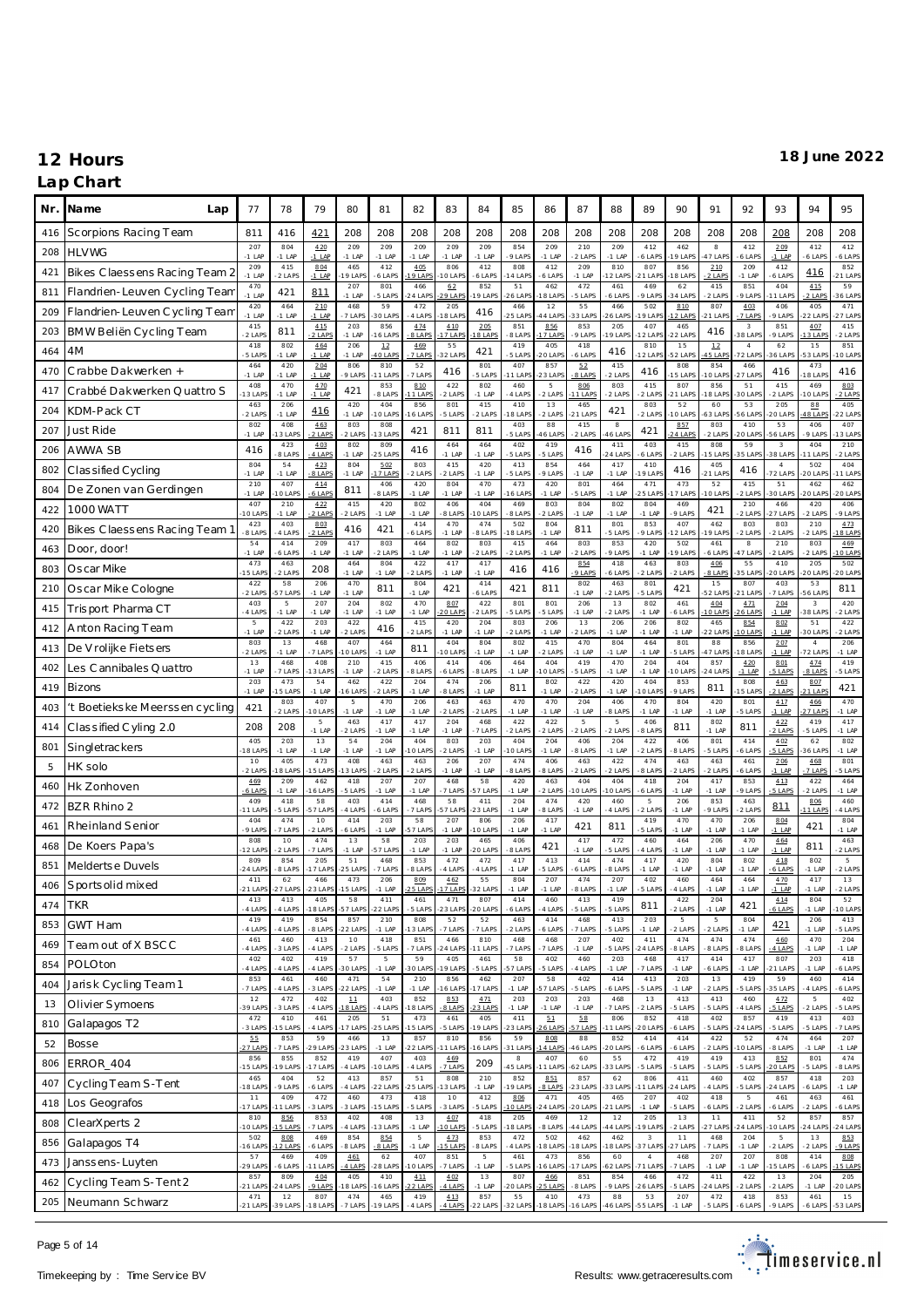### **Lap Chart**

| Nr. | Na me<br>Lap                  | 77                     | 78                     | 79                   | 80                                   | 81                     | 82                         | 83                  | 84                   | 85                     | 86                        | 87                   | 88                  | 89                   | 90                     | 91                     | 92                       | 93                     | 94                                | 95                     |
|-----|-------------------------------|------------------------|------------------------|----------------------|--------------------------------------|------------------------|----------------------------|---------------------|----------------------|------------------------|---------------------------|----------------------|---------------------|----------------------|------------------------|------------------------|--------------------------|------------------------|-----------------------------------|------------------------|
| 416 | Scorpions Racing Team         | 811                    | 416                    | 421                  | 208                                  | 208                    | 208                        | 208                 | 208                  | 208                    | 208                       | 208                  | 208                 | 208                  | 208                    | 208                    | 208                      | 208                    | 208                               | 208                    |
| 208 | <b>HLVWG</b>                  | 207<br>$-1$ LAF        | 804<br>$-1$ LAP        | 420<br>$-1$ LAP      | 209<br>$-1$ LAP                      | 209<br>$-1$ LAP        | 209<br>$-1$ LAP            | 209<br>$-1$ LAP     | 209<br>$-1$ LAP      | 854<br>9 LAPS          | 209<br>$-1$ LAP           | 210<br>2 LAPS        | 209<br>$-1$ LAP     | 412<br>6 LAPS        | 462<br>9 LAP           | $_{\rm 8}$<br>17 LAP   | 412<br>6 LAPS            | 209<br>$-1$ LAP        | 412<br>6 LAP                      | 412<br>6 LAPS          |
| 421 | Bikes Claessens Racing Team 2 | 209<br>$-1$ LAP        | 415<br>2 LAPS          | 804<br>$-1$ LAP      | 465<br>9 LAPS                        | 412<br>6 LAPS          | 4.05<br>9 LAP              | 806<br>0 LAP        | 412<br>6 LAPS        | 808<br>4 LAP           | 412<br>6 LAP              | 209<br>$-1$ LAP      | 810<br>2 LAP        | 807<br>21 LAP        | 856<br>8 LAP           | 210<br>2 LAPS          | 209<br>$-1$ LAP          | 412<br>6 LAPS          | 416                               | 852<br>21 LAP          |
| 811 | Flandrien-Leuven Cycling Tean | 470<br>$-1$ LAP        | 421                    | 811                  | 207<br>$-1$ LAP                      | 801<br>5 LAPS          | 466<br>24 LAP              | 62<br>9 LAP         | 852<br>9 LAPS        | 51<br>6 LAP            | 462<br>8 LAF              | 472<br>5 LAPS        | 461<br>6 LAP        | 469<br>9 LAPS        | 62<br>4 LAP            | 415<br>2 LAPS          | 851<br>9 LAPS            | 404<br>1 LAP           | 415<br>$2$ LAPS                   | 59<br>36 LAP           |
| 209 | Flandrien-Leuven Cycling Team | 420<br>$-1$ LAF        | 464<br>$-1$ LAP        | 210<br>$-1$ LAP      | 468<br>7 LAPS                        | 59<br>30 LAPS          | 472<br>4 LAP               | 205<br>8 LAP        | 416                  | 466<br>5 LAP           | 12<br>4 LAF               | 55<br>33 LAP         | 466<br><b>6 LAP</b> | 502<br>9 LAP         | 810<br>$2$ LAP         | 807<br>21 LAP          | 403<br>7 LAPS            | 406<br>9 LAPS          | 405<br>2 LAP                      | 471<br>27 LAP          |
| 203 | BMW Beliën Cycling Team       | 415<br>2 LAPS          | 811                    | 415<br>2 LAPS        | 203<br>$-1$ LAP                      | 856<br>6 LAPS          | 474<br>8 LAPS              | 4.10<br>7 LAP       | 205<br>8 LAPS        | 851<br>8 LAPS          | 856<br>7 LAP              | 853<br>9 LAPS        | 205<br>9 LAF        | 407<br>12 LAF        | 465<br>22 LAP          | 416                    | 3<br>38 LAP              | 851<br>9 LAPS          | 407<br>3 LAP                      | 415<br>2 LAPS          |
| 464 | 4M                            | 418<br>5 LAPS          | 802<br>$-1$ LAP        | 464<br>$-1$ LAP      | 206<br>$-1$ LAP                      | $12\,$<br>10 LAPS      | 469<br>7 LAPS              | 55<br>32 LAPS       | 421                  | 419<br>5 LAPS          | 405<br>20 LAP             | 418<br>6 LAPS        | 416                 | 810<br>2 LAP         | 15<br>52 LAPS          | 12<br>5 LAP            | $\overline{4}$<br>72 LAP | 62<br>6 LAPS           | 15<br>3 LAP                       | 851<br>0 LAP           |
| 470 | Crabbe Dakwerken +            | 464<br>$-1$ LAF        | 420<br>$-1$ LAP        | 204<br>$-1$ LAP      | 806<br>9 LAPS                        | 810<br>1 LAPS          | 52<br>7 LAPS               | 416                 | 801<br>5 LAPS        | 407<br>1 LAP           | 857<br>3 LAP              | 52<br>8 LAPS         | 415<br>2 LAP        | 416                  | 808<br>5 LAP           | 854<br>0 LAP           | 466<br>$27$ LAP          | 416                    | 473<br>8 LAP                      | 416                    |
| 417 | Crabbé Dakwerken Quattro S    | 408<br>13 LAP          | 470<br>$-1$ LAP        | 470<br>$-1$ LAP      | 421                                  | 853<br>8 LAPS          | 810<br>$1$ LAP             | 422<br>2 LAPS       | 802<br>$-1$ LAP      | 460<br>4 LAPS          | $\overline{5}$<br>$2$ LAP | 806<br>1 LAPS        | 803<br>2 LAP        | 415<br>2 LAPS        | 807<br>$-21$ LAPS      | 856<br>8 LAP           | 51<br>30 LAP             | 415<br>2 LAPS          | 469<br>0 LAP                      | 803<br>2 LAPS          |
| 204 | KDM-Pack CT                   | 463<br>2 LAPS          | 206<br>$-1$ LAP        | 416                  | 420<br>$-1$ LAP                      | 404<br>10 LAPS         | 856<br>16 LAP              | 801<br>5 LAPS       | 415<br>2 LAPS        | 410<br>8 LAP           | 13<br>$2$ LAP             | 465<br>21 LAPS       | 421                 | 803<br>2 LAPS        | 52<br>O LAP            | 60<br>53 LAP           | 53<br>6 LAP              | 205<br>20 LAPS         | 88<br>8 LAP                       | 405<br>2 LAP           |
| 207 | Just Ride                     | 802<br>$-1$ LAP        | 408<br>3 LAPS          | 463<br>2 LAPS        | 803<br>2 LAPS                        | 808<br>3 LAPS          | 421                        | 811                 | 811                  | 403<br>5 LAPS          | 88<br>6 LAP               | 415<br>2 LAPS        | $_{\rm 8}$<br>6 LAF | 421                  | 857<br>4 LAP           | 803<br>2 LAPS          | 410<br>0 LAP             | 53<br>56 LAPS          | 406<br>9 LAP                      | 407<br>3 LAP           |
| 206 | AWWA SB                       | 416                    | 423<br>8 LAPS          | 403<br>4 LAPS        | 802<br>$-1$ LAP                      | 809<br><b>25 LAPS</b>  | 416                        | 464<br>$-1$ LAP     | 464<br>$-1$ LAP      | 402<br>5 LAPS          | 419<br>5 LAPS             | 416                  | 411<br>24 LAF       | 403<br>6 LAPS        | 415<br>2 LAPS          | 808<br>5 LAP           | 59<br><b>5 LAP</b>       | 3<br>38 LAPS           | 404<br>1 LAP                      | 210<br>2 LAP           |
| 802 | Classified Cycling            | 804<br>$-1$ LAF        | 54<br>$-1$ LAP         | 423<br>8 LAPS        | 804<br>$-1$ LAP                      | 5.02<br>17 LAPS        | 803<br>$2$ LAPS            | 415<br>2 LAPS       | 420<br>$-1$ LAP      | 413<br>5 LAPS          | 854<br>$9$ LAP            | 464<br>$-1$ LAP      | 417<br>$-1$ LAP     | 410<br>9 LAP         | 416                    | 405<br>21 LAPS         | 416                      | $\sqrt{4}$<br>72 LAPS  | 502<br>20 LAP                     | 404<br>1 LAP           |
| 804 | De Zonen van Gerdingen        | 210<br>$-1$ LAP        | 407<br>O LAPS          | 414<br>6 LAPS        | 811                                  | 406<br>8 LAPS          | 420<br>$-1$ LAP            | 804<br>$-1$ LAP     | 470<br>$-1$ LAP      | 473<br>6 LAP           | 420<br>$-1$ LAP           | 801<br>5 LAPS        | 464<br>$-1$ LAP     | 471<br>25 LAF        | 473<br>7 LAP           | 52<br>10 LAPS          | 415<br>2 LAPS            | 51<br>30 LAPS          | 462<br>20 LAP                     | 462<br>20 LAF          |
| 422 | 1000 WATT                     | 407<br>10 LAP          | 210<br>$-1$ LAP        | 422<br>2 LAPS        | 415<br>$2$ LAPS                      | 420<br>$-1$ LAP        | 802<br>$-1$ LAP            | 406<br>8 LAPS       | 404<br>0 LAPS        | 469<br>8 LAPS          | 803<br>$2$ LAP            | 804<br>$-1$ LAP      | 802<br>$-1$ LAP     | 804<br>$-1$ LAP      | 469<br>9 LAPS          | 421                    | 210<br>2 LAPS            | 466<br>27 LAPS         | 420<br>$2$ LAP                    | 406<br>9 LAPS          |
| 420 | Bikes Claessens Racing Team   | 423<br>8 LAPS          | 403<br>4 LAPS          | 803<br>2 LAPS        | 416                                  | 421                    | 414<br>6 LAPS              | 470<br>$-1$ LAP     | 474<br>8 LAPS        | 502<br>8 LAP           | 804<br>$-1$ LAP           | 811                  | 801<br>5 LAP        | 853<br>9 LAPS        | 407<br>2 LAP           | 462<br>9 LAP           | 803<br>2 LAPS            | 803<br>2 LAPS          | 210<br>2 LAPS                     | 473<br>8 LAP           |
| 463 | Door, door!                   | 54<br>$-1$ LAF         | 414<br>6 LAPS          | 209<br>$-1$ LAP      | 417<br>$-1$ LAP                      | 803<br>2 LAPS          | 464<br>$-1$ LAP            | 802<br>$-1$ LAP     | 803<br>2 LAPS        | 415<br>2 LAPS          | 464<br>$-1$ LAP           | 803<br>2 LAPS        | 853<br>9 LAP        | 420<br>$-1$ LAP      | 502<br>9 LAP           | 461<br>6 LAP           | $_{\rm 8}$<br>7 LAP      | 210<br>2 LAPS          | 803<br>2 LAPS                     | 469<br>0 LAP           |
| 803 | Oscar Mike                    | 473<br>15 LAF          | 463<br>2 LAPS          | 208                  | 464<br>$-1$ LAP                      | 804<br>$-1$ LAP        | 422<br>$2$ LAP             | 417<br>$-1$ LAP     | 417<br>$-1$ LAP      | 416                    | 416                       | 854<br>9 LAPS        | 418<br>6 LAP        | 463<br>$2$ LAPS      | 803<br>2 LAPS          | 406<br>-8 LAPS         | 55<br><b>5 LAP</b>       | 410<br>O LAPS          | 205<br>20 LAP                     | 502<br>20 LAP          |
| 210 | Oscar Mike Cologne            | 422<br>2 LAPS          | 58<br>57 LAPS          | 206<br>$-1$ LAP      | 470<br>$-1$ LAP                      | 811                    | 804<br>$-1$ LAP            | 421                 | 414<br>6 LAPS        | 421                    | 811                       | 802<br>$-1$ LAP      | 463<br>$2$ LAP      | 801<br>5 LAPS        | 421                    | 15<br>52 LAP           | 807<br>21 LAP            | 403<br>7 LAPS          | 53<br><b>6 LAP</b>                | 811                    |
| 415 | Trisport Pharma CT            | 403<br>4 LAPS          | 5<br>$-1$ LAP          | 207<br>$-1$ LAP      | 204<br>$-1$ LAP                      | 802<br>$-1$ LAP        | 470<br>$-1$ LAP            | 807<br>O LAP        | 422<br>2 LAPS        | 801<br>5 LAPS          | 801<br>5 LAP              | 206<br>$-1$ LAP      | 13<br>2 LAP         | 802<br>$-1$ LAP      | 461<br>6 LAPS          | 404<br>10 LAPS         | 4.71<br>6 LAPS           | 204<br>$-1$ LAP        | $\overline{\mathbf{3}}$<br>38 LAP | 420<br>2 LAPS          |
| 412 | Anton Racing Team             | 5<br>$-1$ LAP          | 422<br>2 LAPS          | 203<br>$-1$ LAP      | 422<br>2 LAPS                        | 416                    | 415<br>2 LAPS              | 420<br>$-1$ LAP     | 204<br>$-1$ LAP      | 803<br>2 LAPS          | 206<br>$-1$ LAP           | 13<br>2 LAPS         | 206<br>$-1$ LAP     | 206<br>$-1$ LAP      | 802<br>$-1$ LAP        | 465<br>22 LAP          | 854<br>0 LAP             | 802<br>$-1$ LAP        | 51<br>30 LAP                      | 422<br>2 LAPS          |
| 413 | De V rolijke Fietsers         | 803<br>2 LAPS          | 13<br>$-1$ LAP         | 468<br>7 LAPS        | 407<br>O LAPS                        | 464<br>$-1$ LAP        | 811                        | 404<br>0 LAP        | 804<br>$-1$ LAP      | 802<br>$-1$ LAP        | 415<br>$2$ LAP            | 470<br>$-1$ LAP      | 804<br>$-1$ LAP     | 464<br>$-1$ LAP      | 801<br>5 LAPS          | 88<br>47 LAP           | 856<br>8 LAP             | 207<br>$-1$ LAP        | $\sqrt{4}$<br>2 LAP               | 206<br>$-1$ LAP        |
| 402 | Les Cannibales Quattro        | 13<br>$-1$ LAP         | 468<br>7 LAPS          | 408<br>3 LAPS        | 210<br>$-1$ LAP                      | 415<br>2 LAPS          | 406<br>8 LAP               | 414<br>6 LAPS       | 406<br>8 LAPS        | 464<br>$-1$ LAP        | 404<br>0 LAP              | 419<br>5 LAPS        | 470<br>$-1$ LAP     | 204<br>$-1$ LAP      | 404<br>0 LAP           | 857<br>24 LAP          | 4.20<br>$-1$ LAP         | 801<br>5 LAPS          | 4.74<br>8 LAPS                    | 419<br>5 LAPS          |
| 419 | Bizons                        | 203<br>$-1$ LAP        | 473<br>5 LAPS          | 54<br>$-1$ LAP       | 462<br>6 LAP                         | 422<br>2 LAPS          | 204<br>$-1$ LAP            | 474<br>8 LAPS       | 206<br>$-1$ LAP      | 811                    | 802<br>$-1$ LAP           | 422<br>2 LAPS        | 420<br>$-1$ LAP     | 404<br>0 LAF         | 853<br>9 LAPS          | 811                    | 808<br>5 LAP             | 463<br>2 LAPS          | 807<br>1 LAP                      | 421                    |
| 403 | t Boetiekske Meerssen cycling | 421                    | 803<br>2 LAPS          | 407<br>$10$ LAPS     | $\,$ 5<br>$-1$ LAP                   | 470<br>$-1$ LAP        | 206<br>$-1$ LAP            | 463<br>2 LAPS       | 463<br>2 LAPS        | 470<br>$-1$ LAP        | 470<br>$-1$ LAP           | 204<br>$-1$ LAP      | 406<br>8 LAP        | 470<br>$-1$ LAF      | 804<br>$-1$ LAP        | 420<br>$-1$ LAP        | 801<br>5 LAPS            | 417<br>$-1$ LAP        | 466<br>7 LAP                      | 470<br>$-1$ LAP        |
| 414 | Classified Cyling 2.0         | 208                    | 208                    | $\,$ 5<br>$-1$ LAP   | 463<br>$2$ LAPS                      | 417<br>$-1$ LAP        | 417<br>$-1$ LAP            | 204<br>$-1$ LAP     | 468<br>7 LAPS        | 422<br>2 LAPS          | 422<br>$-2$ LAPS          | 5<br>2 LAPS          | 5<br>$2$ LAP        | 406<br>8 LAPS        | 811                    | 802<br>$-1$ LAP        | 811                      | 4.22<br>2 LAPS         | 419<br>5 LAPS                     | 417<br>$-1$ LAP        |
| 801 | Singletrackers                | 405<br>18 LAP          | 203<br>$-1$ LAP        | 13<br>$-1$ LAP       | 54<br>$-1$ LAP                       | 204<br>$-1$ LAP        | 404<br>O LAP               | 803<br>2 LAPS       | 203<br>$-1$ LAP      | 404<br>0 LAP           | 204<br>$-1$ LAP           | 406<br>8 LAPS        | 204<br>$-1$ LAP     | 422<br>2 LAPS        | 406<br>8 LAPS          | 801<br>5 LAPS          | 414<br>6 LAPS            | 402<br>5 LAPS          | 62<br>6 LAP                       | 802<br>$-1$ LAP        |
| 5   | HK solo                       | 10<br>2 LAPS           | 405<br>8 LAPS          | 473<br>5 LAPS        | 408<br>3 LAP                         | 463<br>2 LAPS          | 463<br>$2$ LAPS            | 206<br>$-1$ LAP     | 207<br>$-1$ LAP      | 474<br>8 LAPS          | 406<br>8 LAPS             | 463<br>2 LAPS        | 422<br>2 LAP        | 474<br>8 LAPS        | 463<br>2 LAPS          | 463<br>2 LAPS          | 461<br>6 LAPS            | 206<br>$-1$ LAP        | 468<br>7 LAPS                     | 801<br>5 LAPS          |
| 460 | Hk Zonhoven                   | 469<br>$6$ LAPS<br>409 | 209<br>$-1$ LAP<br>418 | 462<br>16 LAPS<br>58 | 418<br>5 LAPS<br>403                 | 207<br>$-1$ LAP<br>414 | 207<br>$-1$ LAP<br>468     | 468<br>7 LAPS<br>58 | 58<br>57 LAPS<br>411 | 420<br>$-1$ LAP<br>204 | 463<br>$2$ LAP<br>474     | 404<br>O LAPS<br>420 | 404<br>0 LAF        | 418<br>6 LAPS        | 204<br>$-1$ LAP<br>206 | 417<br>$-1$ LAP<br>853 | 853<br>9 LAPS<br>463     | 413<br>5 LAPS          | 422<br>$2$ LAP                    | 464<br>$-1$ LAP<br>460 |
| 472 | BZR Rhino 2                   | 11 LAF<br>404          | 5 LAPS<br>474          | 57 LAPS<br>10        | 4 LAP<br>414                         | 6 LAPS<br>203          | 7 LAP<br>58                | 57 LAP<br>207       | 23 LAPS<br>806       | $-1$ LAP<br>206        | 8 LAP<br>417              | $-1$ LAP             | 460<br>4 LAPS       | 5<br>2 LAPS<br>419   | $-1$ LAP<br>470        | 9 LAPS<br>470          | 2 LAPS<br>206            | 811                    | 806<br>1 LAP                      | 4 LAP<br>804           |
| 461 | Rheinland Senior              | 9 LAPS<br>808          | 7 LAPS<br>10           | 2 LAPS<br>474        | 6 LAPS<br>13                         | $-1$ LAP<br>58         | 57 LAP<br>203              | $-1$ LAP<br>203     | O LAPS<br>465        | $-1$ LAP<br>406        | $-1$ LAP                  | 421<br>417           | 811<br>472          | 5 LAPS<br>460        | $-1$ LAP<br>464        | $-1$ LAP<br>206        | $-1$ LAP<br>470          | 804<br>$-1$ LAP<br>464 | 421                               | $-1$ LAP<br>463        |
| 468 | De Koers Papa's               | 12 LAP<br>809          | 2 LAPS<br>854          | 7 LAPS<br>205        | $-1$ LAP<br>51                       | 57 LAPS<br>468         | $-1$ LAP<br>853            | $-1$ LAP<br>472     | 20 LAPS<br>472       | 8 LAPS<br>417          | 421<br>413                | $-1$ LAP<br>414      | 5 LAP<br>474        | 4 LAPS<br>417        | $-1$ LAP<br>420        | $-1$ LAF<br>804        | $-1$ LAP<br>802          | $-1$ LAP<br>418        | 811<br>802                        | 2 LAPS<br>5            |
| 851 | Meldertse Duvels              | $-24$ LAF<br>411       | 8 LAPS<br>62           | 7 LAPS<br>466        | <b>25 LAPS</b><br>473                | 7 LAPS<br>206          | 8 LAPS<br>809              | 4 LAP<br>462        | 4 LAPS<br>55         | $-1$ LAF<br>804        | 5 LAP<br>207              | 6 LAPS<br>474        | 8 LAP<br>207        | $-1$ LAF<br>402      | $-1$ LAP<br>460        | $-1$ LAP<br>464        | $-1$ LAP<br>464          | 6 LAPS<br>470          | 1 LAP<br>417                      | 2 LAPS<br>13           |
| 406 | Sports olid mixed             | $-21$ LAP<br>413       | 27 LAPS<br>413         | 23 LAPS<br>405       | 15 LAPS<br>58                        | $-1$ LAP<br>411        | 25 LAPS<br>461             | 17 LAPS<br>471      | 32 LAPS<br>807       | $-1$ LAP<br>414        | $-1$ LAP<br>460           | 8 LAPS<br>413        | $-1$ LAP<br>419     | 5 LAPS               | 4 LAPS<br>422          | $-1$ LAP<br>204        | $-1$ LAP                 | $-1$ LAP               | $-1$ LAP<br>804                   | 2 LAPS<br>52           |
| 474 | <b>TKR</b>                    | 4 LAPS<br>419          | 4 LAPS<br>419          | 18 LAPS<br>854       | 57 LAPS<br>857                       | $-22$ LAPS<br>210      | -5 LAPS<br>808             | 23 LAPS<br>52       | $-20$ LAPS<br>52     | 6 LAPS<br>463          | 4 LAPS<br>414             | 5 LAPS<br>468        | 5 LAPS<br>413       | 811<br>203           | 2 LAPS<br>5            | $-1$ LAP<br>5          | 421<br>804               | 414<br>6 LAPS          | $-1$ LAP<br>206                   | 10 LAPS<br>413         |
| 853 | <b>GWT Ham</b>                | 4 LAPS<br>461          | 4 LAPS<br>460          | 8 LAPS<br>413        | 22 LAPS<br>10                        | $-1$ LAP<br>418        | 13 LAP<br>851              | 7 LAPS<br>466       | 7 LAPS<br>810        | 2 LAPS<br>468          | 6 LAPS<br>468             | 7 LAPS<br>207        | 5 LAPS<br>402       | $-1$ LAP<br>411      | 2 LAPS<br>474          | 2 LAPS<br>474          | $-1$ LAP<br>474          | 421<br>460             | $-1$ LAP<br>470                   | 5 LAPS<br>204          |
| 469 | Team out of X BSCC            | 4 LAPS<br>402          | 3 LAPS<br>402          | 4 LAPS<br>419        | 2 LAPS<br>57                         | 5 LAPS<br>5            | 7 LAPS<br>59               | 24 LAPS<br>405      | 1 LAPS<br>461        | 7 LAPS<br>58           | 7 LAP<br>402              | -1 LAP<br>460        | 5 LAPS<br>203       | 24 LAP<br>468        | 8 LAPS<br>417          | 8 LAPS<br>414          | 8 LAPS<br>417            | 4 LAPS<br>807          | 1 LAP<br>203                      | $-1$ LAP<br>418        |
| 854 | POLOton                       | 4 LAPS<br>853          | 4 LAPS<br>461          | 4 LAPS<br>460        | 30 LAPS<br>471                       | $-1$ LAP<br>54         | 30 LAP<br>210              | 19 LAPS<br>856      | 5 LAPS<br>462        | 57 LAP<br>207          | 5 LAPS<br>58              | 4 LAPS<br>402        | $-1$ LAP<br>414     | 7 LAPS<br>413        | $-1$ LAP<br>203        | 6 LAPS<br>13           | $-1$ LAP<br>419          | 21 LAPS<br>59          | $-1$ LAP<br>460                   | 6 LAPS<br>414          |
| 404 | Jarisk Cycling Team 1         | 7 LAPS<br>12           | 4 LAPS<br>472          | 3 LAPS<br>402        | 22 LAPS<br>$\underline{\textbf{11}}$ | $-1$ LAP<br>403        | $-1$ LAP<br>852            | 6 LAPS<br>853       | 7 LAPS<br>471        | $-1$ LAP<br>203        | 57 LAP<br>203             | 5 LAPS<br>203        | 6 LAPS<br>468       | 5 LAPS<br>13         | $-1$ LAP<br>413        | 2 LAPS<br>413          | 5 LAPS<br>460            | 35 LAPS<br>472         | 4 LAPS<br>5                       | 6 LAPS<br>402          |
| 13  | Olivier Symoens               | 39 LAP<br>472          | 3 LAPS<br>410          | 4 LAPS<br>461        | 18 LAPS<br>205                       | 4 LAPS<br>51           | 18 LAP<br>473              | 8 LAPS<br>461       | 3 LAPS<br>405        | $-1$ LAP<br>411        | $-1$ LAP<br>51            | $-1$ LAP<br>58       | 7 LAPS<br>806       | $2$ LAPS<br>852      | 5 LAPS<br>418          | 5 LAPS<br>402          | 4 LAPS<br>857            | 5 LAPS<br>419          | 2 LAPS<br>413                     | 5 LAPS<br>403          |
| 810 | Galapagos T2                  | 3 LAPS<br>55           | 5 LAPS<br>853          | 4 LAPS<br>59         | 17 LAPS<br>466                       | 25 LAPS<br>13          | 5 LAPS<br>857              | 5 LAPS<br>810       | 9 LAPS<br>856        | 23 LAP<br>59           | 6 LAP<br>808              | 7 LAPS<br>88         | 1 LAP<br>852        | 20 LAP<br>414        | 6 LAPS<br>414          | 5 LAPS<br>422          | 4 LAP<br>52              | 5 LAPS<br>474          | 5 LAPS<br>464                     | 7 LAPS<br>207          |
| 52  | <b>Bosse</b>                  | 27 LAPS<br>856         | 7 LAPS<br>855          | 29 LAPS<br>852       | 23 LAPS<br>419                       | $-1$ LAP<br>407        | 22 LAP<br>403              | 1 LAPS<br>469       | 6 LAPS               | 31 LAPS<br>8           | 4 LAP<br>407              | 46 LAPS<br>60        | 20 LAP<br>55        | 6 LAPS<br>472        | 6 LAPS<br>419          | 2 LAPS<br>419          | 0 LAP<br>413             | 8 LAPS<br>852          | $-1$ LAP<br>801                   | $-1$ LAP<br>474        |
| 806 | ERROR_404                     | 15 LAP!<br>465         | 9 LAPS<br>404          | 7 LAPS<br>52         | 4 LAPS<br>413                        | O LAPS<br>857          | 4 LAPS<br>51               | 7 LAPS<br>808       | 209<br>210           | 45 LAP<br>852          | 1 LAP<br>851              | 62 LAPS<br>857       | 33 LAP<br>62        | 5 LAPS<br>806        | 5 LAPS<br>411          | 5 LAPS<br>460          | 5 LAPS<br>402            | O LAPS<br>857          | 5 LAPS<br>418                     | 8 LAPS<br>203          |
| 407 | Cycling Team S-Tent           | 18 LAP<br>11           | 9 LAPS<br>409          | 6 LAPS<br>472        | 4 LAPS<br>460                        | 22 LAPS<br>473         | 25 LAP<br>418              | 3 LAPS<br>10        | $-1$ LAP<br>412      | 9 LAP<br>806           | $8$ LAP<br>471            | 23 LAPS<br>405       | 33 LAF<br>465       | 11 LAF<br>207        | 24 LAP<br>402          | 4 LAPS<br>418          | 5 LAPS<br>$\,$ 5         | 24 LAPS<br>461         | 6 LAPS<br>463                     | $-1$ LAP<br>461        |
| 418 | Los Geografos                 | 17 LAP<br>810          | 1 LAPS<br>856          | 3 LAPS<br>853        | 3 LAPS<br>402                        | 15 LAPS<br>408         | 5 LAPS<br>13               | 3 LAPS<br>407       | 5 LAPS<br>418        | O LAPS<br>205          | 24 LAP<br>469             | 20 LAPS<br>12        | 21 LAP<br>$1\,2$    | $-1$ LAP<br>205      | 5 LAPS<br>13           | 6 LAPS<br>11           | 2 LAPS<br>411            | 6 LAPS<br>52           | $2$ LAPS<br>857                   | 6 LAPS<br>857          |
| 808 | ClearXperts 2                 | 10 LAPS<br>502         | 5 LAPS<br>808          | 7 LAPS<br>469        | 4 LAPS<br>854                        | 13 LAPS<br>854         | $-1$ LAP<br>$\overline{5}$ | 10 LAPS<br>473      | 5 LAPS<br>853        | 18 LAP<br>472          | 8 LAPS<br>502             | 44 LAPS<br>462       | 44 LAP<br>462       | 19 LAF<br>$_{3}$     | 2 LAPS<br>11           | 27 LAP<br>468          | 24 LAPS<br>204           | 10 LAPS<br>5           | 24 LAP<br>13                      | 24 LAPS<br>853         |
| 856 | Galapagos T4                  | 16 LAPS<br>57          | 2 LAPS<br>469          | 6 LAPS<br>409        | 8 LAPS<br>461                        | 8 LAPS<br>62           | $-1$ LAP<br>407            | 15 LAPS<br>851      | 8 LAPS<br>5          | 4 LAPS<br>461          | 18 LAP<br>473             | 18 LAPS<br>856       | 18 LAP<br>60        | 37 LAP<br>$\sqrt{4}$ | $-27$ LAPS<br>468      | 7 LAPS<br>207          | $-1$ LAP<br>207          | 2 LAPS<br>808          | $2$ LAPS<br>414                   | 9 LAPS<br>808          |
| 473 | Janssens-Luyten               | 29 LAPS<br>857         | 6 LAPS<br>809          | 1 LAPS<br>404        | 4 LAPS<br>405                        | 28 LAPS<br>410         | 10 LAPS<br>4.11            | 7 LAPS<br>402       | $-1$ LAP<br>13       | 5 LAPS<br>807          | 6 LAP<br>466              | 7 LAPS<br>851        | 52 LAP<br>854       | 71 LAF<br>466        | 7 LAPS<br>472          | $-1$ LAP<br>411        | $-1$ LAP<br>422          | 5 LAPS<br>13           | 6 LAPS<br>204                     | 5 LAPS<br>205          |
| 462 | Cycling Team S-Tent 2         | $-21$ LAPS<br>471      | $-24$ LAPS<br>12       | 9 LAPS<br>807        | 18 LAPS<br>474                       | 16 LAPS<br>465         | 22 LAPS<br>419             | 4 LAPS<br>413       | $-1$ LAP<br>857      | 20 LAPS<br>55          | 5 LAP<br>410              | 8 LAPS<br>473        | 9 LAPS<br>88        | 26 LAP<br>53         | 5 LAPS<br>207          | 24 LAP<br>472          | 2 LAPS<br>418            | 2 LAPS<br>853          | 1 LAP<br>461                      | 20 LAPS<br>15          |
| 205 | Neumann Schwarz               | $-21$ LAPS             | $-39$ LAPS             | $-18$ LAPS           | -7 LAPS                              | $-19$ LAPS             | -4 LAPS                    | -4 LAPS             | $-22$ LAPS           | $-32$ LAPS             | -18 LAPS                  | $-16$ LAPS           | 46 LAPS             | $-55$ LAPS           | $-1$ LAP               | -5 LAPS                | 6 LAPS                   | -9 LAPS                | 6 LAPS                            | $-53$ LAPS             |

Page 5 of 14

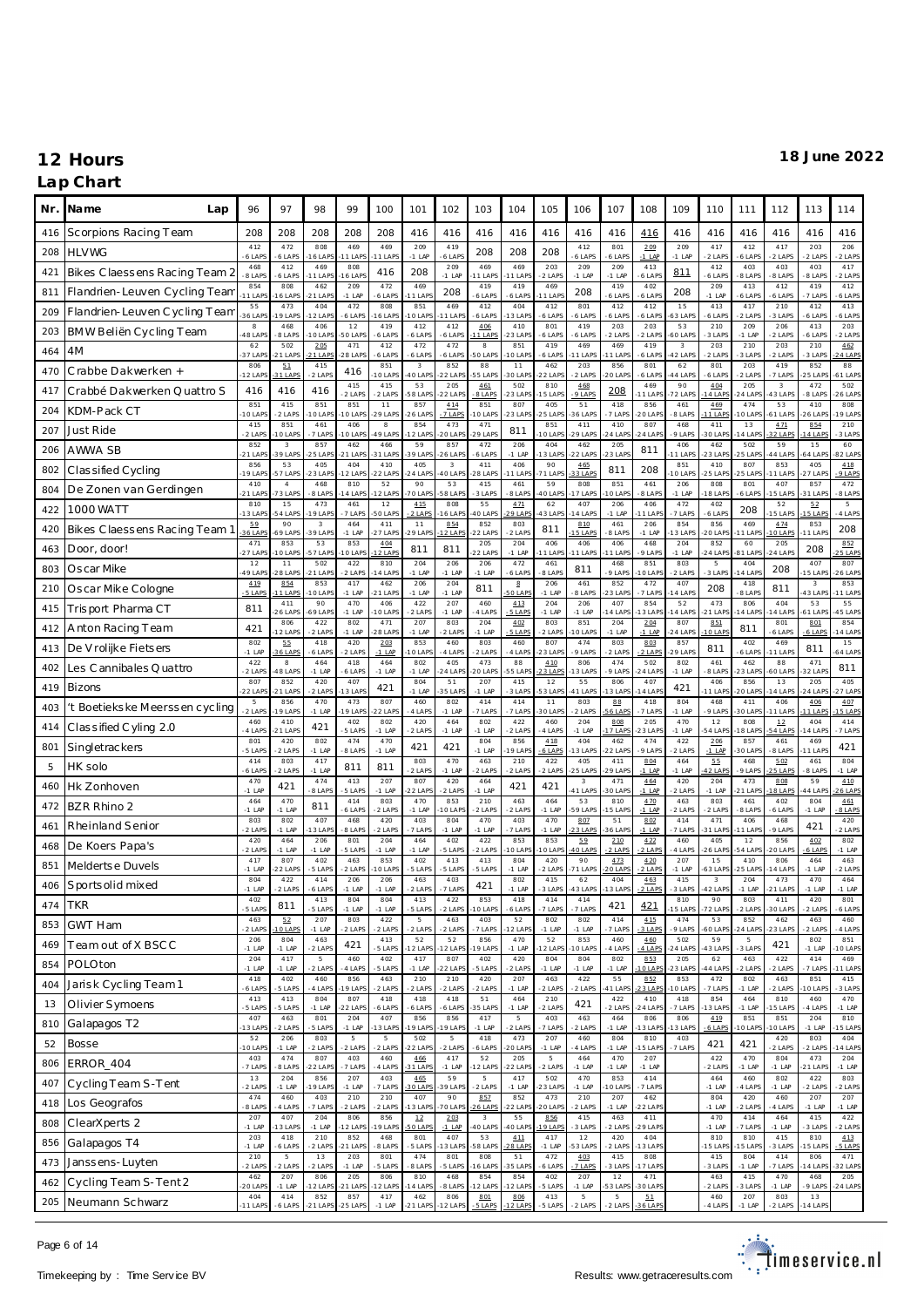### **Lap Chart**

| Nr. | Na me<br>Lap                  | 96                   | 97                              | 98                    | 99                       | 100             | 101                               | 102                  | 103                   | 104                       | 105             | 106                  | 107                   | 108                | 109                   | 110                   | 111                | 112                 | 113                              | 114                  |
|-----|-------------------------------|----------------------|---------------------------------|-----------------------|--------------------------|-----------------|-----------------------------------|----------------------|-----------------------|---------------------------|-----------------|----------------------|-----------------------|--------------------|-----------------------|-----------------------|--------------------|---------------------|----------------------------------|----------------------|
| 416 | Scorpions Racing Team         | 208                  | 208                             | 208                   | 208                      | 208             | 416                               | 416                  | 416                   | 416                       | 416             | 416                  | 416                   | 416                | 416                   | 416                   | 416                | 416                 | 416                              | 416                  |
| 208 | <b>HLVWG</b>                  | 412<br>$6$ LAP       | 472<br>6 LAPS                   | 808<br>6 LAPS         | 469<br>1 LAPS            | 469<br>1 LAPS   | 209<br>$-1$ LAP                   | 419<br>6 LAP         | 208                   | 208                       | 208             | 412<br>6 LAPS        | 801<br>$6$ LAP        | 209<br>$-1$ LAP    | 209<br>$-1$ LAP       | 417<br>2 LAPS         | 412<br>6 LAPS      | 417<br>2 LAPS       | 203<br>2 LAPS                    | 206<br>2 LAPS        |
| 421 | Bikes Claessens Racing Team 2 | 468<br>8 LAPS        | 412<br>6 LAPS                   | 469<br>1 LAPS         | 808<br>6 LAP             | 416             | 208                               | 209<br>$-1$ LAP      | 469<br>1 LAPS         | 469<br>1 LAP              | 203<br>$2$ LAP  | 209<br>$-1$ LAP      | 209<br>$-1$ LAP       | 413<br>6 LAPS      | <u>811</u>            | 412<br>6 LAPS         | 403<br>8 LAPS      | 403<br>8 LAPS       | 403<br>8 LAPS                    | 417<br>2 LAPS        |
| 811 | Flandrien-Leuven Cycling Team | 854<br>$11$ LAP      | 808<br>6 LAPS                   | 462<br>21 LAPS        | 209<br>$-1$ LAP          | 472<br>6 LAPS   | 469<br>1 LAP                      | 208                  | 419<br>6 LAPS         | 419<br>6 LAPS             | 469<br>1 LAP    | 208                  | 419<br>6 LAP          | 402<br>6 LAPS      | 208                   | 209<br>$-1$ LAF       | 413<br>6 LAPS      | 412<br>6 LAPS       | 419<br>7 LAPS                    | 412<br>6 LAP         |
| 209 | Flandrien-Leuven Cycling Team | 55<br>36 LAP         | 473<br>9 LAP                    | 404<br>2 LAPS         | 472<br>6 LAP             | 808<br>6 LAPS   | 851<br>O LAP                      | 469<br>1 LAP         | 412<br>6 LAPS         | 404<br>3 LAP              | 412<br>6 LAP    | 801<br>6 LAPS        | 412<br>6 LAP          | 412<br>6 LAPS      | 15<br>53 LAP          | 413<br>6 LAPS         | 417<br>2 LAPS      | 210<br>3 LAPS       | 412<br>6 LAP                     | 413<br>6 LAPS        |
| 203 | BMW Beliën Cycling Team       | $_{\rm 8}$<br>48 LAP | 468<br>8 LAPS                   | 406<br>O LAPS         | 12<br>O LAPS             | 419<br>6 LAPS   | 412<br>6 LAPS                     | 412<br>6 LAPS        | 406<br>1 LAPS         | 410<br>23 LAP             | 801<br>6 LAP    | 419<br>6 LAPS        | 203<br>$2$ LAP        | 203<br>2 LAPS      | 53<br>60 LAP          | 210<br>3 LAPS         | 209<br>$-1$ LAP    | 206<br>2 LAPS       | 413<br>6 LAP                     | 203<br>2 LAPS        |
| 464 | 4M                            | 62<br>37 LAP         | 502<br>1 LAPS                   | 205<br>21 LAPS        | 471<br>28 LAP            | 412<br>6 LAPS   | 472<br>6 LAPS                     | 472<br>6 LAPS        | 8<br>O LAPS           | 851<br>0 LAP              | 419<br>6 LAP    | 469<br>1 LAPS        | 469<br>1 LAF          | 419<br>6 LAPS      | $^{\rm 3}$<br>42 LAPS | 203<br>2 LAPS         | 210<br>3 LAPS      | 203<br>2 LAPS       | 210<br>3 LAPS                    | 462<br>4 LAP         |
| 470 | Crabbe Dakwerken +            | 806<br>$-12$ LAF     | 51<br>31 LAPS                   | 415<br>2 LAPS         | 416                      | 851<br>O LAPS   | $\overline{\mathbf{3}}$<br>40 LAP | 852<br>22 LAP        | 88<br>55 LAPS         | 11<br>30 LAP              | 462<br>22 LAP   | 203<br>2 LAPS        | 856<br>20 LAF         | 801<br>6 LAPS      | 62<br>4 LAP           | 801<br>6 LAP          | 203<br>2 LAPS      | 419<br>7 LAPS       | 852<br>5 LAP                     | 88<br>51 LAP         |
| 417 | Crabbé Dakwerken Quattro S    | 416                  | 416                             | 416                   | 415<br>2 LAPS            | 415<br>2 LAPS   | 53<br><b>58 LAP</b>               | 205<br>22 LAP        | 461<br>8 LAP          | 502<br>23 LAP             | 810<br>5 LAF    | 468<br>9 LAPS        | 208                   | 469<br>11 LAF      | 90<br>72 LAP          | 4.04<br>4 LAPS        | 205<br>4 LAP       | $\sqrt{3}$<br>3 LAP | 472<br>8 LAP                     | 502<br>26 LAP        |
| 204 | KDM-Pack CT                   | 851<br>10 LAP        | 415<br>2 LAPS                   | 851<br>O LAPS         | 851<br>10 LAPS           | 11<br>29 LAPS   | 857<br>26 LAP                     | 414<br>7 LAPS        | 851<br>0 LAP          | 807<br>23 LAPS            | 405<br>5 LAP    | 51<br>36 LAP         | 418<br>7 LAPS         | 856<br>20 LAP      | 461<br>8 LAPS         | 469<br>1 LAPS         | 474<br>0 LAP       | 53<br>61 LAPS       | 410<br>6 LAP                     | 808<br>9 LAP         |
| 207 | Just Ride                     | 415<br>2 LAPS        | 851<br>O LAPS                   | 461<br>7 LAPS         | 406<br>O LAPS            | 8<br>49 LAPS    | 854<br>2 LAP                      | 473<br>20 LAP        | 471<br>29 LAPS        | 811                       | 851<br>0 LAF    | 411<br>29 LAPS       | 410<br>4 LAF          | 807<br>$24$ LAP    | 468<br>9 LAPS         | 411<br>30 LAP         | 13<br>4 LAP        | 4.71<br>2 LAPS      | 854<br>4 LAP                     | 210<br>3 LAP         |
| 206 | AWWA SB                       | 852<br>$-21$ LAP     | $\,$ 3<br>39 LAPS               | 857<br>$-25$ LAPS     | 462<br>21 LAPS           | 466<br>31 LAPS  | 59<br>39 LAP                      | 857<br>26 LAPS       | 472<br>6 LAPS         | 206<br>$-1$ LAP           | 404<br>3 LAP    | 462<br>22 LAPS       | 205<br>23 LAF         | 811                | 406<br>1 LAP          | 462<br>23 LAP         | 502<br>25 LAP      | 59<br>44 LAPS       | 15<br>4 LAP                      | 60<br>82 LAP         |
| 802 | Classified Cycling            | 856<br>19 LAF        | 53<br>57 LAPS                   | 405<br>23 LAPS        | 404<br>2 LAP             | 410<br>22 LAPS  | 405<br>24 LAF                     | $\sqrt{3}$<br>40 LAP | 411<br>28 LAP         | 406<br>1 LAP              | 90<br>71 LAF    | 465<br>3 LAPS        | 811                   | 208                | 851<br>0 LAP          | 410<br>25 LAP         | 807<br>5 LAP       | 853<br>1 LAPS       | 405<br>27 LAP                    | 418<br>9 LAP         |
| 804 | De Zonen van Gerdingen        | 410<br>$21$ LAP      | $\overline{4}$<br><b>3 LAPS</b> | 468<br>8 LAPS         | 810<br>4 LAPS            | 52<br>2 LAPS    | 90<br>70 LAP                      | 53<br><b>8 LAP</b>   | 415<br>3 LAPS         | 461<br>8 LAPS             | 59<br>10 LAF    | 808<br>7 LAPS        | 851<br>10 LAF         | 461<br>8 LAPS      | 206<br>$-1$ LAP       | 808<br>8 LAP          | 801<br>6 LAPS      | 407<br>5 LAPS       | 857<br>1 LAP                     | 472<br>8 LAPS        |
| 422 | 1000 WATT                     | 810<br>13 LAP        | 15<br>4 LAP                     | 473<br>9 LAPS         | 461<br>7 LAPS            | 12<br>50 LAPS   | 415<br>$2$ LAPS                   | 808<br>6 LAP         | 55<br>O LAP           | 4.71<br>$9$ LAP           | 62<br>3 LAP     | 407<br>4 LAP         | 206<br>$-1$ LAP       | 406<br>1 LAP       | 472<br>7 LAPS         | 402<br>6 LAP          | 208                | 52<br>5 LAPS        | 52<br>5 LAP                      | 5<br>4 LAPS          |
| 420 | Bikes Claessens Racing Team 1 | 5.9<br>36 LAP        | 90<br>9 LAPS                    | $\,$ 3<br>39 LAPS     | 464<br>$-1$ LAP          | 411<br>27 LAPS  | 11<br>29 LAP                      | 854<br>2 LAPS        | 852<br><b>22 LAPS</b> | 803<br>2 LAPS             | 811             | 810<br>5 LAPS        | 461<br>8 LAP          | 206<br>$-1$ LAP    | 854<br>3 LAP          | 856<br>20 LAP         | 469<br>1 LAP       | 4.74<br>0 LAPS      | 853<br>1 LAP                     | 208                  |
| 463 | Door, door!                   | 471<br>$27$ LAF      | 853<br>0 LAP                    | 53<br>57 LAPS         | 853<br>O LAP             | 404<br>2 LAPS   | 811                               | 811                  | 205<br>22 LAPS        | 204<br>$-1$ LAP           | 406<br>1 LAF    | 406<br>11 LAPS       | 406<br>I 1 LAF        | 468<br>9 LAPS      | 204<br>$-1$ LAP       | 852<br>24 LAP         | 60<br>B1 LAP       | 205<br>4 LAPS       | 208                              | 852<br>5 LAP         |
| 803 | Oscar Mike                    | 12<br>49 LAF         | 11<br>28 LAP                    | 502<br>21 LAPS        | 422<br>2 LAPS            | 810<br>4 LAPS   | 204<br>$-1$ LAP                   | 206<br>$-1$ LAP      | 206<br>$-1$ LAP       | 472<br>6 LAP              | 461<br>8 LAP    | 811                  | 468<br>9 LAP          | 851<br>O LAP       | 803<br>2 LAPS         | 5<br>3 LAPS           | 404<br>4 LAP       | 208                 | 407<br>5 LAP                     | 807<br>26 LAP        |
| 210 | Oscar Mike Cologne            | 419<br>$-5$ LAPS     | 854<br>11 LAPS                  | 853<br>O LAPS         | 417<br>$-1$ LAP          | 462<br>21 LAPS  | 206<br>$-1$ LAP                   | 204<br>$-1$ LAP      | 811                   | $\underline{8}$<br>O LAP  | 206<br>$-1$ LAP | 461<br>8 LAPS        | 852<br>23 LAF         | 472<br>7 LAPS      | 407<br>4 LAP          | 208                   | 418<br>8 LAPS      | 811                 | $\overline{\mathbf{3}}$<br>3 LAP | 853<br>1 LAP         |
| 415 | Trisport Pharma CT            | 811                  | 411<br>26 LAPS                  | 90<br>69 LAPS         | 470<br>$-1$ LAP          | 406<br>10 LAPS  | 422<br>$2$ LAPS                   | 207<br>$-1$ LAP      | 460<br>4 LAPS         | 413<br>5 LAPS             | 204<br>$-1$ LAP | 206<br>$-1$ LAP      | 407<br>4 LAF          | 854<br>3 LAP       | 52<br>4 LAP           | 473<br>21 LAP         | 806<br>4 LAP       | 404<br>4 LAP        | 53<br>1 LAP                      | 55<br>45 LAP         |
| 412 | Anton Racing Team             | 421                  | 806<br>2 LAPS                   | 422<br>2 LAPS         | 802<br>$-1$ LAP          | 471<br>28 LAPS  | 207<br>$-1$ LAP                   | 803<br>2 LAPS        | 204<br>$-1$ LAP       | 402<br>5 LAPS             | 803<br>$2$ LAP  | 851<br>10 LAPS       | 204<br>$-1$ LAP       | 204<br>$-1$ LAP    | 807<br>24 LAP         | 851<br>10 LAP         | 811                | 801<br>6 LAPS       | 801<br>$6$ LAPS                  | 854<br>14 LAP        |
| 413 | De V rolijke Fietsers         | 802<br>$-1$ LAP      | 55<br>6 LAPS                    | 418<br>6 LAPS         | 420<br>2 LAPS            | 203<br>$-1$ LAP | 853<br>O LAP                      | 460<br>4 LAPS        | 803<br>2 LAPS         | 460<br>4 LAPS             | 807<br>23 LAP   | 474<br>9 LAPS        | 803<br>$2$ LAP        | 803<br>2 LAPS      | 857<br>29 LAP         | 811                   | 402<br>6 LAPS      | 469<br>1 LAPS       | 811                              | 15<br>64 LAPS        |
| 402 | Les Cannibales Quattro        | 422<br>$2$ LAPS      | 8<br>8 LAPS                     | 464<br>$-1$ LAP       | 418<br>6 LAPS            | 464<br>$-1$ LAP | 802<br>$-1$ LAP                   | 405<br>24 LAP        | 473<br>20 LAPS        | 88<br>55 LAP              | 410<br>3 LAP    | 806<br>3 LAPS        | 474<br>$9$ LAP        | 502<br>24 LAF      | 802<br>$-1$ LAP       | 461<br>8 LAP          | 462<br>3 LAP       | 88<br>60 LAP        | 471<br>2 LAP                     | 811                  |
| 419 | <b>Bizons</b>                 | 807<br>$-22$ LAP     | 852<br>21 LAP                   | 420<br>2 LAPS         | 407<br>3 LAPS            | 421             | 804<br>$-1$ LAP                   | 51<br>35 LAP         | 207<br>$-1$ LAP       | 415<br>3 LAPS             | 12<br>53 LA     | 55<br>11 LAPS        | 806<br>3 LAF          | 407<br>4 LAP       | 421                   | 406<br>1 LAP          | 856<br>20 LAP      | 13<br>4 LAP         | 205<br>4 LAP                     | 405<br>7 LAP         |
| 403 | t Boetiekske Meerssen cycling | 5<br>-2 LAPS         | 856<br>9 LAP                    | 470<br>$-1$ LAP       | 473<br>9 LAP             | 807<br>22 LAPS  | 460<br>4 LAP                      | 802<br>$-1$ LAP      | 414<br>7 LAPS         | 414<br>7 LAPS             | 11<br>30 LAF    | 803<br>2 LAPS        | 88<br><b>6 LAP</b>    | 418<br>7 LAPS      | 804<br>$-1$ LAP       | 468<br>9 LAPS         | 411<br><b>OLAP</b> | 406<br>1 LAPS       | 4.06<br>1 LAP                    | 407<br>5 LAP         |
| 414 | Classified Cyling 2.0         | 460<br>4 LAPS        | 410<br>21 LAPS                  | 421                   | 402<br>5 LAPS            | 802<br>$-1$ LAP | 420<br>$2$ LAPS                   | 464<br>$-1$ LAP      | 802<br>$-1$ LAP       | 422<br>2 LAPS             | 460<br>4 LAP    | 204<br>$-1$ LAP      | 808<br>7 LAP          | 205<br>23 LAP      | 470<br>$-1$ LAP       | 12<br>54 LAP          | 808<br>8 LAP       | $12\,$<br>4 LAPS    | 404<br>4 LAP                     | 414<br>7 LAPS        |
| 801 | Singletrackers                | 801<br>5 LAPS        | 420<br>2 LAPS                   | 802<br>$-1$ LAP       | 474<br>8 LAPS            | 470<br>$-1$ LAP | 421                               | 421                  | 804<br>$-1$ LAP       | 856<br>9 LAP              | 418<br>6 LAP    | 404<br>3 LAP         | 462<br>22 LAF         | 474<br>9 LAPS      | 422<br>2 LAPS         | 206<br>$-1$ LAP       | 857<br>O LAP       | 461<br>8 LAPS       | 469<br>1 LAP                     | 421                  |
| 5   | HK solo                       | 414<br>6 LAP         | 803<br>2 LAPS                   | 417<br>$-1$ LAP       | 811                      | 811             | 803<br>$2$ LAP                    | 470<br>$-1$ LAP      | 463<br>2 LAPS         | 210<br>2 LAPS             | 422<br>$2$ LAP  | 405<br>25 LAPS       | 411<br>29 LAF         | 804<br>$-1$ LAP    | 464<br>$-1$ LAP       | 55<br>$2$ LAPS        | 468<br>9 LAPS      | 5.02<br>5 LAPS      | 461<br>8 LAP                     | 804<br>$-1$ LAP      |
| 460 | Hk Zonhoven                   | 470<br>$-1$ LAF      | 421                             | 474<br>8 LAPS         | 413<br>5 LAPS            | 207<br>$-1$ LAP | 807<br>22 LAP                     | 420<br>2 LAPS        | 464<br>$-1$ LAP       | 421                       | 421             | 3<br>41 LAPS         | 471<br>30 LAF         | 464<br>$-1$ LAP    | 420<br>2 LAPS         | 204<br>$-1$ LAP       | 473<br>1 LAP       | 808<br>8 LAPS       | 59<br>4 LAP                      | 4.10<br><b>6 LAP</b> |
| 472 | BZR Rhino 2                   | 464<br>$-1$ LAF      | 470<br>$-1$ LAP                 | 811                   | 414<br>6 LAPS            | 803<br>2 LAPS   | 470<br>$-1$ LAP                   | 853<br>0 LAP         | 210<br>2 LAPS         | 463<br>2 LAPS             | 464<br>$-1$ LAP | 53<br>59 LAPS        | 810<br>5 LAF          | 4.70<br>$-1$ LAP   | 463<br>2 LAPS         | 803<br>2 LAPS         | 461<br>8 LAPS      | 402<br>6 LAPS       | 804<br>$-1$ LAP                  | 461<br>8 LAPS        |
| 461 | Rheinland Senior              | 803<br>2 LAPS        | 802<br>$-1$ LAP                 | 407<br>3 LAPS         | 468<br>8 LAPS            | 420<br>2 LAPS   | 403<br>7 LAP                      | 804<br>$-1$ LAP      | 470<br>$-1$ LAP       | 403<br>7 LAPS             | 470<br>$-1$ LAP | 807<br>3 LAPS        | 51<br>6 LAF           | 802<br>$-1$ LAP    | 414<br>7 LAPS         | 471<br>31 LAP         | 406<br>1 LAP       | 468<br>9 LAPS       | 421                              | 420<br>2 LAPS        |
| 468 | De Koers Papa's               | 420<br>$2$ LAP       | 464<br>$-1$ LAP                 | 206<br>$-1$ LAP       | 801<br>5 LAPS            | 204<br>$-1$ LAP | 464<br>$-1$ LAP                   | 402<br>5 LAPS        | 422<br>2 LAPS         | 853<br>0 LAP              | 853<br>0 LAP    | 59<br><b>10 LAPS</b> | 210<br>2 LAPS         | 4.22<br>2 LAPS     | 460<br>4 LAPS         | 405<br>26 LAP         | 12<br>4 LAP        | 856<br>O LAPS       | 402<br>6 LAP                     | 802<br>$-1$ LAP      |
| 851 | Meldertse Duvels              | 417<br>$-1$ LAF      | 807<br>22 LAP                   | 402<br>5 LAPS         | 463<br>2 LAP             | 853<br>O LAPS   | 402<br>5 LAP                      | 413<br>5 LAPS        | 413<br>5 LAPS         | 804<br>$-1$ LAP           | 420<br>$2$ LAP  | 90<br>71 LAPS        | 473<br>20 LAP         | 4.20<br>2 LAPS     | 207<br>$-1$ LAP       | 15<br>63 LAP          | 410<br>5 LAP       | 806<br>4 LAPS       | 464<br>$-1$ LAP                  | 463<br>2 LAPS        |
| 406 | Sports olid mixed             | 804<br>$-1$ LAF      | 422<br>2 LAPS                   | 414<br>6 LAPS         | 206<br>$-1$ LAP          | 206<br>$-1$ LAP | 463<br>2 LAPS                     | 403<br>7 LAPS        | 421                   | 802<br>$-1$ LAP           | 415<br>3 LAPS   | 62<br>43 LAPS        | 404<br>3 LAPS         | 463<br>21AP5       | 415<br>3 LAPS         | $\sqrt{3}$<br>42 LAPS | 204<br>$-1$ LAP    | 473<br>21 LAPS      | 470<br>$-1$ LAP                  | 464<br>$-1$ LAP      |
| 474 | <b>TKR</b>                    | 402<br>5 LAPS        | 811                             | 413<br>5 LAPS         | 804<br>$-1$ LAP          | 804<br>$-1$ LAP | 413<br>5 LAPS                     | 422<br>2 LAPS        | 853<br>O LAPS         | 418<br>6 LAPS             | 414<br>7 LAP    | 414<br>7 LAPS        | 421                   | 421                | 810<br>5 LAPS         | 90<br>72 LAPS         | 803<br>2 LAPS      | 411<br>30 LAPS      | 420<br>2 LAPS                    | 801<br>6 LAPS        |
| 853 | <b>GWT Ham</b>                | 463<br>2 LAPS        | 52<br><b>OLAPS</b>              | 207<br>$-1$ LAP       | 803<br>2 LAPS            | 422<br>2 LAPS   | 5<br>2 LAPS                       | 463<br>2 LAPS        | 403<br>7 LAPS         | 52<br>12 LAP              | 802<br>$-1$ LAP | 802<br>-1 LAP        | 414<br>7 LAP          | 415<br>3 LAPS      | 474<br>9 LAPS         | 53<br>60 LAP          | 852<br>24 LAP      | 462<br>23 LAPS      | 463<br>2 LAPS                    | 460<br>4 LAPS        |
| 469 | Team out of X BSCC            | 206<br>$-1$ LAP      | 804<br>$-1$ LAP                 | 463<br>2 LAPS         | 421                      | 413<br>5 LAPS   | 52<br>12 LAP                      | 52<br>12 LAPS        | 856<br>9 LAPS         | 470<br>$-1$ LAP           | 52<br>2 LAP     | 853<br>10 LAPS       | 460<br>4 LAPS         | 460<br>4 LAPS      | 502<br>24 LAPS        | 59<br>43 LAP          | 5<br>3 LAPS        | 421                 | 802<br>$-1$ LAP                  | 851<br>10 LAPS       |
| 854 | POLOton                       | 204<br>$-1$ LAP      | 417<br>$-1$ LAP                 | 5<br>2 LAPS           | 460<br>4 LAPS            | 402<br>5 LAPS   | 417<br>$-1$ LAP                   | 807<br>22 LAPS       | 402<br>5 LAPS         | 420<br>2 LAPS             | 804<br>$-1$ LAP | 804<br>$-1$ LAP      | 802<br>$-1$ LAP       | 853<br>10 LAP      | 205<br>23 LAPS        | 62<br>44 LAP          | 463<br>2 LAPS      | 422<br>2 LAPS       | 414<br>7 LAPS                    | 469<br>11 LAPS       |
| 404 | Jarisk Cycling Team 1         | 418<br>6 LAPS        | 402<br>5 LAPS                   | 460<br>4 LAPS         | 856<br>19 LAPS           | 463<br>2 LAPS   | 210<br>2 LAPS                     | 210<br>2 LAPS        | 420<br>2 LAPS         | 207<br>$-1$ LAP           | 463<br>$2$ LAP  | 422<br>2 LAPS        | 55<br>41 LAF          | 852<br>23 LAP      | 853<br>0 LAP          | 472<br>7 LAPS         | 802<br>$-1$ LAP    | 463<br>2 LAPS       | 851<br>0 LAP                     | 415<br>3 LAPS        |
| 13  | Olivier Symoens               | 413<br>5 LAPS        | 413<br>5 LAPS                   | 804<br>$-1$ LAP       | 807<br>22 LAPS           | 418<br>6 LAPS   | 418<br>6 LAPS                     | 418<br>6 LAPS        | $5\,1\,$<br>35 LAPS   | 464<br>$-1$ LAP           | 210<br>$2$ LAPS | 421                  | 422<br>2 LAPS         | 410<br>24 LAP      | 418<br>7 LAPS         | 854<br>3 LAPS         | 464<br>-1 LAP      | 810<br>5 LAPS       | 460<br>4 LAPS                    | 470<br>$-1$ LAP      |
| 810 | Galapagos T2                  | 407<br>13 LAP        | 463<br>2 LAPS                   | 801<br>5 LAPS         | 204<br>$-1$ LAP          | 407<br>13 LAPS  | 856<br>19 LAP                     | 856<br>9 LAPS        | 417<br>$-1$ LAP       | $5\phantom{.0}$<br>2 LAPS | 403<br>7 LAPS   | 463<br>2 LAPS        | 464<br>$-1$ LAP       | 806<br>13 LAP      | 806<br>3 LAPS         | 419<br>$-6$ LAPS      | 851<br>O LAPS      | 851<br>10 LAPS      | 204<br>$-1$ LAP                  | 810<br>5 LAPS        |
| 52  | <b>Bosse</b>                  | 52<br>10 LAP         | 206<br>$-1$ LAP                 | 803<br>2 LAPS         | $\overline{5}$<br>2 LAPS | 5<br>2 LAPS     | 502<br>22 LAP                     | 5<br>2 LAPS          | 418<br>6 LAPS         | 473<br>20 LAPS            | 207<br>$-1$ LAP | 460<br>4 LAPS        | 804<br>$-1$ LAP       | 810<br>5 LAP       | 403<br>7 LAPS         | 421                   | 421                | 420<br>2 LAPS       | 803<br>2 LAPS                    | 404<br>4 LAP         |
| 806 | ERROR_404                     | 403<br>7 LAPS        | 474<br>8 LAPS                   | 807<br><b>22 LAPS</b> | 403<br>7 LAPS            | 460<br>4 LAPS   | 466<br>31 LAPS                    | 417<br>$-1$ LAP      | 52<br>2 LAPS          | 205<br>22 LAPS            | 5<br>$-2$ LAP   | 464<br>$-1$ LAP      | 470<br>$-1$ LAP       | 207<br>$-1$ LAP    |                       | 422<br>2 LAPS         | 470<br>$-1$ LAP    | 804<br>$-1$ LAP     | 473<br>21 LAP                    | 204<br>$-1$ LAP      |
| 407 | Cycling Team S-Tent           | $1\,3$<br>2 LAPS     | 204<br>$-1$ LAP                 | 856<br>9 LAPS         | 207<br>$-1$ LAP          | 403<br>7 LAPS   | 465<br><b>BOLAPS</b>              | 59<br>39 LAPS        | 5<br>2 LAPS           | 417<br>$-1$ LAP           | 502<br>23 LAP   | 470<br>$-1$ LAP      | 853<br>I O LAP        | 414<br>7 LAPS      |                       | 464<br>$-1$ LAP       | 460<br>4 LAPS      | 802<br>$-1$ LAP     | 422<br>2 LAPS                    | 803<br>2 LAPS        |
| 418 | Los Geografos                 | 474<br>8 LAPS        | 460<br>4 LAPS                   | 403<br>7 LAPS         | 210<br>2 LAPS            | 210<br>2 LAPS   | 407<br>13 LAP                     | 90<br>70 LAPS        | 857<br>26 LAPS        | 852<br>22 LAPS            | 473<br>20 LAP   | 210<br>2 LAPS        | 207<br>$-1$ LAP       | 462<br>$22$ LAP    |                       | 804<br>$-1$ LAP       | 420<br>2 LAPS      | 460<br>4 LAPS       | 207<br>$-1$ LAP                  | 207<br>$-1$ LAP      |
| 808 | ClearXperts 2                 | 207<br>$-1$ LAP      | 407<br>3 LAPS                   | 204<br>$-1$ LAP       | 806<br>2 LAPS            | 856<br>19 LAPS  | $12\,$<br>50 LAPS                 | 203<br>$-1$ LAP      | $_{3}$<br>40 LAPS     | 55<br>40 LAPS             | 856<br>19 LAP   | 415<br>3 LAPS        | 463<br>$2$ LAP        | 411<br>29 LAP      |                       | 470<br>$-1$ LAP       | 414<br>7 LAPS      | 464<br>$-1$ LAP     | 415<br>3 LAPS                    | 422<br>2 LAPS        |
| 856 | Galapagos T4                  | 203<br>$-1$ LAP      | 418<br>6 LAPS                   | 210<br>2 LAPS         | 852<br>$21$ LAPS         | 468<br>8 LAPS   | 801<br>5 LAPS                     | 407<br>3 LAPS        | 53<br>58 LAPS         | 4.11<br>8 LAPS            | 417<br>$-1$ LAP | 12<br>3 LAPS         | 420<br>2 LAPS         | 404<br>3 LAP       |                       | 810<br>15 LAPS        | 810<br>5 LAP       | 415<br>3 LAPS       | 810<br>5 LAP                     | 413<br>5 LAPS        |
| 473 | Janssens-Luyten               | 210<br>2 LAPS        | $\,$ 5 $\,$<br>2 LAPS           | $1\,3$<br>2 LAPS      | 203<br>$-1$ LAP          | 801<br>5 LAPS   | 474<br>8 LAPS                     | 801<br>5 LAPS        | 808<br>6 LAPS         | 51<br>35 LAPS             | 472<br>6 LAPS   | 403<br>7 LAPS        | 415<br>3 LAPS         | 808<br>7 LAP       |                       | 415<br>3 LAPS         | 804<br>$-1$ LAP    | 414<br>7 LAPS       | 806<br>4 LAP                     | 471<br>32 LAPS       |
| 462 | Cycling Team S-Tent 2         | 462<br>20 LAPS       | 207<br>$-1$ LAP                 | 806<br>12 LAPS        | 205<br>21 LAPS           | 806<br>12 LAPS  | 810<br>14 LAP                     | 468<br>8 LAPS        | 854<br>12 LAPS        | 854<br>12 LAPS            | 402<br>5 LAPS   | 207<br>$-1$ LAP      | 12<br>53 LAP          | 471<br>30 LAP      |                       | 463<br>2 LAPS         | 415<br>3 LAPS      | 470<br>$-1$ LAP     | 468<br>9 LAPS                    | 205<br>$-24$ LAPS    |
| 205 | Neumann Schwarz               | 404<br>$-11$ LAPS    | 414<br>-6 LAPS                  | 852<br>$-21$ LAPS     | 857<br>25 LAPS           | 417<br>$-1$ LAP | 462<br>$-21$ LAPS                 | 806<br>12 LAPS       | 801<br>5 LAPS         | 806<br>2 LAPS             | 413<br>5 LAPS   | $\,$ 5<br>2 LAPS     | $\,$ 5 $\,$<br>2 LAPS | 51<br><b>6 LAF</b> |                       | 460<br>4 LAPS         | 207<br>$-1$ LAP    | 803<br>2 LAPS       | 13<br>4 LAPS                     |                      |

Page 6 of 14

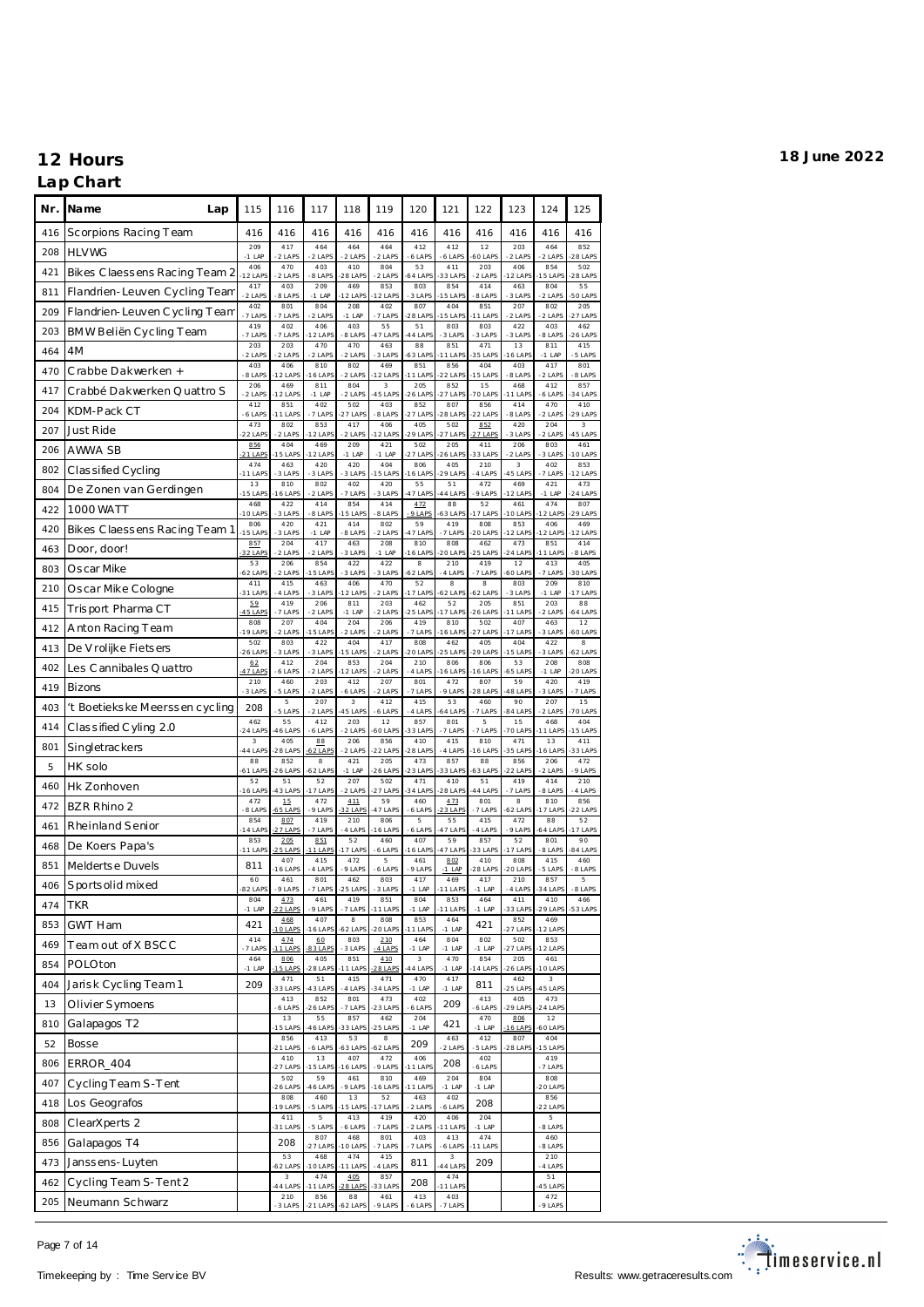### **Nr. Name Lap** 115 116 117 118 119 120 121 122 123 124 125 416 Sc orpions Racing T eam 416 416 416 416 416 416 416 416 416 416 416 208 HLVWG 209 -1 LAP 417 ...<br>عدد أ 464 -2 LAPS 464  $2 + 21$ 464 -2 LAPS 412 -6 LAPS 412 -6 LAPS 12 -60 LAPS 203 -2 LAPS 464 -2 LAPS 852 -28 LAPS 421 Bikes C laess ens Racing Team 2 406<br>12 LAF 470 -2 LAPS 403 -8 LAPS 410 -28 LAPS 804 -2 LAPS 53 -64 LAPS 411 -33 LAPS 203 -2 LAPS 406 -12 LAPS 854 -15 LAPS 502 -28 LAPS 811 Flandrien-Leuven Cycling Team -2 LAPS 403 -8 LAPS 209 -1 LAP 469 -12 LAPS 853 -12 LAPS 803 -3 LAPS 854 -15 LAPS 414 -8 LAPS 463 -3 LAPS 804 -2 LAPS 55 -50 LAPS 209 Flandrien-Leuven C ycling Team  $\frac{402}{17}$ LA -7 LAPS 801 -7 LAPS 804 -2 LAPS 208 -1 LAP 402 -7 LAPS 807 28 LAP 404  $15$  LAP 851 -11 LAPS 207 -2 LAPS 802 -2 LAPS 205 -27 LAPS 203 BMW Beliën Cycling Team -7 LAPS 402 -7 LAPS 406 -12 LAPS 403 -8 LAPS 55 -47 LAPS 51 -44 LAPS 803 -3 LAPS 803 -3 LAPS 422 -3 LAPS 403 -8 LAPS 462 -26 LAPS <sup>464</sup> 4M <sup>203</sup>  $2 + AP$ 203 -2 LAPS 470  $-2$  LAPS 470  $-2$  LAPS 463 -3 LAPS 88 -63 LAPS 851 -11 LAPS 471 -35 LAPS 13 -16 LAPS 811  $-1$  LAP 415 -5 LAPS 470 Crabbe Dakwerken + 403<br>8 LAI 406 -12 LAPS 810 -16 LAPS 802 -2 LAPS 469 -12 LAPS 851 -11 LAPS 856 -22 LAPS 404 -15 LAPS 403 -8 LAPS 417 -2 LAPS 801 -8 LAPS 417 Crabbé Dakwerken Quattro S  $\frac{206}{214}$  $2 + AF$ 469 -12 LAPS 811  $-1$  LAP 804  $-2$  LAP 3  $45$  LAP 205 26 LAP 852  $27$  LAP 15  $701$  AP 468 -11 LAPS 412  $-6$  LAP 857 -34 LAPS 204 KDM-Pack CT  $-6$  LAP 851 -11 LAPS 402 -7 LAPS 502 -27 LAPS 403 -8 LAPS 852 -27 LAPS 807 -28 LAPS 856 -22 LAPS 414 -8 LAPS 470 -2 LAPS 410 -29 LAPS 207 Just Ride  $\frac{473}{-2214}$ -22 LAPS 80<sup>2</sup> - سان<br>2 LAPS: 853 -12 LAPS 417 ....<br>2 LAPS 406 -12 LAPS 405 -29 LAPS 502 -27 LAPS <u>852</u><br>2<u>7 LAPS</u>  $420$  $-31$  APS 204 -2 LAPS 3 -45 LAPS 206 AWWA SB  $\frac{856}{211.01}$  $21$  LAP 404 -15 LAPS 469 -12 LAPS 209 -1 LAP 421 -1 LAP 502 -27 LAPS 205 -26 LAPS 411 -33 LAPS 206 -2 LAPS 803 -3 LAPS 461 -10 LAPS  $802$  Classified Cycling  $474$ -11 LAPS 463 -3 LAPS 420 -3 LAPS 420 -3 LAPS 404 -15 LAPS 806 -16 LAPS 405 -29 LAPS 210 -4 LAPS 3 -45 LAPS 402 -7 LAPS 853 -12 LAPS 804 De Zonen van Gerdingen 13<br>15 LAP 810 -16 LAPS 802 -2 LAPS 402 -7 LAPS 420 -3 LAPS 55 -47 LAPS 51 -44 LAPS 472 -9 LAPS 469 -12 LAPS 421 -1 LAP 473 -24 LAPS 422 1000 WATT  $-468$ <br> $101AP$ 422 -3 LAPS 414 -8 LAPS 854 -15 LAPS 414 -8 LAPS 472 -9 LAPS 88 -63 LAPS 52 -17 LAPS 461 -10 LAPS 474 -12 LAPS 807 -29 LAPS 420 Bikes Claessens Racing Team 1 806<br>15 LAP 420 -3 LAPS 421 -1 LAP 414 -8 LAPS 802 -2 LAPS 59 -47 LAPS 419 -7 LAPS 808 -20 LAPS 853 -12 LAPS 406 -12 LAPS 469 -12 LAPS 463 Door, door! 857<br>32 LAP 204 -2 LAPS 417 -2 LAPS 463 -3 LAPS 208 -1 LAP 810 -16 LAPS 808 -20 LAPS 462 -25 LAPS 473 -24 LAPS 851 -11 LAPS 414 -8 LAPS 803 Oscar Mike  $62$  LAP 206 -2 LAPS 854 -15 LAPS 422 3 LAP 422 -3 LAPS 8 -62 LAPS 210  $-4$  LAPS 419 -7 LAPS 12 -60 LAPS 413 -7 LAPS 405 -30 LAPS 210 Oscar Mike Cologne  $\frac{411}{31}$  LAP 415 -4 LAPS 463 -3 LAPS 406 -12 LAPS 470 -2 LAPS 52 -17 LAPS 8 -62 LAPS 8 -62 LAPS 803 -3 LAPS 209 -1 LAP 810 -17 LAPS 415 Trisport Pharma CT -45 LAPS 419  $-7 + AP$ 206  $-2$  LAPS 811  $-1$  LA 203  $-2$  LAPS 462 -25 LAPS 52  $17 |A|$ 205 -26 LAPS 851 -11 LAPS 203  $-2$  LAP 88 -64 LAPS 412 Anton Racing Team 808<br>19 LAF 207 -2 LAPS 404 -15 LAPS 204 -2 LAPS 206 -2 LAPS 419 -7 LAPS 810 -16 LAPS 502 -27 LAPS 407 -17 LAPS 463 -3 LAPS 12 -60 LAPS 413 De V rolijke Fiets ers  $\frac{502}{-2614}$ -26 LAPS 803 -3 LAPS 422 -3 LAPS 404 -15 LAPS 417 ....<br>.2 LAPS 808 -20 LAPS 462 -25 LAPS 405 -29 LAPS 404 -15 LAPS 422 -3 LAPS 8 -62 LAPS 402 Les Cannibales Quattro <u>62</u><br>17 LAF 412 -6 LAPS 204 -2 LAPS 853 -12 LAPS 204 -2 LAPS 210 -4 LAPS 806 -16 LAPS 806 -16 LAPS 53 -65 LAPS 208 -1 LAP 808 -20 LAPS  $419$  Bizons  $^{210}$  $-3$  LAPS 460 -5 LAPS 203 -2 LAPS 412 -6 LAPS 207 -2 LAPS 801 -7 LAPS 472 ے ہیں۔<br>9 LAP 807 -28 LAPS 59 -48 LAPS 420 -3 LAPS 419 -7 LAPS 403 't Boetieks ke Meerss en cycling | 208 5 -5 LAPS 207 -2 LAPS 3 -45 LAPS 412 -6 LAPS 415 -4 LAPS 53 -64 LAPS 460 -7 LAPS 90 -84 LAPS 207 -2 LAPS 15 -70 LAPS 414  $\vert$  Class ified C yling 2.0  $\begin{array}{c} 462 \\ 241 \text{ AP} \end{array}$ 55 -46 LAPS 412 -6 LAPS 203 -2 LAPS 12 -60 LAPS 857 -33 LAPS 801 -7 LAPS 5 -7 LAPS 15 -70 LAPS 468 -11 LAPS 404 -15 LAPS 801 Singletrackers 3<br>44 LAF 405 -28 LAPS 88  $-62$  LAP 206 -2 LAPS 856 -22 LAPS 410 -28 LAPS 415 -4 LAPS 810 -16 LAPS 471 -35 LAPS 13 -16 LAPS 411 -33 LAPS 5 HK solo ں<br>1 LAI 852 -26 LAPS 8 -62 LAPS 421 -1 LAP 205 -26 LAPS 473 ى .<br>اھا 23 857 رت<br>ا**Al** 33 88 -63 LAPS 856 -22 LAPS 206 -2 LAPS 472 -9 LAPS <sup>460</sup> Hk Zonhoven <sup>52</sup> -16 LAPS 51 -43 LAPS 52 -17 LAPS 207 -2 LAPS 502 -27 LAPS 471 34 LAPS 410 -28 LAPS 51 -44 LAPS 419 -7 LAPS 414 -8 LAPS 210 -4 LAPS <sup>472</sup> BZR Rhino 2 <sup>472</sup>  $-472$ <br>-8 LAP 15 -65 LAPS 472 -9 LAPS 411 -32 LAPS 59 -47 LAPS 460 -6 LAPS 473 -23 LAPS 801 -7 LAPS 8 -62 LAPS 810 -17 LAPS 856 -22 LAPS 461 Rheinland Senior -14 LAPS 807 -27 LAPS 419  $-7 + AP$ 210  $-4$  LAP 806 -16 LAPS 5 -6 LAPS 55  $47$  LA 415  $-4$  LAP 472 -9 LAPS 88 64 LAP 52 -17 LAPS 468 De Koers Papa's -11 LAPS 205  $5$  LAP 851  $1$  LAP 52 -17 LAPS 460 -6 LAPS 407 -16 LAPS 59 -47 LAPS 857 -33 LAPS 52 -17 LAPS 801 -8 LAPS 90 -84 LAPS 851 Melderts e Duvels 811 407 -16 LAPS 415  $-4$  LAPS 472 -9 LAPS 5 -6 LAPS 461  $-9$  LAPS 802 -1 LAP 410 -28 LAPS 808 20 LAPS 415  $-5$  LAP 460 -8 LAPS 406 Sports olid mixed  $\frac{60}{32 \text{ LAF}}$ 461 -9 LAPS 801 -7 LAPS 462 -25 LAPS 803 -3 LAPS 417 -1 LAP 469 -11 LAPS 417 -1 LAP 210 -4 LAPS 857 -34 LAPS 5 -8 LAPS 474 TKR  $^{804}$  $-1$  LAP 473 -22 LAPS 461 -9 LAPS 419 -7 LAPS 851 -11 LAPS 804 -1 LAP 853 ----<br>11 LAI 464 -1 LAP 411 -33 LAPS 410 -29 LAPS 466 -53 LAPS 853 GWT Ham 421 468 0 LAP 407 -16 LAPS 8 -62 LAPS 808 -20 LAPS 853 -11 LAPS  $464$  421 852 -27 LAPS 469 -12 LAPS 469 Team out of X BSC C  $-414$ <br> $-71AP$ 474 -11 LAPS 60 -83 LAPS 803 -3 LAPS 210 -4 LAPS 464 -1 LAP 804 -1 LAP 802 -1 LAP 502 -27 LAPS 853 -12 LAPS 854 POLOton 464<br>-1 LAF 806 -15 LAPS 405 -28 LAPS 851 -11 LAPS 410  $-28$  LA 3 -44 LAPS 470 -1 LAP 854 -14 LAPS 205 -26 LAPS 461 -10 LAPS 404 Jarisk Cycling Team 1 209 47 -33 LAPS 51 -43 LAPS 415 -4 LAPS 47 -34 LAPS 470 -1 LAP 417  $^{417}_{-1 \text{ LAP}}$  811 462 -25 LAPS 3 -45 LAPS 13 Olivier Symoens -6 LAPS 852 -26 LAPS 801 -7 LAPS 473 -23 LAPS  $402$ <sub>-6 LAPS</sub> 209 413 -6 LAPS 405 -29 LAPS 473 -24 LAPS 810 Galapagos T2 -- 13<br>15 LAP<sup>s</sup> 55 -46 LAPS 857 -33 LAPS 462 -25 LAPS  $204$  421 470 -1 LAP 806 -16 LAPS 12 -60 LAPS 52 Bosse 856 21 LAP 413  $6$  LAP 53  $63$  LA  $\frac{8}{-62 \text{ LAPS}}$  209 463  $-2$  LAP 412 5 LAP 807 -28 LAPS 404  $15$  LAP 806 ERROR 404 -27 LAPS 13 -15 LAPS 407 -16 LAPS 472 -9 LAPS  $406$ <sub>-11 LAPS</sub> 208 402 -6 LAPS 419 -7 LAPS 407 Cycling Team S-T ent  $\frac{502}{-2614}$ -26 LAPS 59 -46 LAPS 461 -9 LAPS 810 -16 LAPS 469 -11 LAPS 204 -1 LAP 804  $-1$  LAP 808  $201AP$ 418 Los Geografos 808<br>19 LAF 460 -5 LAPS 13 -15 LAPS 52 -17 LAPS 463 -2 LAPS  $402$ <sub>-6 LAPS</sub> 208 856 -22 LAPS 808 ClearXperts 2 411 -----<br>31 LAP 5 -<br>5 LAP 413 -6 LAPS 419 -7 LAPS 420 ----<br>2 LAPS 406 ----<br>11 LAI 204 -1 LAP 5 -<br>8 LAP 856 Galapagos T4 208 807 -27 LAPS 468  $10$  LA 801 -7 LAPS 403 7 LAPS 413 -6 LAPS 474  $-11$  LAP 460 -8 LAPS 473 Janssens-Luyten  $-53$ <br> $-62$  LAPS 468 -10 LAPS 474 -11 LAPS  $415$  811 ر<br>44 I AF 209 210 -4 LAPS 462 Cycling Team S-Tent 2  $\frac{3}{44 \text{ LAP}}$ 474 -11 LAPS 405  $28$  LA  $\frac{857}{-33 \text{ LAPS}}$  208 474 -11 LAPS 51 -45 LAPS 205 Neumann Schwarz  $-210$ <br> $-31AP$ 856 -21 LAPS 88 -62 LAPS 461 -9 LAPS 413 403 -7 LAPS 472 -9 LAPS

-6 LAPS

Page 7 of 14

### Timekeeping by : Time Service BV **Results: <www.getraceresults.com>** Results: www.getraceresults.com

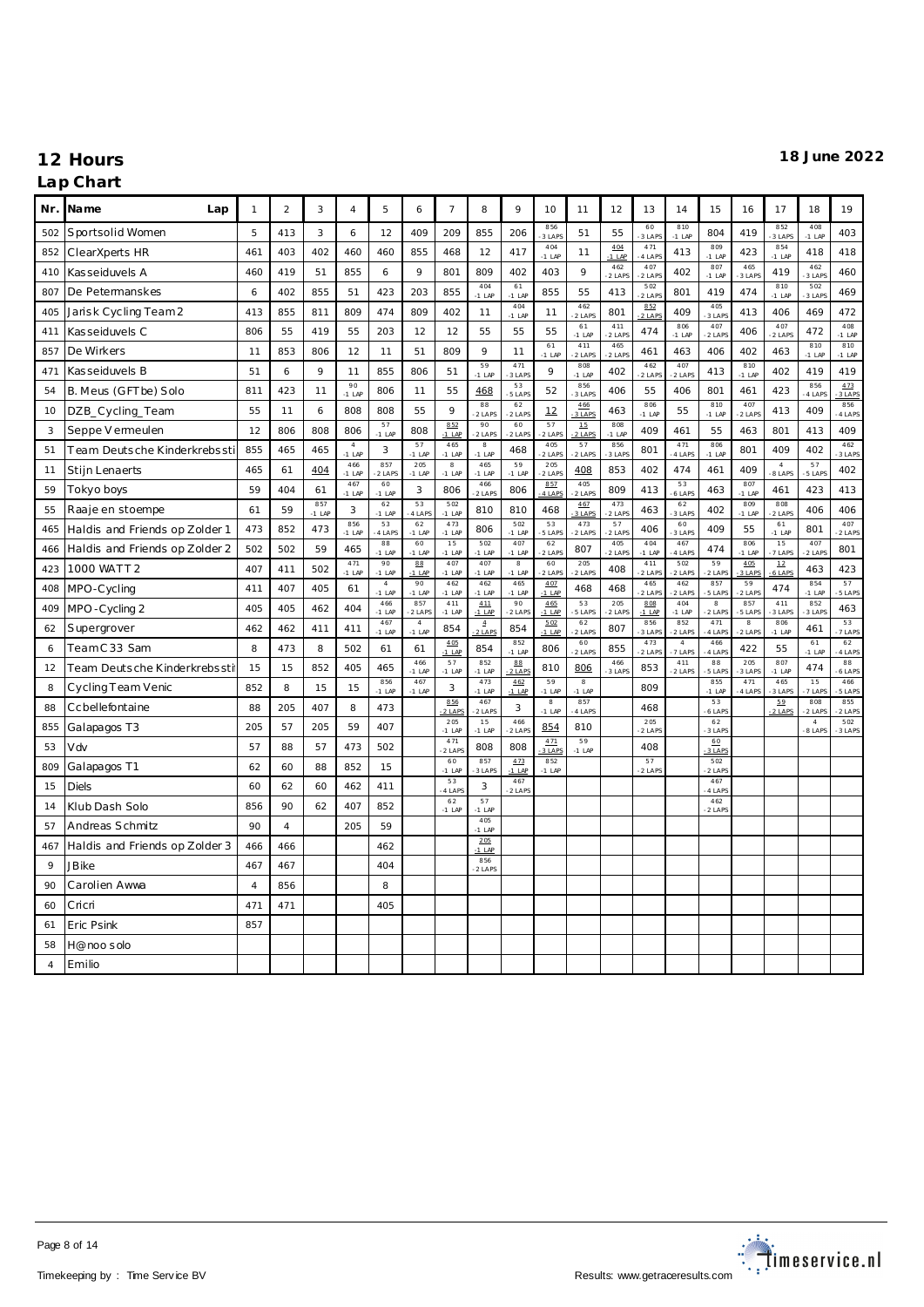| Nr. | Name<br>Lap                    | $\mathbf{1}$   | $\overline{a}$ | 3               | $\overline{4}$         | 5                          | 6                          | $\overline{7}$         | 8                          | 9                        | 10                     | 11                       | 12              | 13              | 14                       | 15                    | 16                          | 17                       | 18                       | 19              |
|-----|--------------------------------|----------------|----------------|-----------------|------------------------|----------------------------|----------------------------|------------------------|----------------------------|--------------------------|------------------------|--------------------------|-----------------|-----------------|--------------------------|-----------------------|-----------------------------|--------------------------|--------------------------|-----------------|
| 502 | Sportsolid Women               | 5              | 413            | 3               | 6                      | 12                         | 409                        | 209                    | 855                        | 206                      | 856<br>3 LAP           | 51                       | 55              | 60<br>3 LAP     | 810<br>$-1$ LAP          | 804                   | 419                         | 852<br>3 LAPS            | 408<br>$-1$ LAF          | 403             |
| 852 | ClearXperts HR                 | 461            | 403            | 402             | 460                    | 460                        | 855                        | 468                    | 12                         | 417                      | 404<br>$-1$ LAP        | 11                       | 404<br>$-1$ LAP | 471<br>4 LAPS   | 413                      | 809<br>$-1$ LAP       | 423                         | 854<br>$-1$ LAP          | 418                      | 418             |
| 410 | Kasseiduvels A                 | 460            | 419            | 51              | 855                    | 6                          | 9                          | 801                    | 809                        | 402                      | 403                    | 9                        | 462<br>$2$ LAPS | 407<br>$2$ LAPS | 402                      | 807<br>$-1$ LAP       | 465<br>3 LAPS               | 419                      | 462<br>3 LAPS            | 460             |
| 807 | De Petermanskes                | 6              | 402            | 855             | 51                     | 423                        | 203                        | 855                    | 404<br>$-1$ LAP            | 61<br>$-1$ LAP           | 855                    | 55                       | 413             | 502<br>$2$ LAPS | 801                      | 419                   | 474                         | 810<br>$-1$ LAP          | 502<br>3 LAPS            | 469             |
| 405 | Jarisk Cycling Team 2          | 413            | 855            | 811             | 809                    | 474                        | 809                        | 402                    | 11                         | 404<br>$-1$ LAP          | 11                     | 462<br>2 LAPS            | 801             | 852<br>2 LAPS   | 409                      | 405<br>3 LAPS         | 413                         | 406                      | 469                      | 472             |
| 411 | Kasseiduvels C                 | 806            | 55             | 419             | 55                     | 203                        | 12                         | 12                     | 55                         | 55                       | 55                     | 61<br>$-1$ LAP           | 411<br>$2$ LAP  | 474             | 806<br>$-1$ LAP          | 407<br>2 LAPS         | 406                         | 407<br>2 LAPS            | 472                      | 408<br>$-1$ LAP |
| 857 | De Wirkers                     | 11             | 853            | 806             | 12                     | 11                         | 51                         | 809                    | 9                          | 11                       | 61<br>$-1$ LAP         | 411<br>2 LAPS            | 465<br>$2$ LAP  | 461             | 463                      | 406                   | 402                         | 463                      | 810<br>$-1$ LAP          | 810<br>$-1$ LAP |
| 471 | Kasseiduvels B                 | 51             | $\epsilon$     | 9               | 11                     | 855                        | 806                        | 51                     | 59<br>$-1$ LAP             | 471<br>3 LAPS            | 9                      | 808<br>$-1$ LAP          | 402             | 462<br>2 LAPS   | 407<br>2 LAPS            | 413                   | 810<br>$-1$ LAP             | 402                      | 419                      | 419             |
| 54  | B. Meus (GFTbe) Solo           | 811            | 423            | 11              | 90<br>$-1$ LAP         | 806                        | 11                         | 55                     | 468                        | 53<br>5 LAPS             | 52                     | 856<br>3 LAPS            | 406             | 55              | 406                      | 801                   | 461                         | 423                      | 856<br>4 LAPS            | 473<br>3 LAPS   |
| 10  | DZB_Cycling_Team               | 55             | 11             | 6               | 808                    | 808                        | 55                         | 9                      | 88<br>2 LAPS               | 62<br>2 LAPS             | 12                     | 466<br>3 LAPS            | 463             | 806<br>$-1$ LAP | 55                       | 810<br>$-1$ LAP       | 407<br>2 LAPS               | 413                      | 409                      | 856<br>4 LAPS   |
| 3   | Seppe V ermeulen               | 12             | 806            | 808             | 806                    | 57<br>$-1$ LAP             | 808                        | 852<br>$-1$ LAP        | 90<br>-2 LAPS              | 60<br>2 LAPS             | 57<br>$2$ LAP          | 15<br>$2$ LAP            | 808<br>$-1$ LAP | 409             | 461                      | 55                    | 463                         | 801                      | 413                      | 409             |
| 51  | Team Deutsche Kinderkrebssti   | 855            | 465            | 465             | $\sqrt{4}$<br>$-1$ LAP | 3                          | 57<br>$-1$ LAP             | 465<br>$-1$ LAP        | 8<br>$-1$ LAP              | 468                      | 405<br>$2$ LAPS        | 57<br>2 LAPS             | 856<br>3 LAP    | 801             | 471<br>4 LAPS            | 806<br>$-1$ LAP       | 801                         | 409                      | 402                      | 462<br>3 LAPS   |
| 11  | Stijn Lenaerts                 | 465            | 61             | 404             | 466<br>$-1$ LAP        | 857<br>2 LAPS              | 205<br>$-1$ LAP            | $_{\rm 8}$<br>$-1$ LAP | 465<br>$-1$ LAP            | 59<br>$-1$ LAP           | 205<br>2 LAPS          | 408                      | 853             | 402             | 474                      | 461                   | 409                         | $\overline{A}$<br>8 LAPS | 57<br>5 LAPS             | 402             |
| 59  | Tokyo boys                     | 59             | 404            | 61              | 467<br>$-1$ LAP        | 60<br>$-1$ LAP             | 3                          | 806                    | 466<br>2 LAPS              | 806                      | 857<br>4 LAPS          | 405<br>2 LAPS            | 809             | 413             | 53<br>6 LAPS             | 463                   | 807<br>$-1$ LAP             | 461                      | 423                      | 413             |
| 55  | Raaje en stoempe               | 61             | 59             | 857<br>$-1$ LAP | 3                      | 62<br>$-1$ LAP             | 53<br>4 LAPS               | 502<br>$-1$ LAP        | 810                        | 810                      | 468                    | 467<br>3 LAPS            | 473<br>2 LAPS   | 463             | $6\,2$<br>3 LAPS         | 402                   | 809<br>$-1$ LAP             | 808<br>2 LAPS            | 406                      | 406             |
| 465 | Haldis and Friends op Zolder 1 | 473            | 852            | 473             | 856<br>$-1$ LAP        | 53<br>4 LAPS               | 62<br>$-1$ LAP             | 473<br>$-1$ LAP        | 806                        | 502<br>$-1$ LAP          | 53<br>5 LAP            | 473<br>2 LAPS            | 57<br>$2$ LAPS  | 406             | 60<br>3 LAPS             | 409                   | 55                          | 61<br>$-1$ LAP           | 801                      | 407<br>$2$ LAPS |
| 466 | Haldis and Friends op Zolder 2 | 502            | 502            | 59              | 465                    | 88<br>$-1$ LAP             | 60<br>$-1$ LAP             | 15<br>$-1$ LAP         | 502<br>$-1$ LAP            | 407<br>$-1$ LAP          | 62<br>$2$ LAP          | 807                      | 405<br>$2$ LAPS | 404<br>$-1$ LAP | 467<br>4 LAPS            | 474                   | 806<br>$-1$ LAP             | 15<br>7 LAPS             | 407<br>2 LAPS            | 801             |
| 423 | 1000 WATT 2                    | 407            | 411            | 502             | 471<br>$-1$ LAP        | 90<br>$-1$ LAP             | 88<br>$-1$ LAP             | 407<br>$-1$ LAP        | 407<br>$-1$ LAP            | $\mathbf{g}$<br>$-1$ LAP | 60<br>$2$ LAP          | 205<br>2 LAPS            | 408             | 411<br>2 LAPS   | 502<br>2 LAPS            | 59<br>2 LAPS          | 4.05<br>3 LAPS              | 12<br>6 LAPS             | 463                      | 423             |
| 408 | MPO-Cycling                    | 411            | 407            | 405             | 61                     | $\overline{4}$<br>$-1$ LAP | 90<br>$-1$ LAP             | 462<br>$-1$ LAP        | 462<br>$-1$ LAP            | 465<br>$-1$ LAP          | 407<br>$-1$ LAP        | 468                      | 468             | 465<br>2 LAPS   | 462<br>2 LAPS            | 857<br>5 LAPS         | 59<br>$-2$ LAP              | 474                      | 854<br>$-1$ LAP          | 57<br>5 LAPS    |
| 409 | MPO-Cycling 2                  | 405            | 405            | 462             | 404                    | 466<br>$-1$ LAP            | 857<br>$2$ LAPS            | 411<br>$-1$ LAP        | 411<br>$-1$ LAP            | 90<br>$-2$ LAPS          | 465<br>$-1$ LAP        | 53<br>5 LAPS             | 205<br>$2$ LAPS | 808<br>$-1$ LAP | 404<br>$-1$ LAP          | 8<br>$2$ LAPS         | 857<br>5 LAPS               | 411<br>3 LAPS            | 852<br>3 LAPS            | 463             |
| 62  | Supergrover                    | 462            | 462            | 411             | 411                    | 467<br>$-1$ LAP            | $\overline{4}$<br>$-1$ LAP | 854                    | $\overline{4}$<br>$2$ LAPS | 854                      | 5.02<br>$-1$ LAP       | 62<br>2 LAPS             | 807             | 856<br>3 LAPS   | 852<br>2 LAPS            | 471<br>4 LAPS         | $\overline{8}$<br>$-2$ LAPS | 806<br>$-1$ LAP          | 461                      | 53<br>7 LAPS    |
| 6   | TeamC33 Sam                    | 8              | 473            | 8               | 502                    | 61                         | 61                         | 405<br>$-1$ LAP        | 854                        | 852<br>$-1$ LAP          | 806                    | 60<br>2 LAPS             | 855             | 473<br>$2$ LAPS | $\overline{4}$<br>7 LAPS | 466<br>4 LAPS         | 422                         | 55                       | 61<br>$-1$ LAP           | 62<br>4 LAPS    |
| 12  | Team Deutsche Kinderkrebssti   | 15             | 15             | 852             | 405                    | 465                        | 466<br>$-1$ LAP            | 57<br>$-1$ LAP         | 852<br>$-1$ LAP            | 88<br>2 LAPS             | 810                    | 806                      | 466<br>3 LAPS   | 853             | 411<br>2 LAPS            | $^{\rm 88}$<br>5 LAPS | 205<br>3 LAPS               | 807<br>$-1$ LAP          | 474                      | 88<br>6 LAPS    |
| 8   | Cycling Team Venic             | 852            | 8              | 15              | 15                     | 856<br>$-1$ LAP            | 467<br>$-1$ LAP            | 3                      | 473<br>$-1$ LAP            | 462<br>$-1$ LAP          | 59<br>$-1$ LAP         | $\mathbf{g}$<br>$-1$ LAP |                 | 809             |                          | 855<br>$-1$ LAP       | 471<br>4 LAPS               | 465<br>3 LAPS            | 15<br>7 LAPS             | 466<br>5 LAPS   |
| 88  | Ccbellefontaine                | 88             | 205            | 407             | 8                      | 473                        |                            | 856<br>2 LAPS          | 467<br>2 LAPS              | 3                        | $_{\rm 8}$<br>$-1$ LAP | 857<br>4 LAPS            |                 | 468             |                          | 53<br>61AP            |                             | 59<br>2 LAPS             | 808<br>$2$ LAP           | 855<br>2 LAPS   |
| 855 | Galapagos T3                   | 205            | 57             | 205             | 59                     | 407                        |                            | 205<br>$-1$ LAP        | 15<br>$-1$ LAP             | 466<br>2 LAPS            | 854                    | 810                      |                 | 205<br>2 LAPS   |                          | 62<br>3 LAPS          |                             |                          | $\overline{4}$<br>8 LAPS | 502<br>3 LAPS   |
| 53  | Vdv                            | 57             | 88             | 57              | 473                    | 502                        |                            | 471<br>2 LAPS          | 808                        | 808                      | 4.71<br>3 LAPS         | 59<br>$-1$ LAP           |                 | 408             |                          | 60<br>3 LAP           |                             |                          |                          |                 |
| 809 | Galapagos T1                   | 62             | 60             | 88              | 852                    | 15                         |                            | 60<br>$-1$ LAP         | 857<br>3 LAPS              | 473<br>$-1$ LAP          | 852<br>$-1$ LAP        |                          |                 | 57<br>2 LAP     |                          | 502<br>2 LAP          |                             |                          |                          |                 |
| 15  | <b>Diels</b>                   | 60             | 62             | 60              | 462                    | 411                        |                            | 53<br>4 LAP            | 3                          | 467<br>2 LAPS            |                        |                          |                 |                 |                          | 467<br>4 LAP          |                             |                          |                          |                 |
| 14  | Klub Dash Solo                 | 856            | 90             | 62              | 407                    | 852                        |                            | 62<br>$-1$ LAP         | 57<br>$-1$ LAP             |                          |                        |                          |                 |                 |                          | 462<br>$2$ LAPS       |                             |                          |                          |                 |
| 57  | Andreas Schmitz                | 90             | $\overline{4}$ |                 | 205                    | 59                         |                            |                        | 405<br>$-1$ LAF            |                          |                        |                          |                 |                 |                          |                       |                             |                          |                          |                 |
| 467 | Haldis and Friends op Zolder 3 | 466            | 466            |                 |                        | 462                        |                            |                        | 205<br>1 LAF               |                          |                        |                          |                 |                 |                          |                       |                             |                          |                          |                 |
| 9   | <b>JB</b> ike                  | 467            | 467            |                 |                        | 404                        |                            |                        | 856<br>-2 LAPS             |                          |                        |                          |                 |                 |                          |                       |                             |                          |                          |                 |
| 90  | Carolien Awwa                  | $\overline{4}$ | 856            |                 |                        | 8                          |                            |                        |                            |                          |                        |                          |                 |                 |                          |                       |                             |                          |                          |                 |
| 60  | Cricri                         | 471            | 471            |                 |                        | 405                        |                            |                        |                            |                          |                        |                          |                 |                 |                          |                       |                             |                          |                          |                 |
| 61  | Eric Psink                     | 857            |                |                 |                        |                            |                            |                        |                            |                          |                        |                          |                 |                 |                          |                       |                             |                          |                          |                 |
| 58  | H@noosolo                      |                |                |                 |                        |                            |                            |                        |                            |                          |                        |                          |                 |                 |                          |                       |                             |                          |                          |                 |
| 4   | Emilio                         |                |                |                 |                        |                            |                            |                        |                            |                          |                        |                          |                 |                 |                          |                       |                             |                          |                          |                 |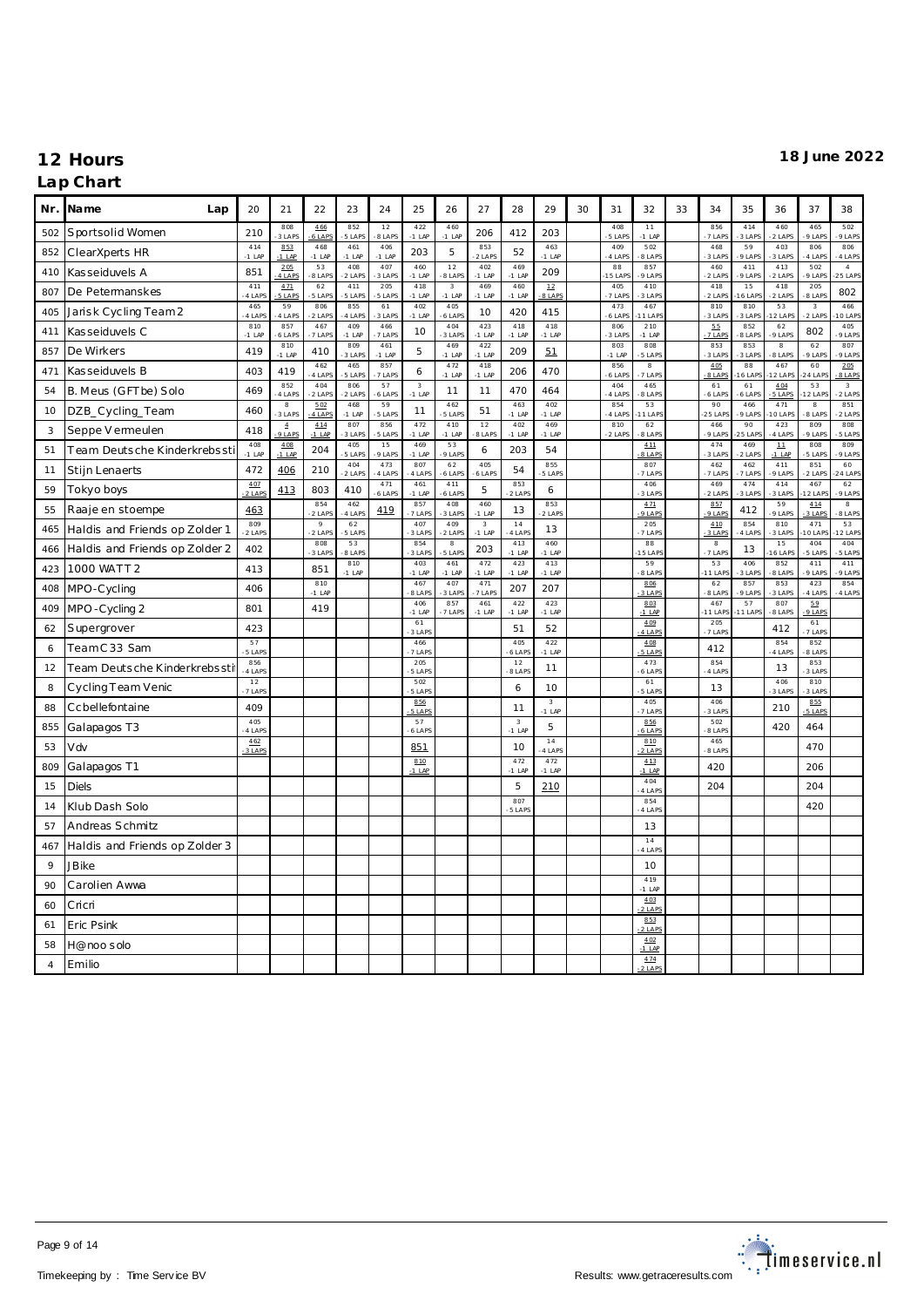| Nr.            | Name<br>Lap                    | 20                | 21                     | 22                | 23              | 24              | 25                     | 26                                  | 27              | 28                                  | 29                       | 30 | 31              | 32                   | 33 | 34                   | 35               | 36                                    | 37                                  | 38                     |
|----------------|--------------------------------|-------------------|------------------------|-------------------|-----------------|-----------------|------------------------|-------------------------------------|-----------------|-------------------------------------|--------------------------|----|-----------------|----------------------|----|----------------------|------------------|---------------------------------------|-------------------------------------|------------------------|
| 502            | Sportsolid Women               | 210               | 808<br>3 LAPS          | 466<br>6 LAPS     | 852<br>5 LAPS   | 12<br>8 LAPS    | 422<br>$-1$ LAP        | 460<br>$-1$ LAP                     | 206             | 412                                 | 203                      |    | 408<br>5 LAP    | 11<br>$-1$ LAP       |    | 856<br>7 LAPS        | 414<br>3 LAPS    | 460<br>2 LAPS                         | 465<br>9 LAPS                       | 502<br>9 LAPS          |
| 852            | ClearXperts HR                 | 414<br>$-1$ LAP   | 853<br>$-1$ LAP        | 468<br>$-1$ LAP   | 461<br>$-1$ LAP | 406<br>$-1$ LAP | 203                    | 5                                   | 853<br>2 LAPS   | 52                                  | 463<br>$-1$ LAP          |    | 409<br>4 LAPS   | 502<br>8 LAPS        |    | 468<br>3 LAPS        | 59<br>9 LAPS     | 403<br>3 LAPS                         | 806<br>4 LAPS                       | 806<br>-4 LAPS         |
| 410            | Kasseiduvels A                 | 851               | 205<br>4 LAPS          | 53<br>8 LAPS      | 408<br>2 LAPS   | 407<br>3 LAPS   | 460<br>$-1$ LAP        | 12<br>8 LAPS                        | 402<br>$-1$ LAP | 469<br>$-1$ LAP                     | 209                      |    | 88<br>15 LAP    | 857<br>$9$ LAPS      |    | 460<br>2 LAPS        | 411<br>9 LAPS    | 413<br>2 LAPS                         | 502<br>9 LAPS                       | $\sqrt{4}$<br>$25$ LAP |
| 807            | De Petermanskes                | 411<br>4 LAP      | 4.71<br>5 LAPS         | 62<br>5 LAPS      | 411<br>5 LAPS   | 205<br>5 LAPS   | 418<br>$-1$ LAP        | $\overline{\mathbf{3}}$<br>$-1$ LAP | 469<br>$-1$ LAP | 460<br>$-1$ LAP                     | 12<br>8 LAPS             |    | 405<br>7 LAPS   | 410<br>3 LAPS        |    | 418<br>2 LAPS        | 15<br>6 LAP      | 418<br>2 LAPS                         | 205<br>8 LAPS                       | 802                    |
| 405            | Jarisk Cycling Team 2          | 465<br>4 LAP      | 59<br>4 LAPS           | 806<br>2 LAPS     | 855<br>4 LAPS   | 61<br>3 LAPS    | 402<br>$-1$ LAP        | 405<br>6 LAPS                       | 10              | 420                                 | 415                      |    | 473<br>6 LAPS   | 467<br>11 LAP        |    | 810<br>3 LAPS        | 810<br>3 LAPS    | 53<br>2 LAP                           | $\overline{\mathbf{3}}$<br>$2$ LAPS | 466<br>0 LAP           |
| 411            | Kasseiduvels C                 | 810<br>$-1$ LAP   | 857<br>6 LAPS          | 467<br>7 LAPS     | 409<br>$-1$ LAP | 466<br>7 LAPS   | 10                     | 404<br>3 LAPS                       | 423<br>$-1$ LAP | 418<br>$-1$ LAP                     | 418<br>$-1$ LAP          |    | 806<br>3 LAP    | 210<br>$-1$ LAP      |    | 55<br>7 LAPS         | 852<br>8 LAPS    | 62<br>9 LAPS                          | 802                                 | 405<br>9 LAP           |
| 857            | De Wirkers                     | 419               | 810<br>$-1$ LAP        | 410               | 809<br>3 LAPS   | 461<br>$-1$ LAP | 5                      | 469<br>$-1$ LAP                     | 422<br>$-1$ LAP | 209                                 | 51                       |    | 803<br>$-1$ LAF | 808<br>5 LAP         |    | 853<br>3 LAPS        | 853<br>3 LAPS    | $\overline{8}$<br>8 LAPS              | 62<br>9 LAPS                        | 807<br>9 LAPS          |
| 471            | Kasseiduvels B                 | 403               | 419                    | 462<br>4 LAPS     | 465<br>5 LAPS   | 857<br>7 LAPS   | 6                      | 472<br>$-1$ LAP                     | 418<br>$-1$ LAP | 206                                 | 470                      |    | 856<br>6 LAPS   | $_{\rm 8}$<br>7 LAPS |    | 405<br>8 LAPS        | 88<br>6 LAP      | 467<br>2 LAPS                         | 60<br>24 LAP                        | 205<br>8 LAPS          |
| 54             | B. Meus (GFTbe) Solo           | 469               | 852<br>4 LAPS          | 404<br>$2$ LAPS   | 806<br>2 LAPS   | 57<br>6 LAPS    | $\sqrt{3}$<br>$-1$ LAP | 11                                  | 11              | 470                                 | 464                      |    | 404<br>4 LAP    | 465<br>8 LAPS        |    | 61<br>6 LAPS         | 61<br>$6$ LAP    | 4.04<br>5 LAPS                        | 53<br>$12$ LAP                      | $^{\rm 3}$<br>$2$ LAPS |
| 10             | DZB_Cycling_Team               | 460               | $^{\rm 8}$<br>3 LAPS   | 5.02<br>4 LAPS    | 468<br>$-1$ LAP | 59<br>5 LAPS    | 11                     | 462<br>5 LAP                        | 51              | 463<br>$-1$ LAF                     | 402<br>$-1$ LAP          |    | 854<br>4 LAPS   | 53<br>11 LAP         |    | 90<br>25 LAP         | 466<br>9 LAP     | 471<br>O LAPS                         | $^{\circ}$<br>8 LAPS                | 851<br>2 LAPS          |
| 3              | Seppe V ermeulen               | 418               | $\overline{4}$<br>9IAP | 414<br>$-1$ LAP   | 807<br>3 LAPS   | 856<br>5 LAPS   | 472<br>$-1$ LAP        | 410<br>$-1$ LAP                     | 12<br>8 LAP     | 402<br>$-1$ LAP                     | 469<br>$-1$ LAP          |    | 810<br>$2$ LAPS | 62<br>8 LAP          |    | 466<br>9 LAPS        | 90<br>25 LAP     | 423<br>4 LAPS                         | 809<br>$9$ LAPS                     | 808<br>5 LAP           |
| 51             | Team Deutsche Kinderkrebssti   | 408<br>$-1$ LAP   | 408<br>$-1$ LAP        | 204               | 405<br>5 LAPS   | 15<br>9 LAPS    | 469<br>$-1$ LAP        | 53<br>9 LAPS                        | 6               | 203                                 | 54                       |    |                 | 411<br>$-8$ LAPS     |    | 474<br>3 LAP         | 469<br>$-2$ LAPS | $\mathbf{\underline{11}}$<br>$-1$ LAP | 808<br>5 LAPS                       | 809<br>9 LAPS          |
| 11             | Stijn Lenaerts                 | 472               | 406                    | 210               | 404<br>2 LAPS   | 473<br>4 LAPS   | 807<br>4 LAPS          | 62<br>6 LAPS                        | 405<br>6 LAPS   | 54                                  | 855<br>5 LAPS            |    |                 | 807<br>7 LAP         |    | 462<br>7 LAPS        | 462<br>7 LAPS    | 411<br>9 LAPS                         | 851<br>2 LAPS                       | 60<br>24 LAP           |
| 59             | Tokyo boys                     | 4.07<br>$-2$ LAPS | 413                    | 803               | 410             | 471<br>6 LAPS   | 461<br>$-1$ LAP        | 411<br>6 LAPS                       | 5               | 853<br>2 LAPS                       | 6                        |    |                 | 406<br>3 LAP         |    | 469<br>$2$ LAPS      | 474<br>3 LAPS    | 414<br>3 LAPS                         | 467<br>12 LAP                       | 62<br>9 LAPS           |
| 55             | Raaje en stoempe               | 463               |                        | 854<br>2 LAPS     | 462<br>4 LAPS   | 419             | 857<br>7 LAPS          | 408<br>3 LAPS                       | 460<br>$-1$ LAP | 13                                  | 853<br>2 LAPS            |    |                 | 4.71<br>$9$ LAP      |    | 857<br>9 LAPS        | 412              | 59<br>9 LAPS                          | 4.14<br>3 LAPS                      | $_{\rm 8}$<br>8 LAPS   |
| 465            | Haldis and Friends op Zolder 1 | 809<br>-2 LAPS    |                        | $\circ$<br>2 LAPS | 62<br>5 LAPS    |                 | 407<br>3 LAPS          | 409<br>2 LAPS                       | 3<br>$-1$ LAP   | 14<br>4 LAPS                        | 13                       |    |                 | 205<br>7 LAP         |    | 410<br>3 LAP         | 854<br>4 LAPS    | 810<br>3 LAPS                         | 471<br>0 LAP                        | 53<br>2 LAP            |
| 466            | Haldis and Friends op Zolder 2 | 402               |                        | 808<br>3 LAPS     | 53<br>8 LAPS    |                 | 854<br>3 LAPS          | $_{\rm 8}$<br>5 LAPS                | 203             | 413<br>$-1$ LAP                     | 460<br>$-1$ LAP          |    |                 | 88<br>15 LAF         |    | $^{\rm 8}$<br>7 LAPS | 13               | 15<br>16 LAP                          | 404<br>5 LAPS                       | 404<br>5 LAPS          |
| 423            | 1000 WATT 2                    | 413               |                        | 851               | 810<br>$-1$ LAP |                 | 403<br>$-1$ LAP        | 461<br>$-1$ LAP                     | 472<br>$-1$ LAP | 423<br>$-1$ LAP                     | 413<br>$-1$ LAP          |    |                 | 59<br>8 LAP          |    | 53<br>11 LAP         | 406<br>3 LAPS    | 852<br>8 LAPS                         | 411<br>9 LAPS                       | 411<br>9 LAPS          |
| 408            | MPO-Cycling                    | 406               |                        | 810<br>$-1$ LAP   |                 |                 | 467<br>8 LAPS          | 407<br>3 LAPS                       | 471<br>7 LAPS   | 207                                 | 207                      |    |                 | 806<br>$3$ LAP       |    | 62<br>8 LAPS         | 857<br>9 LAP     | 853<br>3 LAPS                         | 423<br>4 LAPS                       | 854<br>4 LAPS          |
| 409            | MPO-Cycling 2                  | 801               |                        | 419               |                 |                 | 406<br>$-1$ LAP        | 857<br>7 LAPS                       | 461<br>$-1$ LAF | 422<br>$-1$ LAP                     | 423<br>$-1$ LAP          |    |                 | 803<br>$-1$ LAP      |    | 467<br>11 LAP        | 57<br>1 LAP      | 807<br>8 LAPS                         | 59<br>$9$ LAP                       |                        |
| 62             | Supergrover                    | 423               |                        |                   |                 |                 | 61<br>3 LAP            |                                     |                 | 51                                  | 52                       |    |                 | 409<br>4 LAPS        |    | 205<br>7 LAPS        |                  | 412                                   | 61<br>7 LAPS                        |                        |
| 6              | TeamC33 Sam                    | 57<br>5 LAP       |                        |                   |                 |                 | 466<br>7 LAPS          |                                     |                 | 405<br>6 LAF                        | 422<br>$-1$ LAP          |    |                 | 408<br>5 LAPS        |    | 412                  |                  | 854<br>4 LAPS                         | 852<br>8 LAP                        |                        |
| 12             | Team Deutsche Kinderkrebssti   | 856<br>4 LAP      |                        |                   |                 |                 | 205<br>5 LAPS          |                                     |                 | 12<br>8 LAP                         | 11                       |    |                 | 473<br>$6$ LAP       |    | 854<br>4 LAPS        |                  | 13                                    | 853<br>3 LAPS                       |                        |
| 8              | Cycling Team Venic             | 12<br>7 LAPS      |                        |                   |                 |                 | 502<br>5 LAPS          |                                     |                 | 6                                   | 10                       |    |                 | 61<br>5 LAP          |    | 13                   |                  | 406<br>3 LAPS                         | 810<br>3 LAPS                       |                        |
| 88             | Ccbellefontaine                | 409               |                        |                   |                 |                 | 856<br>5 LAPS          |                                     |                 | 11                                  | $\mathbf{3}$<br>$-1$ LAP |    |                 | 405<br>7 LAP         |    | 406<br>3 LAPS        |                  | 210                                   | 855<br>5 LAPS                       |                        |
| 855            | Galapagos T3                   | 405<br>4 LAP      |                        |                   |                 |                 | 57<br>6 LAPS           |                                     |                 | $\overline{\mathbf{3}}$<br>$-1$ LAP | $\mathbf 5$              |    |                 | 856<br>6 LAPS        |    | 502<br>8 LAP         |                  | 420                                   | 464                                 |                        |
| 53             | Vdv                            | 462<br>3 LAP      |                        |                   |                 |                 | 851                    |                                     |                 | 10                                  | 14<br>4 LAP              |    |                 | 810<br>2 LAP         |    | 465<br>8 LAP         |                  |                                       | 470                                 |                        |
| 809            | Galapagos T1                   |                   |                        |                   |                 |                 | 810<br>$-1$ LAP        |                                     |                 | 472<br>$-1$ LAP                     | 472<br>$-1$ LAP          |    |                 | 413<br>$-1$ LAF      |    | 420                  |                  |                                       | 206                                 |                        |
| 15             | <b>Diels</b>                   |                   |                        |                   |                 |                 |                        |                                     |                 | 5                                   | 210                      |    |                 | 404<br>4 LAP         |    | 204                  |                  |                                       | 204                                 |                        |
| 14             | Klub Dash Solo                 |                   |                        |                   |                 |                 |                        |                                     |                 | 807<br>5 LAP                        |                          |    |                 | 854<br>4 LAP         |    |                      |                  |                                       | 420                                 |                        |
| 57             | Andreas Schmitz                |                   |                        |                   |                 |                 |                        |                                     |                 |                                     |                          |    |                 | 13                   |    |                      |                  |                                       |                                     |                        |
| 467            | Haldis and Friends op Zolder 3 |                   |                        |                   |                 |                 |                        |                                     |                 |                                     |                          |    |                 | $1\,4$<br>4 LAP      |    |                      |                  |                                       |                                     |                        |
| 9              | <b>JB</b> ike                  |                   |                        |                   |                 |                 |                        |                                     |                 |                                     |                          |    |                 | 10                   |    |                      |                  |                                       |                                     |                        |
| 90             | Carolien Awwa                  |                   |                        |                   |                 |                 |                        |                                     |                 |                                     |                          |    |                 | 419<br>$-1$ LAF      |    |                      |                  |                                       |                                     |                        |
| 60             | Cricri                         |                   |                        |                   |                 |                 |                        |                                     |                 |                                     |                          |    |                 | 403<br>2 LAP         |    |                      |                  |                                       |                                     |                        |
| 61             | Eric Psink                     |                   |                        |                   |                 |                 |                        |                                     |                 |                                     |                          |    |                 | 853<br>2 LAPS        |    |                      |                  |                                       |                                     |                        |
| 58             | H@noo solo                     |                   |                        |                   |                 |                 |                        |                                     |                 |                                     |                          |    |                 | 402<br>$-1$ LAP      |    |                      |                  |                                       |                                     |                        |
| $\overline{4}$ | Emilio                         |                   |                        |                   |                 |                 |                        |                                     |                 |                                     |                          |    |                 | 4.74<br>2 LAPS       |    |                      |                  |                                       |                                     |                        |

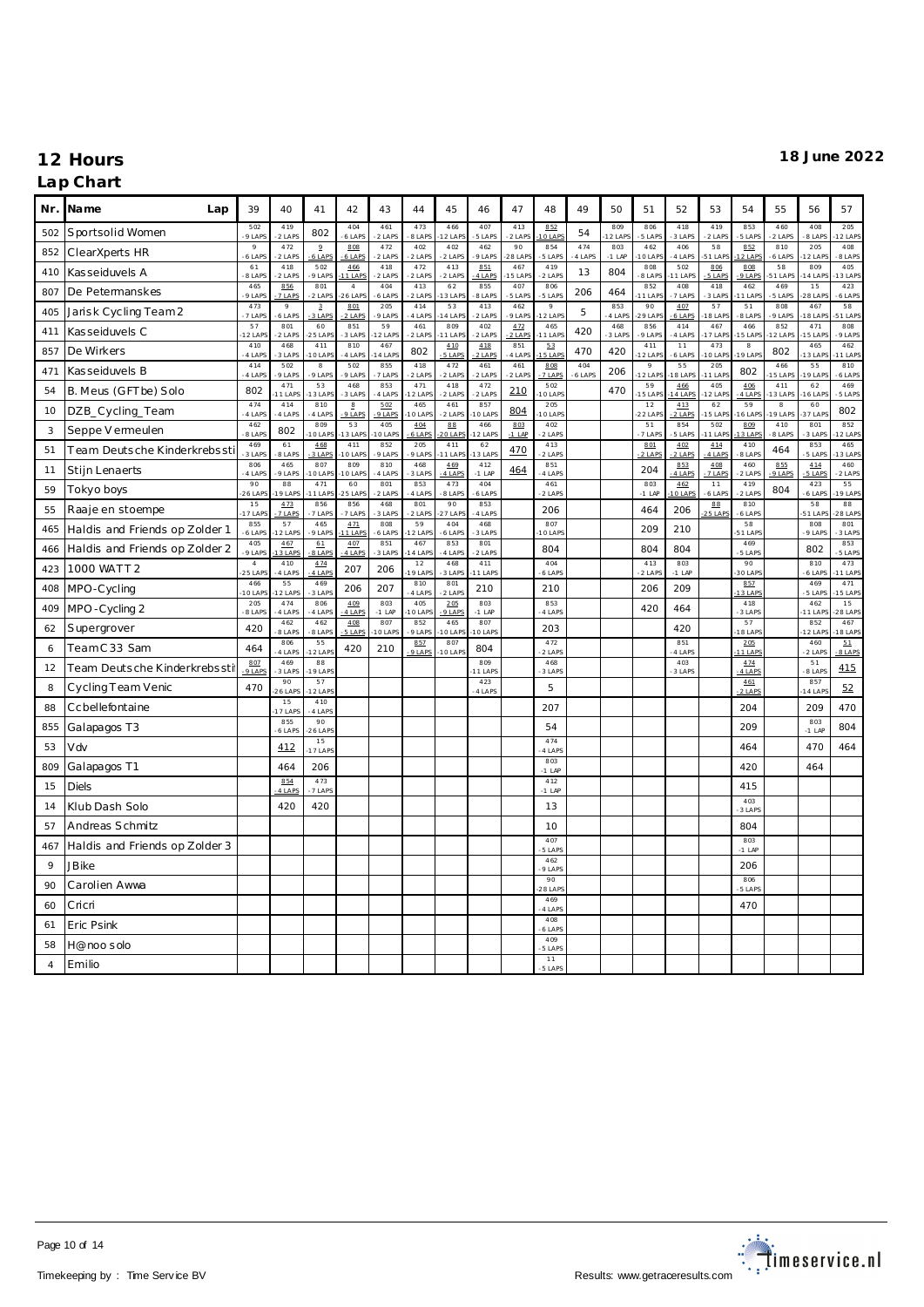| Nr.        | Name<br>Lap                    | 39                   | 40                | 41                       | 42                           | 43              | 44              | 45               | 46              | 47               | 48                        | 49            | 50              | 51                      | 52              | 53             | 54                  | 55                  | 56              | 57              |
|------------|--------------------------------|----------------------|-------------------|--------------------------|------------------------------|-----------------|-----------------|------------------|-----------------|------------------|---------------------------|---------------|-----------------|-------------------------|-----------------|----------------|---------------------|---------------------|-----------------|-----------------|
| 502        | Sportsolid Women               | 502<br>$9$ LAP       | 419<br>2 LAPS     | 802                      | 404<br>$6$ LAPS              | 461<br>2 LAPS   | 473<br>8 LAPS   | 466<br>$2$ LAP   | 407<br>5 LAPS   | 413<br>2 LAP     | 852<br>0 A                | 54            | 809<br>$2$ LAF  | 806<br>5 LAP            | 418<br>3 LAPS   | 419<br>$2$ LAP | 853<br>5 LAPS       | 460<br>2 LAPS       | 408<br>8 LAP    | 205<br>2 LAP    |
| 852        | ClearXperts HR                 | 9<br>$6$ LAP         | 472<br>2 LAPS     | $\overline{2}$<br>6 LAPS | 808<br>6 LAPS                | 472<br>2 LAPS   | 402<br>2 LAPS   | 402<br>$-2$ LAPS | 462<br>9 LAPS   | 90<br>28 LAP     | 854<br>5 LAPS             | 474<br>4 LAPS | 803<br>$-1$ LAP | 462<br>10 LAF           | 406<br>4 LAPS   | 58<br>51 LAF   | 852<br>$2$ LAP      | 810<br>6 LAPS       | 205<br>12 LAP   | 408<br>8 LAPS   |
| 410        | Kasseiduvels A                 | 61<br>8 LAPS         | 418<br>2 LAPS     | 502<br>9 LAPS            | 466<br>11 LAPS               | 418<br>2 LAPS   | 472<br>2 LAPS   | 413<br>$-2$ LAPS | 851<br>4 LAPS   | 467<br>5 LAPS    | 419<br>2 LAPS             | 13            | 804             | 808<br>8 LAPS           | 502<br>11 LAPS  | 806<br>5 LAPS  | 808<br>9 LAPS       | 58<br>51 LAPS       | 809<br>4 LAP    | 405<br>13 LAP   |
| 807        | De Petermanskes                | 465<br>9 LAPS        | 856<br>7 LAPS     | 801<br>2 LAPS            | $\overline{4}$<br>26 LAP     | 404<br>6 LAPS   | 413<br>2 LAPS   | 62<br>13 LAP     | 855<br>8 LAPS   | 407<br>5 LAPS    | 806<br>5 LAPS             | 206           | 464             | 852<br>11 LAPS          | 408<br>7 LAPS   | 418<br>3 LAPS  | 462<br>1 LAP        | 469<br>5 LAPS       | 15<br>28 LAP    | 423<br>6 LAPS   |
| 405        | Jarisk Cycling Team2           | 473<br>7 LAPS        | $\circ$<br>6 LAPS | $\mathbf{3}$<br>3 LAPS   | 801<br>$2$ LAPS              | 205<br>9 LAPS   | 414<br>4 LAPS   | 53<br>4 LAF      | 413<br>2 LAPS   | 462<br>9 LAPS    | $\mathsf{o}$<br>2 LAP     | 5             | 853<br>4 LAPS   | 90<br>29 LAP            | 407<br>$6$ LAPS | 57<br>18 LAP   | 51<br>-8 LAPS       | 808<br>9 LAPS       | 467<br>8 LAP    | 58<br>51 LAP    |
| 411        | Kasseiduvels C                 | 57<br>12 LAP         | 801<br>2 LAPS     | 60<br>25 LAP             | 851<br>3 LAPS                | 59<br>12 LAPS   | 461<br>$2$ LAPS | 809<br>1 LAP     | 402<br>2 LAPS   | 4.72<br>$2$ LAPS | 465<br>1 LAP              | 420           | 468<br>3 LAP    | 856<br>9 LAPS           | 414<br>4 LAPS   | 467<br>7 LAP   | 466<br>5 LAP        | 852<br>2 LAPS       | 471<br>5 LAP    | 808<br>9 LAP    |
| 857        | De Wirkers                     | 410<br>$-4$ LAP      | 468<br>3 LAPS     | 411<br>10 LAPS           | 810<br>4 LAPS                | 467<br>4 LAPS   | 802             | 410<br>5 LAPS    | 418<br>2 LAPS   | 851<br>4 LAPS    | 53<br>5 LAPS              | 470           | 420             | 411<br>12 LAP           | 11<br>6 LAPS    | 473<br>O LAP   | $_{\rm 8}$<br>9 LAP | 802                 | 465<br>3 LAP    | 462<br>1 LAP    |
| 471        | Kasseiduvels B                 | 414<br>4 LAP         | 502<br>9 LAPS     | $^{\rm 8}$<br>9 LAPS     | 502<br>9 LAPS                | 855<br>7 LAPS   | 418<br>$2$ LAPS | 472<br>$2$ LAPS  | 461<br>2 LAPS   | 461<br>2 LAPS    | 808<br>$7$ LAP            | 404<br>6 LAPS | 206             | $\mathcal{Q}$<br>12 LAP | 55<br>8 LAP     | 205<br>11 LAP  | 802                 | 466<br>5 LAP        | 55<br>9 LAP     | 810<br>6 LAPS   |
| 54         | B. Meus (GFTbe) Solo           | 802                  | 471<br>1 LAPS     | 53<br>3 LAPS             | 468<br>3 LAPS                | 853<br>4 LAPS   | 471<br>12 LAPS  | 418<br>2 LAPS    | 472<br>2 LAPS   | 210              | 502<br><b>OLAP</b>        |               | 470             | 59<br>15 LAP            | 466<br>4 LAP    | 405<br>2 LAP   | 406<br>4 LAPS       | 411<br>3 LAPS       | 62<br>6 LAP     | 469<br>5 LAPS   |
| 10         | DZB_Cycling_Team               | 474<br>4 LAPS        | 414<br>4 LAPS     | 810<br>4 LAPS            | $_{\underline{8}}$<br>9 LAPS | 5.02<br>9 LAPS  | 465<br>101AP    | 461<br>21AP      | 857<br>O LAPS   | 804              | 205<br>01AP               |               |                 | 12<br>$22$ LAP          | 413<br>2 LAPS   | 62<br>15 LAP   | 59<br>6 LAP         | $_{\rm 8}$<br>9 LAP | 60<br>37 LAP    | 802             |
| 3          | Seppe V ermeulen               | 462<br>8 LAPS        | 802               | 809<br>O LAPS            | 53<br>3 LAP                  | 405<br>O LAPS   | 404<br>6 LAPS   | 88<br>20 LAP     | 466<br>2 LAP    | 803<br>$-1$ LAP  | 402<br>$2$ LAPS           |               |                 | 51<br>7 LAP             | 854<br>5 LAPS   | 502<br>11 LAP  | 809<br>3 LAP        | 410<br>8 LAPS       | 801<br>3 LAP    | 852<br>2 LAP    |
| 51         | Team Deutsche Kinderkrebssti   | 469<br>3 LAP         | 61<br>8 LAPS      | 468<br>3 LAPS            | 411<br>O LAP                 | 852<br>9 LAPS   | 205<br>9 LAPS   | 411<br>1 LAP     | 62<br>3 LAPS    | 470              | 413<br>2 LAPS             |               |                 | 801<br>2 LAPS           | 402<br>2 LAPS   | 4.14<br>4 LAPS | 410<br>8 LAPS       | 464                 | 853<br>5 LAPS   | 465<br>3 LAP    |
| 11         | Stijn Lenaerts                 | 806<br>4 LAPS        | 465<br>9 LAPS     | 807<br>10 LAP            | 809<br>10 LAP                | 810<br>4 LAPS   | 468<br>3 LAPS   | 469<br>4 LAPS    | 412<br>$-1$ LAP | 464              | 851<br>4 LAPS             |               |                 | 204                     | 853<br>4 LAPS   | 408<br>7 LAPS  | 460<br>2 LAPS       | 855<br>9 LAPS       | 4.14<br>5 LAPS  | 460<br>$2$ LAPS |
| 59         | Tokyo boys                     | 90<br>26 LAP         | 88<br>9 LAPS      | 471<br>1 LAPS            | 60<br>25 LAPS                | 801<br>2 LAPS   | 853<br>4 LAPS   | 473<br>8 LAPS    | 404<br>6 LAPS   |                  | 461<br>2 LAPS             |               |                 | 803<br>$-1$ LAP         | 462<br>0 LAPS   | 11<br>6 LAPS   | 419<br>2 LAPS       | 804                 | 423<br>6 LAPS   | 55<br>19 LAP    |
| 55         | Raaje en stoempe               | 15<br>17 LAP         | 473<br>7 LAPS     | 856<br>7 LAPS            | 856<br>7 LAPS                | 468<br>3 LAPS   | 801<br>2 LAPS   | 90<br>$27$ LAP   | 853<br>4 LAPS   |                  | 206                       |               |                 | 464                     | 206             | 88<br>25 LAPS  | 810<br>6 LAPS       |                     | 58<br>51 LAP    | 88<br>28 LAP    |
| 465        | Haldis and Friends op Zolder 1 | 855<br>6 LAPS        | 57<br>2 LAPS      | 465<br>9 LAPS            | 4.71<br>1 LAPS               | 808<br>6 LAPS   | 59<br>2 LAP     | 404<br>6 LAPS    | 468<br>3 LAPS   |                  | 807<br>O LAP              |               |                 | 209                     | 210             |                | 58<br>51 LAP        |                     | 808<br>9 LAPS   | 801<br>3 LAPS   |
| 466        | Haldis and Friends op Zolder 2 | 405<br>9 LAPS        | 467<br>3 LAPS     | 61<br><b>BLAP</b>        | 407<br>4 LAP                 | 851<br>3 LAPS   | 467<br>4 LAP    | 853<br>4 LAPS    | 801<br>2 LAPS   |                  | 804                       |               |                 | 804                     | 804             |                | 469<br>5 LAPS       |                     | 802             | 853<br>5 LAP    |
| 423        | 1000 WATT 2                    | $\sqrt{4}$<br>25 LAP | 410<br>4 LAPS     | 474<br>4 LAPS            | 207                          | 206             | 12<br>19 LAP    | 468<br>3 LAPS    | 411<br>1 LAPS   |                  | 404<br>6 LAPS             |               |                 | 413<br>2 LAP            | 803<br>$-1$ LAP |                | 90<br>30 LAP        |                     | 810<br>6 LAPS   | 473<br>1 LAP    |
| 408        | MPO-Cycling                    | 466<br>10 LAP        | 55<br>12 LAPS     | 469<br>3 LAPS            | 206                          | 207             | 810<br>4 LAPS   | 801<br>2 LAPS    | 210             |                  | 210                       |               |                 | 206                     | 209             |                | 857<br>$13$ LAP     |                     | 469<br>5 LAP    | 471<br>15 LAP   |
| 409        | MPO-Cycling 2                  | 205<br>8 LAPS        | 474<br>-4 LAPS    | 806<br>4 LAPS            | 409<br>4 LAPS                | 803<br>$-1$ LAP | 405<br>10 LAPS  | 205<br>9 LAPS    | 803<br>$-1$ LAP |                  | 853<br>4 LAPS             |               |                 | 420                     | 464             |                | 418<br>3 LAPS       |                     | 462<br>1 LAP    | 15<br>28 LAP    |
| 62         | Supergrover                    | 420                  | 462<br>8 LAPS     | 462<br>8 LAPS            | 408<br>5 LAPS                | 807<br>10 LAPS  | 852<br>$9$ LAPS | 465<br>10 LAP    | 807<br>10 LAPS  |                  | 203                       |               |                 |                         | 420             |                | 57<br>18 LAPS       |                     | 852<br>12 LAP   | 467<br>18 LAP   |
| 6          | TeamC33 Sam                    | 464                  | 806<br>4 LAPS     | 55<br>2 LAPS             | 420                          | 210             | 857<br>9 LAPS   | 807<br>10 LAP    | 804             |                  | 472<br>2 LAPS             |               |                 |                         | 851<br>4 LAPS   |                | 205<br>1 LAP        |                     | 460<br>$2$ LAPS | 51<br>$8$ LAP   |
| 12         | Team Deutsche Kinderkrebssti   | 807<br>$9$ LAPS      | 469<br>3 LAPS     | 88<br>19 LAP!            |                              |                 |                 |                  | 809<br>1 LAPS   |                  | 468<br>3 LAPS             |               |                 |                         | 403<br>3 LAPS   |                | 474<br>4 LAPS       |                     | 51<br>8 LAP     | 415             |
| 8          | Cycling Team Venic             | 470                  | 90<br>26 LAP      | 57<br>12 LAPS            |                              |                 |                 |                  | 423<br>4 LAPS   |                  | 5                         |               |                 |                         |                 |                | 461<br>2 LAPS       |                     | 857<br>4 LAP    | 52              |
| 88         | Ccbellefontaine                |                      | 15<br>7 LAPS      | 410<br>4 LAPS            |                              |                 |                 |                  |                 |                  | 207                       |               |                 |                         |                 |                | 204                 |                     | 209             | 470             |
| 855        | Galapagos T3                   |                      | 855<br>-6 LAPS    | 90<br>$26$ LAP           |                              |                 |                 |                  |                 |                  | 54                        |               |                 |                         |                 |                | 209                 |                     | 803<br>$-1$ LAP | 804             |
| 53         | Vdv                            |                      | 412               | 15<br>17 LAP             |                              |                 |                 |                  |                 |                  | 474<br>4 LAPS             |               |                 |                         |                 |                | 464                 |                     | 470             | 464             |
| 809        | Galapagos T1                   |                      | 464               | 206                      |                              |                 |                 |                  |                 |                  | 803<br>$-1$ LAF           |               |                 |                         |                 |                | 420                 |                     | 464             |                 |
| 15         | <b>Diels</b>                   |                      | 854<br>4 LAPS     | 473<br>7 LAPS            |                              |                 |                 |                  |                 |                  | 412<br>$-1$ LAF           |               |                 |                         |                 |                | 415                 |                     |                 |                 |
| 14         | Klub Dash Solo                 |                      | 420               | 420                      |                              |                 |                 |                  |                 |                  | 13                        |               |                 |                         |                 |                | 403<br>3 LAPS       |                     |                 |                 |
| 57         | Andreas Schmitz                |                      |                   |                          |                              |                 |                 |                  |                 |                  | 10                        |               |                 |                         |                 |                | 804                 |                     |                 |                 |
| 467        | Haldis and Friends op Zolder 3 |                      |                   |                          |                              |                 |                 |                  |                 |                  | 407<br>5 LAP              |               |                 |                         |                 |                | 803<br>$-1$ LAP     |                     |                 |                 |
| 9          | <b>JBike</b>                   |                      |                   |                          |                              |                 |                 |                  |                 |                  | 462<br>9 LAP              |               |                 |                         |                 |                | 206                 |                     |                 |                 |
| 90         | Carolien Awwa                  |                      |                   |                          |                              |                 |                 |                  |                 |                  | 90<br><b>28 LAF</b>       |               |                 |                         |                 |                | 806<br>5 LAPS       |                     |                 |                 |
| 60         | Cricri                         |                      |                   |                          |                              |                 |                 |                  |                 |                  | 469<br>4 LAPS             |               |                 |                         |                 |                | 470                 |                     |                 |                 |
| 61         | Eric Psink                     |                      |                   |                          |                              |                 |                 |                  |                 |                  | 408<br>6 LAPS             |               |                 |                         |                 |                |                     |                     |                 |                 |
| 58         | H@noo solo                     |                      |                   |                          |                              |                 |                 |                  |                 |                  | 409<br>5 LAPS             |               |                 |                         |                 |                |                     |                     |                 |                 |
| $\sqrt{4}$ | Emilio                         |                      |                   |                          |                              |                 |                 |                  |                 |                  | $\overline{11}$<br>5 LAPS |               |                 |                         |                 |                |                     |                     |                 |                 |

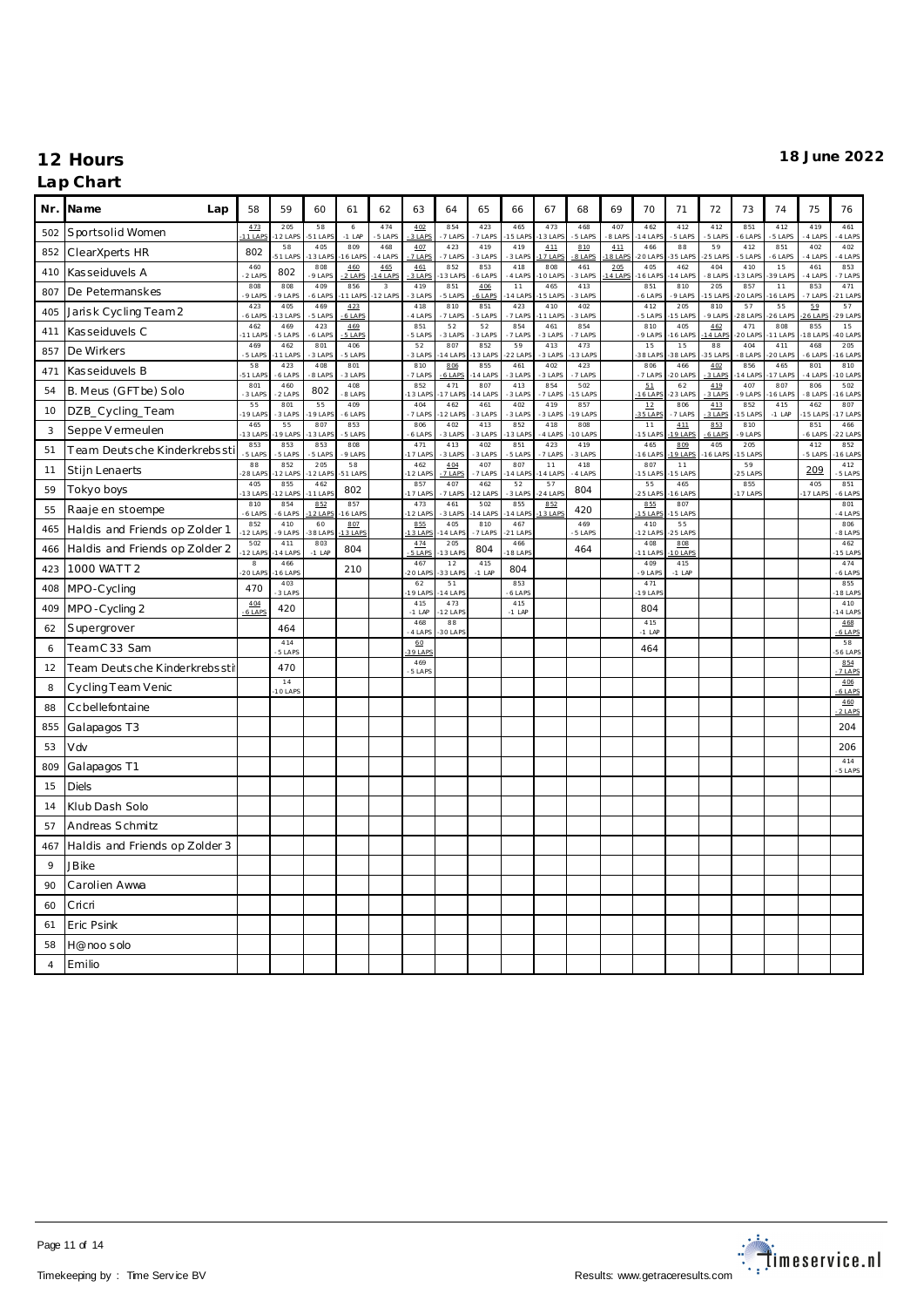| Nr.            | Name<br>Lap                    | 58                   | 59             | 60              | 61               | 62                                 | 63                  | 64             | 65              | 66              | 67               | 68             | 69            | 70               | 71              | 72            | 73              | 74                   | 75             | 76                  |
|----------------|--------------------------------|----------------------|----------------|-----------------|------------------|------------------------------------|---------------------|----------------|-----------------|-----------------|------------------|----------------|---------------|------------------|-----------------|---------------|-----------------|----------------------|----------------|---------------------|
| 502            | Sportsolid Women               | 473<br>11 LAPS       | 205<br>2 LAPS  | 58<br>51 LAPS   | 6<br>$-1$ LAP    | 474<br>5 LAPS                      | 402<br>3 LAPS       | 854<br>7 LAPS  | 423<br>7 LAPS   | 465<br>5 LAP    | 473<br>$13$ LAP  | 468<br>5 LAPS  | 407<br>8 LAPS | 462<br>4 LAP     | 412<br>5 LAPS   | 412<br>5 LAPS | 851<br>6 LAPS   | 412<br>5 LAPS        | 419<br>4 LAPS  | 461<br>4 LAPS       |
| 852            | ClearXperts HR                 | 802                  | 58<br>51 LAPS  | 405<br>3 LAPS   | 809<br>6 LAP     | 468<br>4 LAPS                      | 407<br>7 LAPS       | 423<br>7 LAPS  | 419<br>3 LAPS   | 419<br>3 LAPS   | 411<br>7 LAP     | 810<br>8 LAPS  | 411<br>8 LAF  | 466<br>20 LAP    | 88<br>5 LAP     | 59<br>5 LAP   | 412<br>5 LAPS   | 851<br>6 LAPS        | 402<br>4 LAPS  | 402<br>4 LAPS       |
| 410            | Kasseiduvels A                 | 460<br>2 LAPS        | 802            | 808<br>9 LAPS   | 460<br>2 LAPS    | 465<br>4 LAPS                      | 461<br>3 LAPS       | 852<br>3 LAP   | 853<br>6 LAPS   | 418<br>4 LAPS   | 808<br>10 LA     | 461<br>3 LAPS  | 205<br>4 LAP  | 405<br>6 LAF     | 462<br>4 LAP    | 404<br>8 LAP  | 410<br>3 LAP    | 15<br>39 LAP         | 461<br>4 LAP   | 853<br>7 LAPS       |
| 807            | De Petermanskes                | 808<br>9 LAPS        | 808<br>9 LAPS  | 409<br>6 LAPS   | 856<br>11 LAPS   | $\overline{\mathbf{3}}$<br>12 LAPS | 419<br>3 LAPS       | 851<br>5 LAPS  | 406<br>$6$ LAPS | 11<br>4 LAPS    | 465<br>15 LAP    | 413<br>3 LAPS  |               | 851<br>6 LAPS    | 810<br>9 LAPS   | 205<br>5 LAP  | 857<br>20 LAP   | 11<br>16 LAPS        | 853<br>7 LAPS  | 471<br>21 LAP       |
| 405            | Jarisk Cycling Team 2          | 423<br>6 LAPS        | 405<br>3 LAPS  | 469<br>5 LAPS   | 4.23<br>$6$ LAPS |                                    | 418<br>4 LAPS       | 810<br>7 LAPS  | 851<br>5 LAPS   | 423<br>7 LAPS   | 410<br>$11$ LAP  | 402<br>3 LAPS  |               | 412<br>5 LAPS    | 205<br>5 LAPS   | 810<br>9 LAPS | 57<br>28 LAP    | 55<br><b>26 LAPS</b> | 59<br>6 LAPS   | 57<br>$-29$ LAP     |
| 411            | Kasseiduvels C                 | 462<br>1 LAP         | 469<br>5 LAPS  | 423<br>6 LAPS   | 469<br>5 LAPS    |                                    | 851<br>5 LAPS       | 52<br>3 LAPS   | 52<br>3 LAPS    | 854<br>7 LAPS   | 461<br>3 LAPS    | 854<br>7 LAPS  |               | 810<br>9 LAPS    | 405<br>6 LAP    | 462<br>4 LAP  | 471<br>20 LAP   | 808<br>1 LAPS        | 855<br>8 LAP   | 15<br>10 LAPS       |
| 857            | De Wirkers                     | 469<br>5 LAP         | 462<br>1 LAPS  | 801<br>3 LAPS   | 406<br>5 LAPS    |                                    | 52<br>3 LAPS        | 807<br>4 LAPS  | 852<br>3 LAPS   | 59<br>22 LAP    | 413<br>3 LAPS    | 473<br>3 LAP   |               | 15<br>38 LAP     | 15<br>38 LAP    | 88<br>5 LAP   | 404<br>8 LAPS   | 411<br>20 LAP        | 468<br>6 LAPS  | 205<br>6 LAP        |
| 471            | Kasseiduvels B                 | 58<br>51 LAF         | 423<br>6 LAPS  | 408<br>8 LAPS   | 801<br>3 LAPS    |                                    | 810<br>7 LAPS       | 806<br>6 LAPS  | 855<br>4 LAPS   | 461<br>3 LAPS   | 402<br>3 LAPS    | 423<br>7 LAPS  |               | 806<br>7 LAPS    | 466<br>20 LAPS  | 402<br>3 LAPS | 856<br>$14$ LAP | 465<br>17 LAPS       | 801<br>4 LAPS  | 810<br>10 LAPS      |
| 54             | B. Meus (GFTbe) Solo           | 801<br>3 LAPS        | 460<br>2 LAPS  | 802             | 408<br>8 LAPS    |                                    | 852<br>13 LAPS      | 471<br>17 LAPS | 807<br>4 LAPS   | 413<br>3 LAPS   | 854<br>7 LAPS    | 502<br>15 LAPS |               | 51<br>16 LAP     | 62<br>23 LAPS   | 419<br>3 LAPS | 407<br>9 LAPS   | 807<br>6 LAPS        | 806<br>8 LAPS  | 502<br>16 LAPS      |
| 10             | DZB_Cycling_Team               | 55<br>19 LAP         | 801<br>3 LAPS  | 55<br>9 LAPS    | 409<br>6 LAPS    |                                    | 404<br>7 LAPS       | 462<br>12 LAPS | 461<br>3 LAPS   | 402<br>-3 LAPS  | 419<br>3 LAPS    | 857<br>19 LAP  |               | $12\,$<br>35 LAP | 806<br>7 LAPS   | 413<br>3 LAPS | 852<br>15 LAP   | 415<br>$-1$ LAP      | 462<br>5 LAP   | 807<br>17 LAPS      |
| 3              | Seppe V ermeulen               | 465<br>13 LAP        | 55<br>9 LAPS   | 807<br>3 LAPS   | 853<br>5 LAPS    |                                    | 806<br>6 LAPS       | 402<br>3 LAPS  | 413<br>3 LAPS   | 852<br>3 LAP    | 418<br>4 LAPS    | 808<br>O LAPS  |               | 11<br>5 LAP      | 411<br>9 LAP    | 853<br>6 LAPS | 810<br>9 LAPS   |                      | 851<br>6 LAPS  | 466<br>22 LAPS      |
| 51             | Team Deutsche Kinderkrebssti   | 853<br>$-5$ LAPS     | 853<br>5 LAPS  | 853<br>5 LAPS   | 808<br>9 LAPS    |                                    | 471<br>17 LAP       | 413<br>3 LAPS  | 402<br>3 LAPS   | 851<br>5 LAPS   | 423<br>7 LAPS    | 419<br>3 LAPS  |               | 465<br>6 LAP     | 809<br>9 LAPS   | 405<br>6 LAPS | 205<br>5 LAP    |                      | 412<br>5 LAPS  | 852<br>6 LAP        |
| 11             | Stijn Lenaerts                 | 88<br>28 LAP         | 852<br>2 LAPS  | 205<br>2 LAPS   | 58<br>51 LAPS    |                                    | $4\,62$<br>$12$ LAP | 404<br>7 LAPS  | 407<br>7 LAPS   | 807<br>4 LAF    | $11$<br>14 LA    | 418<br>4 LAPS  |               | 807<br>5 LAP     | 11<br>5 LAP     |               | 59<br>$25$ LAP  |                      | 209            | 412<br>5 LAPS       |
| 59             | Tokyo boys                     | 405<br>13 LAP        | 855<br>12 LAPS | 462<br>1 LAPS   | 802              |                                    | 857<br>17 LAPS      | 407<br>7 LAPS  | 462<br>2 LAPS   | 52<br>3 LAPS    | 57<br>$24$ LAP   | 804            |               | 55<br>$25$ LAP   | 465<br>6 LAPS   |               | 855<br>$17$ LAP |                      | 405<br>17 LAPS | 851<br>6 LAPS       |
| 55             | Raaje en stoempe               | 810<br>6 LAPS        | 854<br>6 LAPS  | 852<br>$2$ LAPS | 857<br>16 LAPS   |                                    | 473<br>12 LAP       | 461<br>3 LAPS  | 502<br>14 LAPS  | 855<br>4 LAPS   | 852<br>$13$ LAPS | 420            |               | 855<br>15 LAP    | 807<br>5 LAPS   |               |                 |                      |                | 801<br>4 LAPS       |
| 465            | Haldis and Friends op Zolder 1 | 852<br>12 LAP        | 410<br>9 LAPS  | 60<br>88 LAPS   | 807<br>13 LAPS   |                                    | 855<br>13 LAPS      | 405<br>4 LAP   | 810<br>7 LAPS   | 467<br>21 LAP   |                  | 469<br>5 LAPS  |               | 410<br>2 LAP     | 55<br>5 LAPS    |               |                 |                      |                | 806<br>8 LAPS       |
| 466            | Haldis and Friends op Zolder 2 | 502<br>12 LAPS       | 411<br>4 LAPS  | 803<br>$-1$ LAP | 804              |                                    | 474<br>5 LAPS       | 205<br>3 LAP   | 804             | 466<br>8 LAPS   |                  | 464            |               | 408<br>I 1 LAP   | 808<br>0 LAP    |               |                 |                      |                | 462<br><b>5 LAP</b> |
| 423            | 1000 WATT 2                    | $^{\rm 8}$<br>20 LAP | 466<br>6 LAPS  |                 | 210              |                                    | 467<br>$20$ LAF     | 12<br>33 LAP   | 415<br>$-1$ LAP | 804             |                  |                |               | 409<br>9 LAPS    | 415<br>$-1$ LAP |               |                 |                      |                | 474<br>6 LAPS       |
| 408            | MPO-Cycling                    | 470                  | 403<br>3 LAPS  |                 |                  |                                    | 62<br>19 LAPS       | 51<br>14 LAPS  |                 | 853<br>6 LAPS   |                  |                |               | 471<br>19 LAP    |                 |               |                 |                      |                | 855<br>18 LAP       |
| 409            | MPO-Cycling 2                  | 404<br>6 LAPS        | 420            |                 |                  |                                    | 415<br>$-1$ LAP     | 473<br>12 LAPS |                 | 415<br>$-1$ LAP |                  |                |               | 804              |                 |               |                 |                      |                | 410<br>14 LAP       |
| 62             | Supergrover                    |                      | 464            |                 |                  |                                    | 468<br>4 LAP        | 88<br>30 LAP   |                 |                 |                  |                |               | 415<br>$-1$ LAF  |                 |               |                 |                      |                | 468<br>$6$ LAPS     |
| 6              | TeamC33 Sam                    |                      | 414<br>5 LAPS  |                 |                  |                                    | 60<br>39 LAP        |                |                 |                 |                  |                |               | 464              |                 |               |                 |                      |                | 58<br>6 LAP         |
| 12             | Team Deutsche Kinderkrebssti   |                      | 470            |                 |                  |                                    | 469<br>5 LAPS       |                |                 |                 |                  |                |               |                  |                 |               |                 |                      |                | 854<br>7 LAP        |
| 8              | Cycling Team Venic             |                      | 14<br>10 LAPS  |                 |                  |                                    |                     |                |                 |                 |                  |                |               |                  |                 |               |                 |                      |                | 406<br>6 LAPS       |
| 88             | Ccbellefontaine                |                      |                |                 |                  |                                    |                     |                |                 |                 |                  |                |               |                  |                 |               |                 |                      |                | 460<br>2 LAPS       |
| 855            | Galapagos T3                   |                      |                |                 |                  |                                    |                     |                |                 |                 |                  |                |               |                  |                 |               |                 |                      |                | 204                 |
| 53             | Vdv                            |                      |                |                 |                  |                                    |                     |                |                 |                 |                  |                |               |                  |                 |               |                 |                      |                | 206                 |
| 809            | Galapagos T1                   |                      |                |                 |                  |                                    |                     |                |                 |                 |                  |                |               |                  |                 |               |                 |                      |                | 414<br>5 LAPS       |
| 15             | <b>Diels</b>                   |                      |                |                 |                  |                                    |                     |                |                 |                 |                  |                |               |                  |                 |               |                 |                      |                |                     |
| 14             | Klub Dash Solo                 |                      |                |                 |                  |                                    |                     |                |                 |                 |                  |                |               |                  |                 |               |                 |                      |                |                     |
| 57             | Andreas Schmitz                |                      |                |                 |                  |                                    |                     |                |                 |                 |                  |                |               |                  |                 |               |                 |                      |                |                     |
| 467            | Haldis and Friends op Zolder 3 |                      |                |                 |                  |                                    |                     |                |                 |                 |                  |                |               |                  |                 |               |                 |                      |                |                     |
| 9              | <b>JBike</b>                   |                      |                |                 |                  |                                    |                     |                |                 |                 |                  |                |               |                  |                 |               |                 |                      |                |                     |
| 90             | Carolien Awwa                  |                      |                |                 |                  |                                    |                     |                |                 |                 |                  |                |               |                  |                 |               |                 |                      |                |                     |
| 60             | Cricri                         |                      |                |                 |                  |                                    |                     |                |                 |                 |                  |                |               |                  |                 |               |                 |                      |                |                     |
| 61             | Eric Psink                     |                      |                |                 |                  |                                    |                     |                |                 |                 |                  |                |               |                  |                 |               |                 |                      |                |                     |
| 58             | H@noosolo                      |                      |                |                 |                  |                                    |                     |                |                 |                 |                  |                |               |                  |                 |               |                 |                      |                |                     |
| $\overline{4}$ | Emilio                         |                      |                |                 |                  |                                    |                     |                |                 |                 |                  |                |               |                  |                 |               |                 |                      |                |                     |

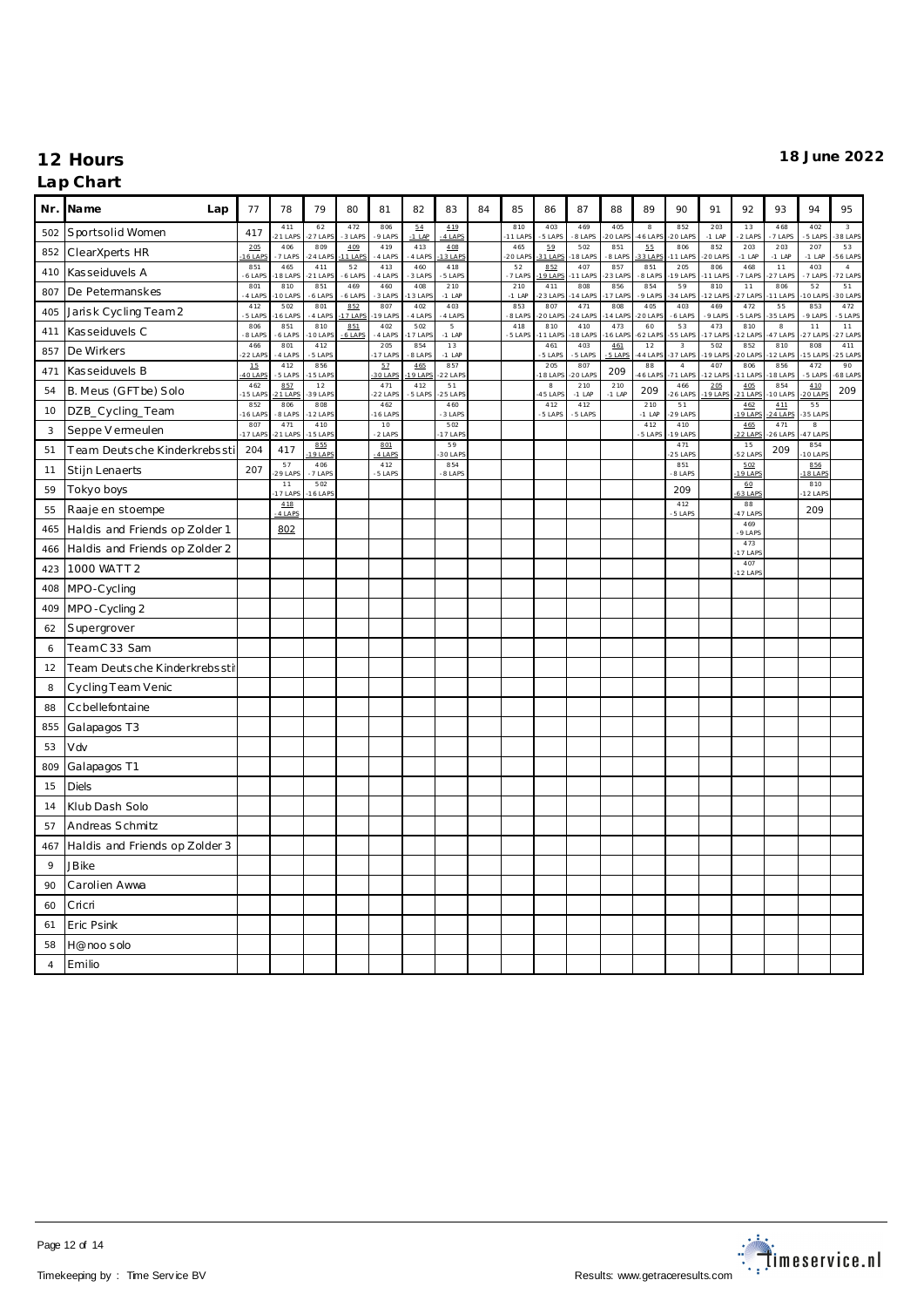|                | Nr. Name<br>Lap                | 77               | 78               | 79               | 80                | 81                | 82             | 83                          | 84 | 85              | 86                   | 87              | 88              | 89               | 90                       | 91               | 92                     | 93              | 94                    | 95                                 |
|----------------|--------------------------------|------------------|------------------|------------------|-------------------|-------------------|----------------|-----------------------------|----|-----------------|----------------------|-----------------|-----------------|------------------|--------------------------|------------------|------------------------|-----------------|-----------------------|------------------------------------|
| 502            | Sportsolid Women               | 417              | 411<br>21 LAPS   | 62<br>$27$ LAP   | 472<br>3 LAPS     | 806<br>9 LAPS     | 54<br>$-1$ LAP | 419<br>4 LAPS               |    | 810<br>11 LAF   | 403<br>5 LAPS        | 469<br>8 LAPS   | 405<br>20 LAP   | 8<br>46 LAP      | 852<br>$20$ LAP          | 203<br>$-1$ LAP  | 13<br>$-2$ LAPS        | 468<br>7 LAPS   | 402<br>5 LAPS         | $\overline{\mathbf{3}}$<br>38 LAPS |
| 852            | ClearXperts HR                 | 205<br>6 LAP     | 406<br>7 LAPS    | 809<br>24 LAPS   | 4.09<br>$11$ LAPS | 419<br>4 LAPS     | 413<br>4 LAPS  | 408<br>13 LAPS              |    | 465<br>20 LAP   | 59<br>31 LAPS        | 502<br>8 LAPS   | 851<br>8 LAPS   | 55<br>33 LAP     | 806<br>11 LAPS           | 852<br>$20$ LAP  | 203<br>$-1$ LAP        | 203<br>$-1$ LAP | 207<br>$-1$ LAP       | 53<br>56 LAPS                      |
| 410            | Kasseiduvels A                 | 851<br>$6$ LAP   | 465<br>18 LAPS   | 411<br>$21$ LAPS | 52<br>6 LAPS      | 413<br>4 LAPS     | 460<br>3 LAPS  | 418<br>5 LAPS               |    | 52<br>7 LAPS    | 852<br>$9$ LAP       | 407<br>1 LAPS   | 857<br>$23$ LAP | 851<br>8 LAPS    | 205<br>19 LAPS           | 806<br>11 LAP    | 468<br>7 LAPS          | 11<br>27 LAPS   | 403<br>7 LAPS         | $\overline{4}$<br>72 LAPS          |
| 807            | De Petermanskes                | 801<br>$-4$ LAPS | 810<br>10 LAPS   | 851<br>6 LAPS    | 469<br>6 LAPS     | 460<br>3 LAPS     | 408<br>13 LAP  | 210<br>$-1$ LAP             |    | 210<br>$-1$ LAP | 411<br>23 LAP        | 808<br>4 LAP    | 856<br>17 LAP   | 854<br>9 LAPS    | 59<br>34 LAP             | 810<br>$12$ LAP  | 11<br>27 LAP           | 806<br>1 LAPS   | 52<br>0 LAP           | 51<br>30 LAP                       |
| 405            | Jarisk Cycling Team2           | 412<br>5 LAP     | 502<br>6 LAPS    | 801<br>4 LAPS    | 852<br>7 LAPS     | 807<br>9 LAPS     | 402<br>4 LAPS  | 403<br>4 LAPS               |    | 853<br>8 LAP    | 807<br>20 LAP        | 471<br>4 LAP    | 808<br>4 LAP    | 405<br>20 LAP    | 403<br>6 LAPS            | 469<br>9 LAPS    | 472<br>5 LAP           | 55<br>5 LAP     | 853<br>9 LAPS         | 472<br>5 LAPS                      |
| 411            | Kasseiduvels C                 | 806<br>8 LAP     | 851<br>6 LAPS    | 810<br>O LAPS    | 851<br>6 LAPS     | 402<br>4 LAPS     | 502<br>7 LAPS  | $5\phantom{.0}$<br>$-1$ LAP |    | 418<br>5 LAPS   | 810<br>1 LAP         | 410<br>8 LAP    | 473<br>6 LAP    | 60<br>52 LAP     | 53<br>55 LAP             | 473<br>7 LAP     | 810<br>2 LAP           | 8<br>7 LAP      | 11<br>7 LAP           | 11<br>7 LAP                        |
| 857            | De Wirkers                     | 466<br>22 LAP    | 801<br>4 LAPS    | 412<br>5 LAPS    |                   | 205<br>17 LAPS    | 854<br>8 LAPS  | 13<br>$-1$ LAP              |    |                 | 461<br>5 LAPS        | 403<br>5 LAPS   | 461<br>5 LAPS   | $1\,2$<br>44 LAF | $\sqrt{3}$<br>37 LAP     | 502<br>19 LAF    | 852<br>20 LAP          | 810<br>2 LAP    | 808<br>5 LAP          | 411<br>25 LAPS                     |
| 471            | Kasseiduvels B                 | $15\,$<br>40 LAP | 412<br>5 LAPS    | 856<br>15 LAPS   |                   | 57<br>30 LAPS     | 465<br>19 LAPS | 857<br>22 LAPS              |    |                 | 205<br>8 LAP         | 807<br>20 LAPS  | 209             | 88<br>46 LAP     | $\overline{4}$<br>71 LAP | 407<br>12 LAP    | 806<br>1 LAP           | 856<br>8 LAP    | 472<br>5 LAPS         | 90<br>68 LAPS                      |
| 54             | B. Meus (GFTbe) Solo           | 462<br>15 LAP    | 857<br>21 LAPS   | 12<br>39 LAPS    |                   | 471<br>$-22$ LAPS | 412<br>5 LAPS  | 51<br>25 LAPS               |    |                 | $_{\rm 8}$<br>45 LAP | 210<br>$-1$ LAP | 210<br>$-1$ LAP | 209              | 466<br><b>26 LAPS</b>    | 205<br>$19$ LAPS | 405<br>21 LAPS         | 854<br>0 LAP    | 4.10<br>20 LAPS       | 209                                |
| 10             | DZB_Cycling_Team               | 852<br>16 LAF    | 806<br>8 LAPS    | 808<br>12 LAPS   |                   | 462<br>$16$ LAPS  |                | 460<br>3 LAPS               |    |                 | 412<br>-5 LAPS       | 412<br>5 LAPS   |                 | 210<br>$-1$ LAP  | 51<br>29 LAPS            |                  | 462<br>$9$ LAPS        | 411<br>4 LAPS   | 55<br>35 LAPS         |                                    |
| 3              | Seppe V ermeulen               | 807<br>17 LAP    | 471<br>$21$ LAPS | 410<br>5 LAPS    |                   | 10<br>2 LAPS      |                | 502<br>17 LAPS              |    |                 |                      |                 |                 | 412<br>5 LAPS    | 410<br>9 LAPS            |                  | 465<br>$2$ LAF         | 471<br>6 LAP    | $_{\rm 8}$<br>47 LAPS |                                    |
| 51             | Team Deutsche Kinderkrebssti   | 204              | 417              | 855<br>19 LAPS   |                   | 801<br>4 LAPS     |                | 59<br>30 LAPS               |    |                 |                      |                 |                 |                  | 471<br>25 LAPS           |                  | 15<br>52 LAP           | 209             | 854<br>O LAPS         |                                    |
| 11             | Stijn Lenaerts                 | 207              | 57<br>29 LAPS    | 406<br>7 LAPS    |                   | 412<br>5 LAPS     |                | 854<br>-8 LAPS              |    |                 |                      |                 |                 |                  | 851<br>8 LAPS            |                  | 5.02<br>19 LAPS        |                 | 856<br>18 LAPS        |                                    |
| 59             | Tokyo boys                     |                  | 11<br>17 LAPS    | 502<br>16 LAPS   |                   |                   |                |                             |    |                 |                      |                 |                 |                  | 209                      |                  | 60<br>63 LAP           |                 | 810<br>12 LAPS        |                                    |
| 55             | Raaje en stoempe               |                  | 4.18<br>4 LAPS   |                  |                   |                   |                |                             |    |                 |                      |                 |                 |                  | 412<br>-5 LAPS           |                  | $^{\rm 88}$<br>47 LAPS |                 | 209                   |                                    |
| 465            | Haldis and Friends op Zolder 1 |                  | 802              |                  |                   |                   |                |                             |    |                 |                      |                 |                 |                  |                          |                  | 469<br>9 LAPS          |                 |                       |                                    |
| 466            | Haldis and Friends op Zolder 2 |                  |                  |                  |                   |                   |                |                             |    |                 |                      |                 |                 |                  |                          |                  | 473<br>17 LAP          |                 |                       |                                    |
| 423            | 1000 WATT 2                    |                  |                  |                  |                   |                   |                |                             |    |                 |                      |                 |                 |                  |                          |                  | 407<br>12 LAP          |                 |                       |                                    |
| 408            | MPO-Cycling                    |                  |                  |                  |                   |                   |                |                             |    |                 |                      |                 |                 |                  |                          |                  |                        |                 |                       |                                    |
| 409            | MPO-Cycling 2                  |                  |                  |                  |                   |                   |                |                             |    |                 |                      |                 |                 |                  |                          |                  |                        |                 |                       |                                    |
| 62             | Supergrover                    |                  |                  |                  |                   |                   |                |                             |    |                 |                      |                 |                 |                  |                          |                  |                        |                 |                       |                                    |
| 6              | TeamC33 Sam                    |                  |                  |                  |                   |                   |                |                             |    |                 |                      |                 |                 |                  |                          |                  |                        |                 |                       |                                    |
| 12             | Team Deutsche Kinderkrebssti   |                  |                  |                  |                   |                   |                |                             |    |                 |                      |                 |                 |                  |                          |                  |                        |                 |                       |                                    |
| 8              | Cycling Team Venic             |                  |                  |                  |                   |                   |                |                             |    |                 |                      |                 |                 |                  |                          |                  |                        |                 |                       |                                    |
| 88             | Ccbellefontaine                |                  |                  |                  |                   |                   |                |                             |    |                 |                      |                 |                 |                  |                          |                  |                        |                 |                       |                                    |
| 855            | Galapagos T3                   |                  |                  |                  |                   |                   |                |                             |    |                 |                      |                 |                 |                  |                          |                  |                        |                 |                       |                                    |
| 53             | Vdv                            |                  |                  |                  |                   |                   |                |                             |    |                 |                      |                 |                 |                  |                          |                  |                        |                 |                       |                                    |
| 809            | Galapagos T1                   |                  |                  |                  |                   |                   |                |                             |    |                 |                      |                 |                 |                  |                          |                  |                        |                 |                       |                                    |
| 15             | <b>Diels</b>                   |                  |                  |                  |                   |                   |                |                             |    |                 |                      |                 |                 |                  |                          |                  |                        |                 |                       |                                    |
| 14             | Klub Dash Solo                 |                  |                  |                  |                   |                   |                |                             |    |                 |                      |                 |                 |                  |                          |                  |                        |                 |                       |                                    |
| 57             | Andreas Schmitz                |                  |                  |                  |                   |                   |                |                             |    |                 |                      |                 |                 |                  |                          |                  |                        |                 |                       |                                    |
| 467            | Haldis and Friends op Zolder 3 |                  |                  |                  |                   |                   |                |                             |    |                 |                      |                 |                 |                  |                          |                  |                        |                 |                       |                                    |
| 9              | <b>JBike</b>                   |                  |                  |                  |                   |                   |                |                             |    |                 |                      |                 |                 |                  |                          |                  |                        |                 |                       |                                    |
| 90             | Carolien Awwa                  |                  |                  |                  |                   |                   |                |                             |    |                 |                      |                 |                 |                  |                          |                  |                        |                 |                       |                                    |
| 60             | Cricri                         |                  |                  |                  |                   |                   |                |                             |    |                 |                      |                 |                 |                  |                          |                  |                        |                 |                       |                                    |
| 61             | Eric Psink                     |                  |                  |                  |                   |                   |                |                             |    |                 |                      |                 |                 |                  |                          |                  |                        |                 |                       |                                    |
| 58             | H@noo solo                     |                  |                  |                  |                   |                   |                |                             |    |                 |                      |                 |                 |                  |                          |                  |                        |                 |                       |                                    |
| $\overline{4}$ | Emilio                         |                  |                  |                  |                   |                   |                |                             |    |                 |                      |                 |                 |                  |                          |                  |                        |                 |                       |                                    |

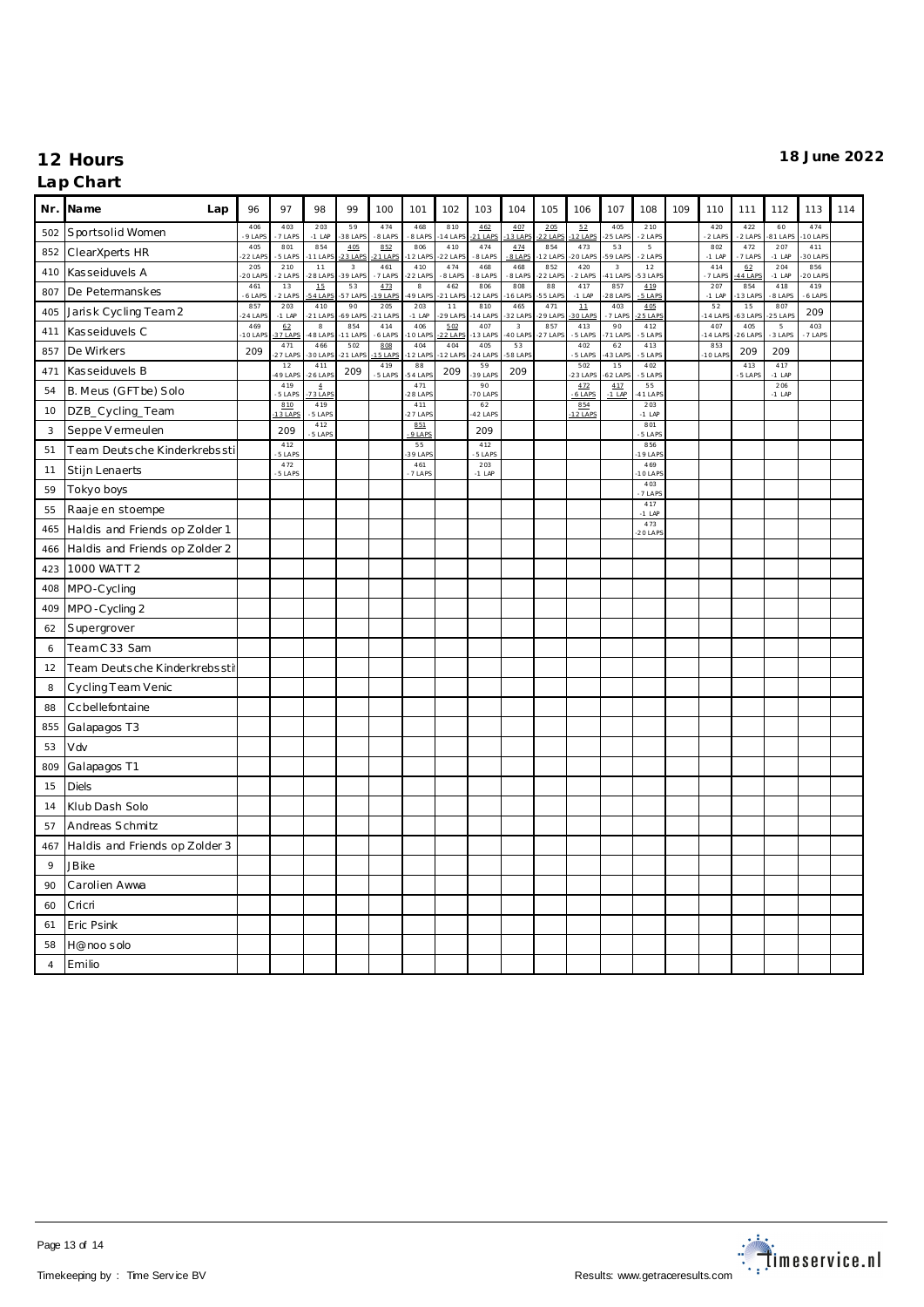### **Nr. Name Lap** 96 97 98 99 100 101 102 103 104 105 106 107 108 109 110 111 112 113 114 502 Sportsolid Women  $-406$ <br> $-9$  LAP<br> $-405$ 403 -7 LAPS 203 -1 LAP 59 -38 LAPS 474 -8 LAPS 468 -8 LAPS 810 -14 LAPS 462  $1 L<sub>A</sub>$ 407  $3$  LAP 205  $2+A$ <u>52</u><br><u>12 LAPS</u>-405  $-5$  LAP 210 -2 LAPS 420 2 LAP 422 -2 LAPS 60 -81 LAPS 474  $0+A$ 852 ClearXperts HR -22 LAPS 801 -5 LAPS 854 -11 LAPS 405 -23 LAPS <u>852</u><br><u>-21 LAPS</u> 806 -12 LAPS 410 -22 LAPS 474 -8 LAPS 474 -8 LAPS 854 -12 LAPS 473 -20 LAPS 53 -59 LAPS 5 -2 LAPS 802 -1 LAP 472 -7 LAPS 207 -1 LAP 411 -30 LAPS 410 Kas seiduvels A 205<br>20 LAP 210 -2 LAPS 11 -28 LAPS 3 -39 LAPS 461 -7 LAPS 410 22 LAPS 474 -8 LAPS 468 -8 LAPS 468  $-8$  LAPS 852 -22 LAPS 420 -2 LAPS 3 -41 LAPS 12 -53 LAPS 414 -7 LAPS 62 44 LAP 204 -1 LAP 856 -20 LAPS 807 De Petermanskes  $-461$ <br> $-61AP$ 13 -2 LAPS 15 -54 LAPS 53 -57 LAPS <u>473</u><br>1<u>9 LAPS</u>-8 -49 LAPS 462 -21 LAPS 806 -12 LAPS 808 -16 LAPS 88 -55 LAPS 417 -1 LAP 857 -28 LAPS 419 -5 LAPS 207 -1 LAP 854 -13 LAPS 418 -8 LAPS 419 -6 LAPS 405 Jarisk Cycling Team 2 857<br>24 LAP 203 -1 LAP 410 21 LAPS 90 -69 LAPS 205 21 LAPS 203 -1 LAP 11 -29 LAPS 810 -14 LAPS 465  $32$  LAPs 471 -29 LAPS 11 -30 LAPS 403 -7 LAPS 405 -25 LAPS 52 -14 LAPS 15  $-63$  LAP 807 -25 LAPS 209 411 Kas seiduvels C -10 LAPS <u>62</u><br><u>37 LAPS</u> 8 -48 LAPS 854 -11 LAPS 414 -6 LAPS 406 -10 LAPS <u>502</u><br><u>-22 LAPS</u> 407 -13 LAPS 3 -40 LAPS 857 -27 LAPS 413 -5 LAPS 90 -71 LAPS 412 -5 LAPS 407 -14 LAPS 405 -26 LAPS 5 -3 LAPS 403 -7 LAPS 857 De Wirkers 209 471 .....<br>27 LAPS 466 -30 LAPS 502 -21 LAPS <u>808</u><br><u>-15 LAPS</u> 404 -12 LAPS 404 -12 LAPS 405 -24 LAPS 53 -58 LAPS 402 -5 LAPS 62 -43 LAPS 413 -5 LAPS  $\frac{853}{-10 \text{ LAPS}}$  209 209 <sup>471</sup> Kas seiduvels B <sup>12</sup>  $-12$ <br> $-49$  LAP 411 -26 LAPS 209 419 -5 LAPS 88 -54 LAPS 209  $-39$  LAPS 209 502 -23 LAPS 15 -62 LAPS 402 -5 LAPS 413 -5 LAPS 417 -1 LAP  $\overline{54}$  B. Meus (GFT be) Solo  $\overline{419}$  $-5$  LAPS 4 -73 LAPS 471  $28$  LAP 90 -70 LAPS 472 -6 LAPS 417 -1 LAP 55 -41 LAPS 206 -1 LAP 10 DZB\_Cycling\_Team 810 3 LAP 419 -5 LAPS 411 -27 LAPS 62 -42 LAPS 854  $2$  LA 203 -1 LAP 3 Seppe V ermeulen 209 412 -5 LAPS  $\frac{851}{-9 \text{ LAPS}}$  209 801 -5 LAPS 51 Team Deutsche Kinderkrebssti 412<br>-5 LAPS 55 -39 LAPS 412 -5 LAPS 856 -19 LAPS 11 Stijn Lenaerts  $-472$ <br> $-5 + AP<sup>5</sup>$ 461 -7 LAPS 203 -1 LAP 469 -10 LAPS <sup>59</sup> Tokyo boys <sup>403</sup> 403<br>-7 LAPS 55 Raaje en stoempe  $-417$ <br> $-11AP$ 465 Haldis and Friends op Zolder 1 473<br>20 LAPS 466 Haldis and Friends op Zolder 2 423 1000 WATT 2 408 MPO-Cycling 409 MPO -Cycling 2 62 Supergrover 6 Team C 33 Sam 12 Team Deutsche Kinderkrebssti 8 Cycling Team Venic 88 Ccbellefontaine 855 Galapagos T3 53 Vdv 809 Galapagos T1 15 Diels 14 Klub Dash Solo 57 Andreas Schmitz 467 Haldis and Friends op Zolder 3 9 JBike 90 Carolien Awwa 60 Cricri 61 Eric Psink 58 H@noo s olo 4 Emilio